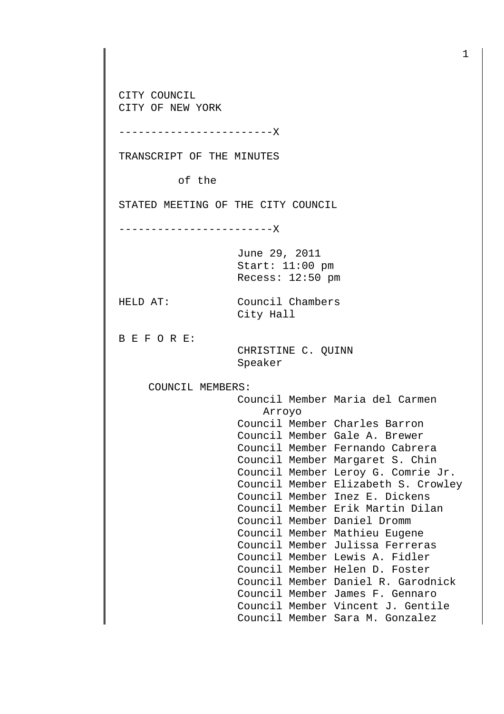CITY COUNCIL CITY OF NEW YORK

------------------------X

TRANSCRIPT OF THE MINUTES

of the

STATED MEETING OF THE CITY COUNCIL

------------------------X

June 29, 2011 Start: 11:00 pm Recess: 12:50 pm

City Hall

HELD AT: Council Chambers

B E F O R E:

 CHRISTINE C. QUINN Speaker

COUNCIL MEMBERS:

 Council Member Maria del Carmen Arroyo Council Member Charles Barron Council Member Gale A. Brewer Council Member Fernando Cabrera Council Member Margaret S. Chin Council Member Leroy G. Comrie Jr. Council Member Elizabeth S. Crowley Council Member Inez E. Dickens Council Member Erik Martin Dilan Council Member Daniel Dromm Council Member Mathieu Eugene Council Member Julissa Ferreras Council Member Lewis A. Fidler Council Member Helen D. Foster Council Member Daniel R. Garodnick Council Member James F. Gennaro Council Member Vincent J. Gentile Council Member Sara M. Gonzalez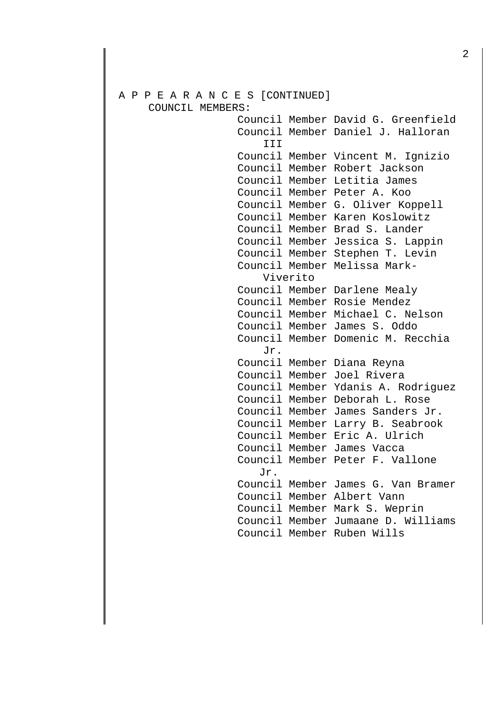# A P P E A R A N C E S [CONTINUED] COUNCIL MEMBERS:

 Council Member David G. Greenfield Council Member Daniel J. Halloran III Council Member Vincent M. Ignizio Council Member Robert Jackson Council Member Letitia James Council Member Peter A. Koo Council Member G. Oliver Koppell Council Member Karen Koslowitz Council Member Brad S. Lander Council Member Jessica S. Lappin Council Member Stephen T. Levin Council Member Melissa Mark- Viverito Council Member Darlene Mealy Council Member Rosie Mendez Council Member Michael C. Nelson Council Member James S. Oddo Council Member Domenic M. Recchia Jr. Council Member Diana Reyna Council Member Joel Rivera Council Member Ydanis A. Rodriguez Council Member Deborah L. Rose Council Member James Sanders Jr. Council Member Larry B. Seabrook Council Member Eric A. Ulrich Council Member James Vacca Council Member Peter F. Vallone Jr. Council Member James G. Van Bramer Council Member Albert Vann Council Member Mark S. Weprin Council Member Jumaane D. Williams Council Member Ruben Wills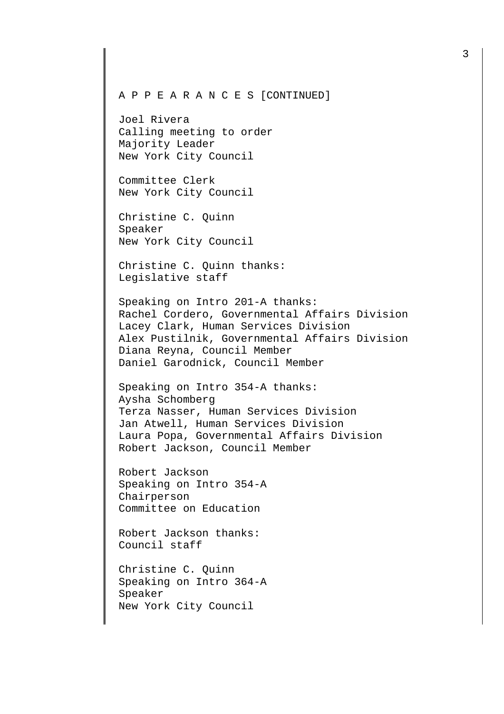Joel Rivera Calling meeting to order Majority Leader New York City Council

Committee Clerk New York City Council

Christine C. Quinn Speaker New York City Council

Christine C. Quinn thanks: Legislative staff

Speaking on Intro 201-A thanks: Rachel Cordero, Governmental Affairs Division Lacey Clark, Human Services Division Alex Pustilnik, Governmental Affairs Division Diana Reyna, Council Member Daniel Garodnick, Council Member

Speaking on Intro 354-A thanks: Aysha Schomberg Terza Nasser, Human Services Division Jan Atwell, Human Services Division Laura Popa, Governmental Affairs Division Robert Jackson, Council Member

Robert Jackson Speaking on Intro 354-A Chairperson Committee on Education

Robert Jackson thanks: Council staff

Christine C. Quinn Speaking on Intro 364-A Speaker New York City Council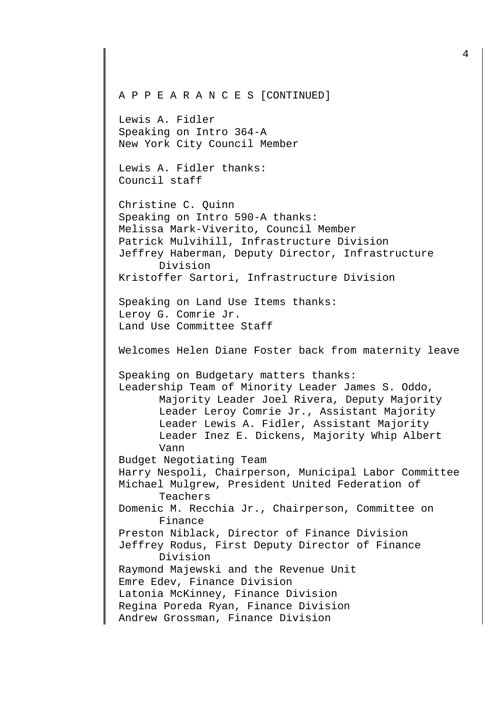A P P E A R A N C E S [CONTINUED] Lewis A. Fidler Speaking on Intro 364-A New York City Council Member Lewis A. Fidler thanks: Council staff Christine C. Quinn Speaking on Intro 590-A thanks: Melissa Mark-Viverito, Council Member Patrick Mulvihill, Infrastructure Division Jeffrey Haberman, Deputy Director, Infrastructure Division Kristoffer Sartori, Infrastructure Division Speaking on Land Use Items thanks: Leroy G. Comrie Jr. Land Use Committee Staff Welcomes Helen Diane Foster back from maternity leave Speaking on Budgetary matters thanks: Leadership Team of Minority Leader James S. Oddo, Majority Leader Joel Rivera, Deputy Majority Leader Leroy Comrie Jr., Assistant Majority Leader Lewis A. Fidler, Assistant Majority Leader Inez E. Dickens, Majority Whip Albert Vann Budget Negotiating Team Harry Nespoli, Chairperson, Municipal Labor Committee Michael Mulgrew, President United Federation of Teachers Domenic M. Recchia Jr., Chairperson, Committee on Finance Preston Niblack, Director of Finance Division Jeffrey Rodus, First Deputy Director of Finance Division Raymond Majewski and the Revenue Unit Emre Edev, Finance Division Latonia McKinney, Finance Division Regina Poreda Ryan, Finance Division Andrew Grossman, Finance Division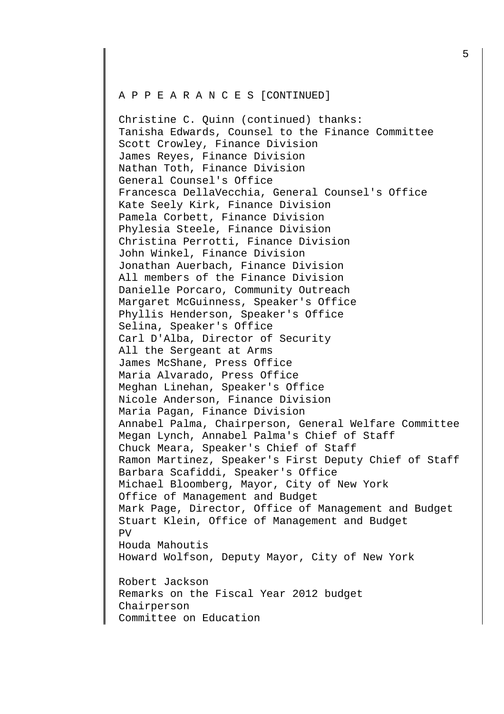Christine C. Quinn (continued) thanks: Tanisha Edwards, Counsel to the Finance Committee Scott Crowley, Finance Division James Reyes, Finance Division Nathan Toth, Finance Division General Counsel's Office Francesca DellaVecchia, General Counsel's Office Kate Seely Kirk, Finance Division Pamela Corbett, Finance Division Phylesia Steele, Finance Division Christina Perrotti, Finance Division John Winkel, Finance Division Jonathan Auerbach, Finance Division All members of the Finance Division Danielle Porcaro, Community Outreach Margaret McGuinness, Speaker's Office Phyllis Henderson, Speaker's Office Selina, Speaker's Office Carl D'Alba, Director of Security All the Sergeant at Arms James McShane, Press Office Maria Alvarado, Press Office Meghan Linehan, Speaker's Office Nicole Anderson, Finance Division Maria Pagan, Finance Division Annabel Palma, Chairperson, General Welfare Committee Megan Lynch, Annabel Palma's Chief of Staff Chuck Meara, Speaker's Chief of Staff Ramon Martinez, Speaker's First Deputy Chief of Staff Barbara Scafiddi, Speaker's Office Michael Bloomberg, Mayor, City of New York Office of Management and Budget Mark Page, Director, Office of Management and Budget Stuart Klein, Office of Management and Budget PV Houda Mahoutis Howard Wolfson, Deputy Mayor, City of New York Robert Jackson Remarks on the Fiscal Year 2012 budget Chairperson Committee on Education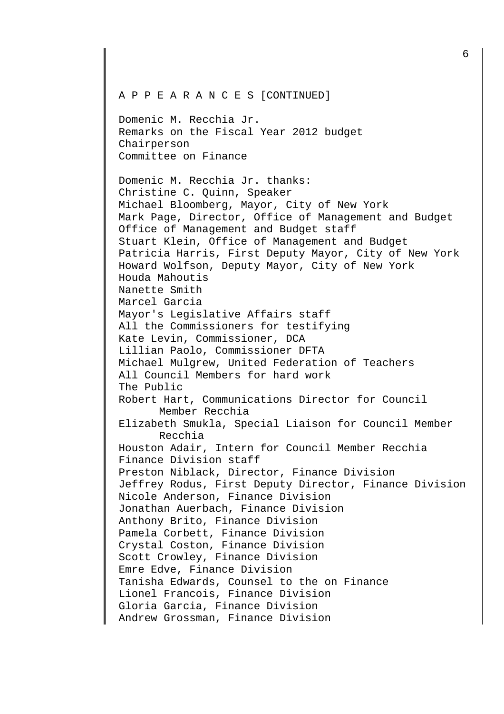Domenic M. Recchia Jr. Remarks on the Fiscal Year 2012 budget Chairperson Committee on Finance

Domenic M. Recchia Jr. thanks: Christine C. Quinn, Speaker Michael Bloomberg, Mayor, City of New York Mark Page, Director, Office of Management and Budget Office of Management and Budget staff Stuart Klein, Office of Management and Budget Patricia Harris, First Deputy Mayor, City of New York Howard Wolfson, Deputy Mayor, City of New York Houda Mahoutis Nanette Smith Marcel Garcia Mayor's Legislative Affairs staff All the Commissioners for testifying Kate Levin, Commissioner, DCA Lillian Paolo, Commissioner DFTA Michael Mulgrew, United Federation of Teachers All Council Members for hard work The Public Robert Hart, Communications Director for Council Member Recchia Elizabeth Smukla, Special Liaison for Council Member Recchia Houston Adair, Intern for Council Member Recchia Finance Division staff Preston Niblack, Director, Finance Division Jeffrey Rodus, First Deputy Director, Finance Division Nicole Anderson, Finance Division Jonathan Auerbach, Finance Division Anthony Brito, Finance Division Pamela Corbett, Finance Division Crystal Coston, Finance Division Scott Crowley, Finance Division Emre Edve, Finance Division Tanisha Edwards, Counsel to the on Finance Lionel Francois, Finance Division Gloria Garcia, Finance Division Andrew Grossman, Finance Division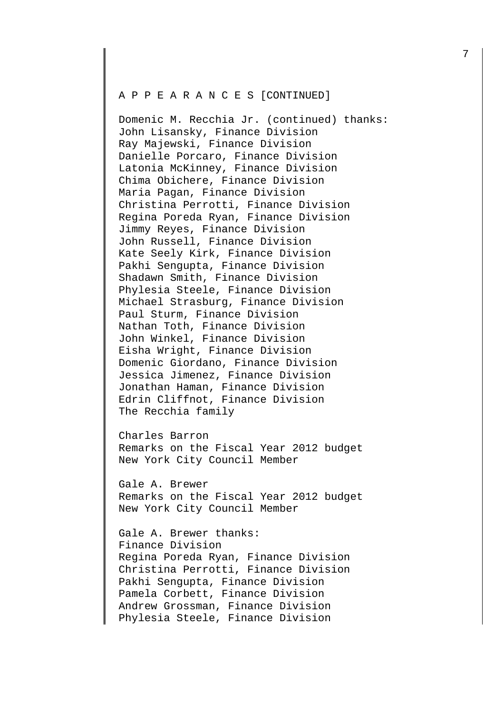Domenic M. Recchia Jr. (continued) thanks: John Lisansky, Finance Division Ray Majewski, Finance Division Danielle Porcaro, Finance Division Latonia McKinney, Finance Division Chima Obichere, Finance Division Maria Pagan, Finance Division Christina Perrotti, Finance Division Regina Poreda Ryan, Finance Division Jimmy Reyes, Finance Division John Russell, Finance Division Kate Seely Kirk, Finance Division Pakhi Sengupta, Finance Division Shadawn Smith, Finance Division Phylesia Steele, Finance Division Michael Strasburg, Finance Division Paul Sturm, Finance Division Nathan Toth, Finance Division John Winkel, Finance Division Eisha Wright, Finance Division Domenic Giordano, Finance Division Jessica Jimenez, Finance Division Jonathan Haman, Finance Division Edrin Cliffnot, Finance Division The Recchia family

Charles Barron Remarks on the Fiscal Year 2012 budget New York City Council Member

Gale A. Brewer Remarks on the Fiscal Year 2012 budget New York City Council Member

Gale A. Brewer thanks: Finance Division Regina Poreda Ryan, Finance Division Christina Perrotti, Finance Division Pakhi Sengupta, Finance Division Pamela Corbett, Finance Division Andrew Grossman, Finance Division Phylesia Steele, Finance Division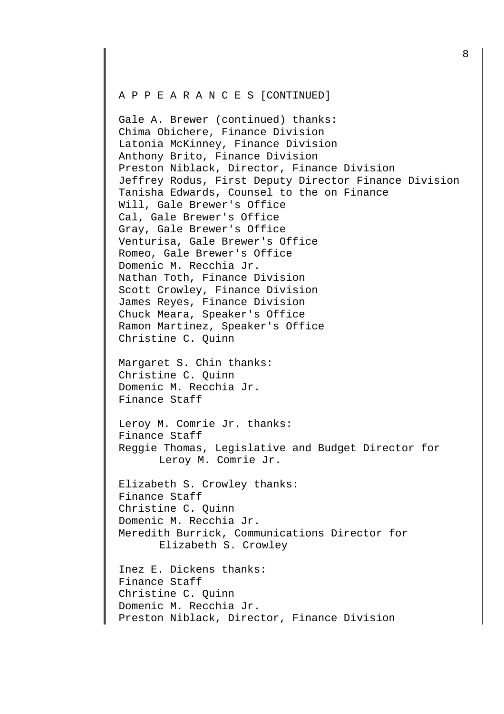Gale A. Brewer (continued) thanks: Chima Obichere, Finance Division Latonia McKinney, Finance Division Anthony Brito, Finance Division Preston Niblack, Director, Finance Division Jeffrey Rodus, First Deputy Director Finance Division Tanisha Edwards, Counsel to the on Finance Will, Gale Brewer's Office Cal, Gale Brewer's Office Gray, Gale Brewer's Office Venturisa, Gale Brewer's Office Romeo, Gale Brewer's Office Domenic M. Recchia Jr. Nathan Toth, Finance Division Scott Crowley, Finance Division James Reyes, Finance Division Chuck Meara, Speaker's Office Ramon Martinez, Speaker's Office Christine C. Quinn

Margaret S. Chin thanks: Christine C. Quinn Domenic M. Recchia Jr. Finance Staff

Leroy M. Comrie Jr. thanks: Finance Staff Reggie Thomas, Legislative and Budget Director for Leroy M. Comrie Jr.

Elizabeth S. Crowley thanks: Finance Staff Christine C. Quinn Domenic M. Recchia Jr. Meredith Burrick, Communications Director for Elizabeth S. Crowley

```
Inez E. Dickens thanks: 
Finance Staff 
Christine C. Quinn 
Domenic M. Recchia Jr. 
Preston Niblack, Director, Finance Division
```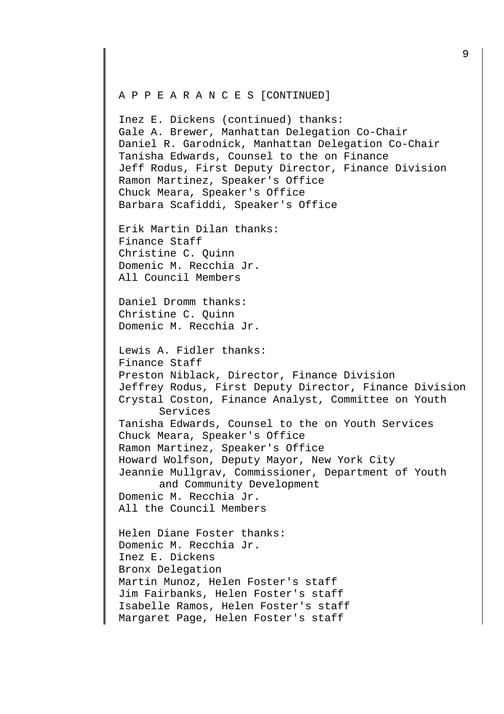Inez E. Dickens (continued) thanks: Gale A. Brewer, Manhattan Delegation Co-Chair Daniel R. Garodnick, Manhattan Delegation Co-Chair Tanisha Edwards, Counsel to the on Finance Jeff Rodus, First Deputy Director, Finance Division Ramon Martinez, Speaker's Office Chuck Meara, Speaker's Office Barbara Scafiddi, Speaker's Office

Erik Martin Dilan thanks: Finance Staff Christine C. Quinn Domenic M. Recchia Jr. All Council Members

Daniel Dromm thanks: Christine C. Quinn Domenic M. Recchia Jr.

Lewis A. Fidler thanks: Finance Staff Preston Niblack, Director, Finance Division Jeffrey Rodus, First Deputy Director, Finance Division Crystal Coston, Finance Analyst, Committee on Youth Services Tanisha Edwards, Counsel to the on Youth Services Chuck Meara, Speaker's Office Ramon Martinez, Speaker's Office Howard Wolfson, Deputy Mayor, New York City Jeannie Mullgrav, Commissioner, Department of Youth and Community Development Domenic M. Recchia Jr. All the Council Members

Helen Diane Foster thanks: Domenic M. Recchia Jr. Inez E. Dickens Bronx Delegation Martin Munoz, Helen Foster's staff Jim Fairbanks, Helen Foster's staff Isabelle Ramos, Helen Foster's staff Margaret Page, Helen Foster's staff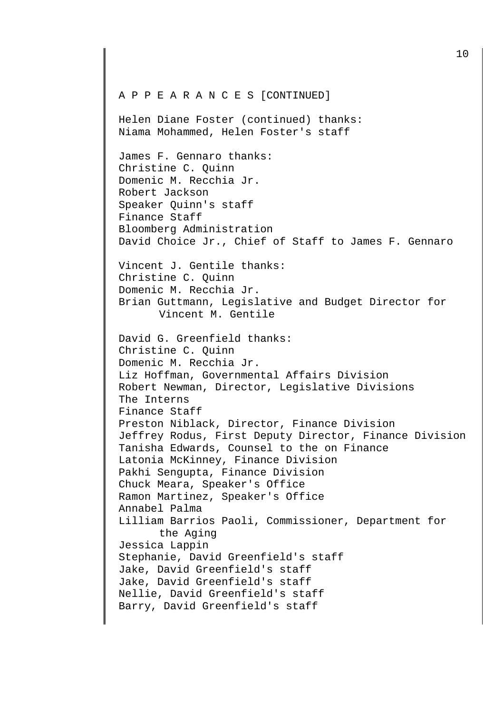Helen Diane Foster (continued) thanks: Niama Mohammed, Helen Foster's staff

James F. Gennaro thanks: Christine C. Quinn Domenic M. Recchia Jr. Robert Jackson Speaker Quinn's staff Finance Staff Bloomberg Administration David Choice Jr., Chief of Staff to James F. Gennaro

Vincent J. Gentile thanks: Christine C. Quinn Domenic M. Recchia Jr. Brian Guttmann, Legislative and Budget Director for Vincent M. Gentile

David G. Greenfield thanks: Christine C. Quinn Domenic M. Recchia Jr. Liz Hoffman, Governmental Affairs Division Robert Newman, Director, Legislative Divisions The Interns Finance Staff Preston Niblack, Director, Finance Division Jeffrey Rodus, First Deputy Director, Finance Division Tanisha Edwards, Counsel to the on Finance Latonia McKinney, Finance Division Pakhi Sengupta, Finance Division Chuck Meara, Speaker's Office Ramon Martinez, Speaker's Office Annabel Palma Lilliam Barrios Paoli, Commissioner, Department for the Aging Jessica Lappin Stephanie, David Greenfield's staff Jake, David Greenfield's staff Jake, David Greenfield's staff Nellie, David Greenfield's staff Barry, David Greenfield's staff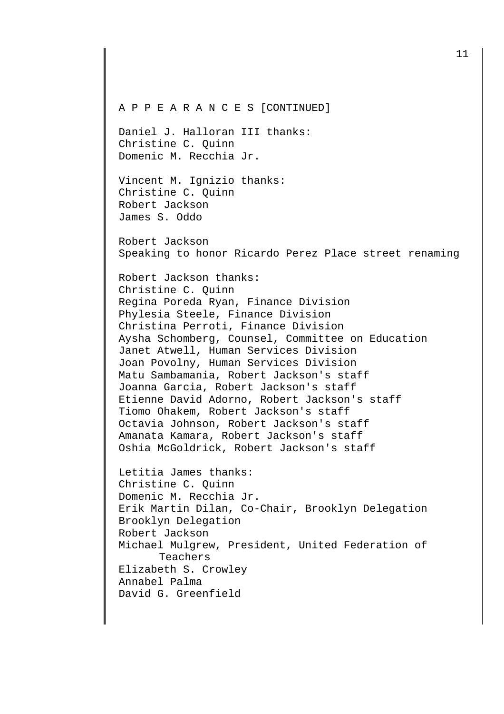Daniel J. Halloran III thanks: Christine C. Quinn Domenic M. Recchia Jr.

Vincent M. Ignizio thanks: Christine C. Quinn Robert Jackson James S. Oddo

Robert Jackson Speaking to honor Ricardo Perez Place street renaming

Robert Jackson thanks: Christine C. Quinn Regina Poreda Ryan, Finance Division Phylesia Steele, Finance Division Christina Perroti, Finance Division Aysha Schomberg, Counsel, Committee on Education Janet Atwell, Human Services Division Joan Povolny, Human Services Division Matu Sambamania, Robert Jackson's staff Joanna Garcia, Robert Jackson's staff Etienne David Adorno, Robert Jackson's staff Tiomo Ohakem, Robert Jackson's staff Octavia Johnson, Robert Jackson's staff Amanata Kamara, Robert Jackson's staff Oshia McGoldrick, Robert Jackson's staff

Letitia James thanks: Christine C. Quinn Domenic M. Recchia Jr. Erik Martin Dilan, Co-Chair, Brooklyn Delegation Brooklyn Delegation Robert Jackson Michael Mulgrew, President, United Federation of Teachers Elizabeth S. Crowley Annabel Palma David G. Greenfield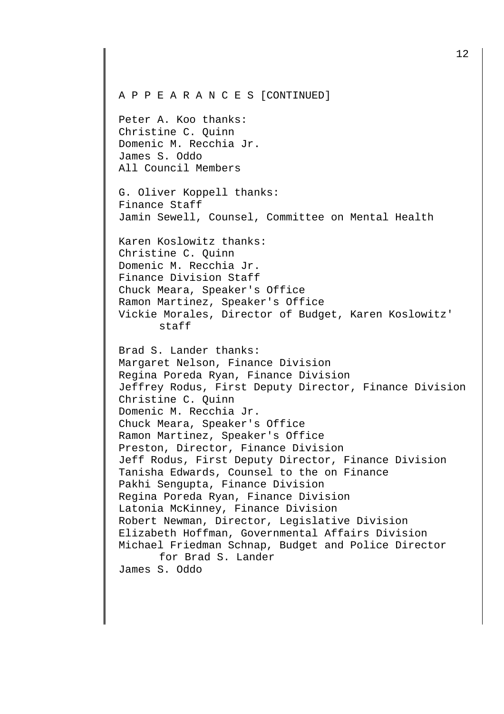Peter A. Koo thanks: Christine C. Quinn Domenic M. Recchia Jr. James S. Oddo All Council Members

G. Oliver Koppell thanks: Finance Staff Jamin Sewell, Counsel, Committee on Mental Health

Karen Koslowitz thanks: Christine C. Quinn Domenic M. Recchia Jr. Finance Division Staff Chuck Meara, Speaker's Office Ramon Martinez, Speaker's Office Vickie Morales, Director of Budget, Karen Koslowitz' staff

Brad S. Lander thanks: Margaret Nelson, Finance Division Regina Poreda Ryan, Finance Division Jeffrey Rodus, First Deputy Director, Finance Division Christine C. Quinn Domenic M. Recchia Jr. Chuck Meara, Speaker's Office Ramon Martinez, Speaker's Office Preston, Director, Finance Division Jeff Rodus, First Deputy Director, Finance Division Tanisha Edwards, Counsel to the on Finance Pakhi Sengupta, Finance Division Regina Poreda Ryan, Finance Division Latonia McKinney, Finance Division Robert Newman, Director, Legislative Division Elizabeth Hoffman, Governmental Affairs Division Michael Friedman Schnap, Budget and Police Director for Brad S. Lander James S. Oddo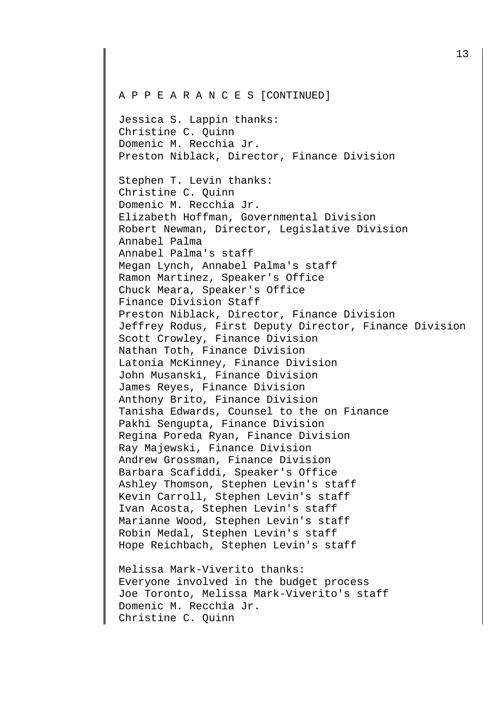Jessica S. Lappin thanks: Christine C. Quinn Domenic M. Recchia Jr. Preston Niblack, Director, Finance Division

Stephen T. Levin thanks: Christine C. Quinn Domenic M. Recchia Jr. Elizabeth Hoffman, Governmental Division Robert Newman, Director, Legislative Division Annabel Palma Annabel Palma's staff Megan Lynch, Annabel Palma's staff Ramon Martinez, Speaker's Office Chuck Meara, Speaker's Office Finance Division Staff Preston Niblack, Director, Finance Division Jeffrey Rodus, First Deputy Director, Finance Division Scott Crowley, Finance Division Nathan Toth, Finance Division Latonia McKinney, Finance Division John Musanski, Finance Division James Reyes, Finance Division Anthony Brito, Finance Division Tanisha Edwards, Counsel to the on Finance Pakhi Sengupta, Finance Division Regina Poreda Ryan, Finance Division Ray Majewski, Finance Division Andrew Grossman, Finance Division Barbara Scafiddi, Speaker's Office Ashley Thomson, Stephen Levin's staff Kevin Carroll, Stephen Levin's staff Ivan Acosta, Stephen Levin's staff Marianne Wood, Stephen Levin's staff Robin Medal, Stephen Levin's staff Hope Reichbach, Stephen Levin's staff

Melissa Mark-Viverito thanks: Everyone involved in the budget process Joe Toronto, Melissa Mark-Viverito's staff Domenic M. Recchia Jr. Christine C. Quinn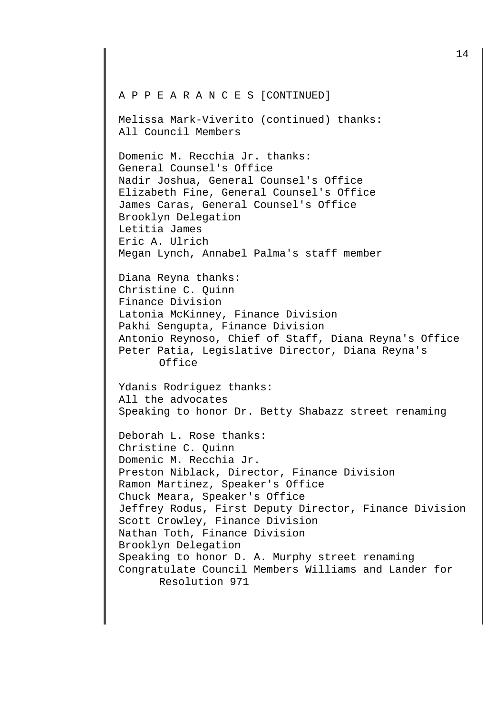Melissa Mark-Viverito (continued) thanks: All Council Members

Domenic M. Recchia Jr. thanks: General Counsel's Office Nadir Joshua, General Counsel's Office Elizabeth Fine, General Counsel's Office James Caras, General Counsel's Office Brooklyn Delegation Letitia James Eric A. Ulrich Megan Lynch, Annabel Palma's staff member

Diana Reyna thanks: Christine C. Quinn Finance Division Latonia McKinney, Finance Division Pakhi Sengupta, Finance Division Antonio Reynoso, Chief of Staff, Diana Reyna's Office Peter Patia, Legislative Director, Diana Reyna's Office

Ydanis Rodriguez thanks: All the advocates Speaking to honor Dr. Betty Shabazz street renaming

Deborah L. Rose thanks: Christine C. Quinn Domenic M. Recchia Jr. Preston Niblack, Director, Finance Division Ramon Martinez, Speaker's Office Chuck Meara, Speaker's Office Jeffrey Rodus, First Deputy Director, Finance Division Scott Crowley, Finance Division Nathan Toth, Finance Division Brooklyn Delegation Speaking to honor D. A. Murphy street renaming Congratulate Council Members Williams and Lander for Resolution 971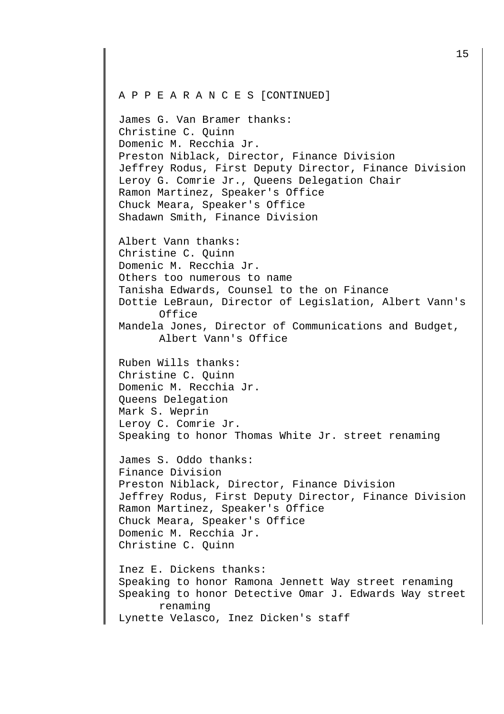James G. Van Bramer thanks: Christine C. Quinn Domenic M. Recchia Jr. Preston Niblack, Director, Finance Division Jeffrey Rodus, First Deputy Director, Finance Division Leroy G. Comrie Jr., Queens Delegation Chair Ramon Martinez, Speaker's Office Chuck Meara, Speaker's Office Shadawn Smith, Finance Division

Albert Vann thanks: Christine C. Quinn Domenic M. Recchia Jr. Others too numerous to name Tanisha Edwards, Counsel to the on Finance Dottie LeBraun, Director of Legislation, Albert Vann's Office Mandela Jones, Director of Communications and Budget, Albert Vann's Office

Ruben Wills thanks: Christine C. Quinn Domenic M. Recchia Jr. Queens Delegation Mark S. Weprin Leroy C. Comrie Jr. Speaking to honor Thomas White Jr. street renaming

James S. Oddo thanks: Finance Division Preston Niblack, Director, Finance Division Jeffrey Rodus, First Deputy Director, Finance Division Ramon Martinez, Speaker's Office Chuck Meara, Speaker's Office Domenic M. Recchia Jr. Christine C. Quinn

Inez E. Dickens thanks: Speaking to honor Ramona Jennett Way street renaming Speaking to honor Detective Omar J. Edwards Way street renaming Lynette Velasco, Inez Dicken's staff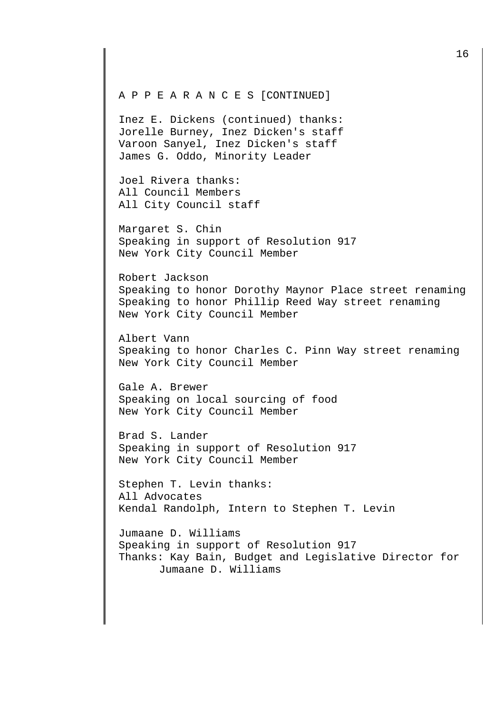Inez E. Dickens (continued) thanks: Jorelle Burney, Inez Dicken's staff Varoon Sanyel, Inez Dicken's staff James G. Oddo, Minority Leader

Joel Rivera thanks: All Council Members All City Council staff

Margaret S. Chin Speaking in support of Resolution 917 New York City Council Member

Robert Jackson Speaking to honor Dorothy Maynor Place street renaming Speaking to honor Phillip Reed Way street renaming New York City Council Member

Albert Vann Speaking to honor Charles C. Pinn Way street renaming New York City Council Member

Gale A. Brewer Speaking on local sourcing of food New York City Council Member

Brad S. Lander Speaking in support of Resolution 917 New York City Council Member

Stephen T. Levin thanks: All Advocates Kendal Randolph, Intern to Stephen T. Levin

Jumaane D. Williams Speaking in support of Resolution 917 Thanks: Kay Bain, Budget and Legislative Director for Jumaane D. Williams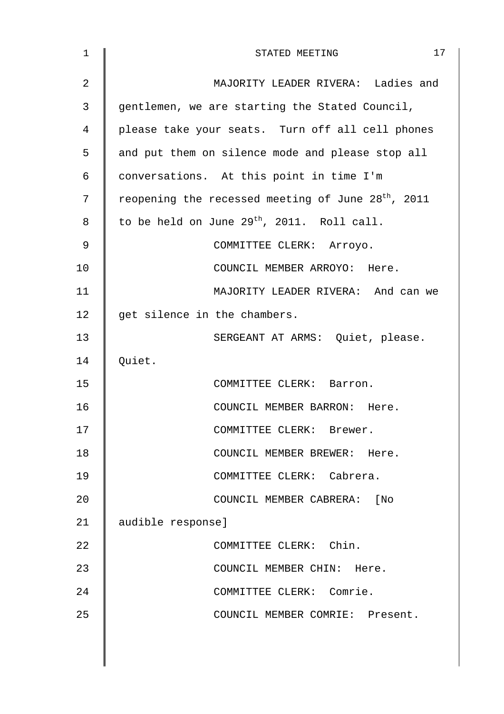| 1  | 17<br>STATED MEETING                                           |
|----|----------------------------------------------------------------|
| 2  | MAJORITY LEADER RIVERA: Ladies and                             |
| 3  | gentlemen, we are starting the Stated Council,                 |
| 4  | please take your seats. Turn off all cell phones               |
| 5  | and put them on silence mode and please stop all               |
| 6  | conversations. At this point in time I'm                       |
| 7  | reopening the recessed meeting of June 28 <sup>th</sup> , 2011 |
| 8  | to be held on June $29^{th}$ , 2011. Roll call.                |
| 9  | COMMITTEE CLERK: Arroyo.                                       |
| 10 | COUNCIL MEMBER ARROYO: Here.                                   |
| 11 | MAJORITY LEADER RIVERA: And can we                             |
| 12 | get silence in the chambers.                                   |
| 13 | SERGEANT AT ARMS: Quiet, please.                               |
| 14 | Quiet.                                                         |
| 15 | COMMITTEE CLERK: Barron.                                       |
| 16 | COUNCIL MEMBER BARRON: Here.                                   |
| 17 | COMMITTEE CLERK: Brewer.                                       |
| 18 | COUNCIL MEMBER BREWER: Here.                                   |
| 19 | COMMITTEE CLERK: Cabrera.                                      |
| 20 | COUNCIL MEMBER CABRERA: [No                                    |
| 21 | audible response]                                              |
| 22 | COMMITTEE CLERK: Chin.                                         |
| 23 | COUNCIL MEMBER CHIN: Here.                                     |
| 24 | COMMITTEE CLERK: Comrie.                                       |
| 25 | COUNCIL MEMBER COMRIE: Present.                                |
|    |                                                                |
|    |                                                                |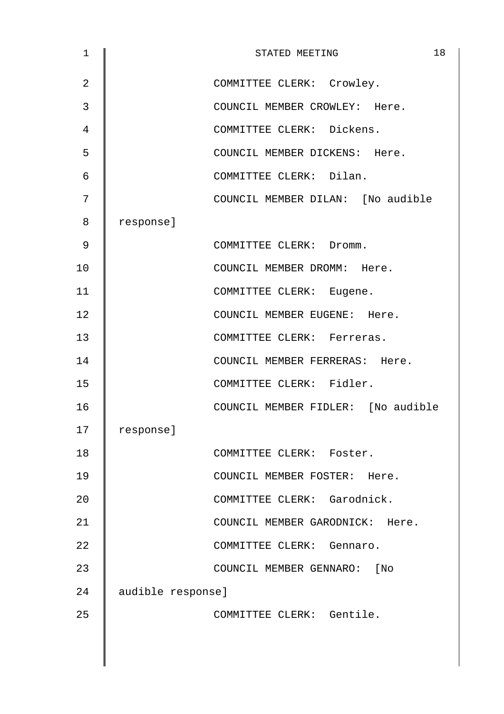| $\mathbf{1}$   | 18<br>STATED MEETING               |
|----------------|------------------------------------|
| $\overline{2}$ | COMMITTEE CLERK: Crowley.          |
| 3              | COUNCIL MEMBER CROWLEY: Here.      |
| 4              | COMMITTEE CLERK: Dickens.          |
| 5              | COUNCIL MEMBER DICKENS: Here.      |
| 6              | COMMITTEE CLERK: Dilan.            |
| 7              | COUNCIL MEMBER DILAN: [No audible  |
| 8              | response]                          |
| 9              | COMMITTEE CLERK: Dromm.            |
| 10             | COUNCIL MEMBER DROMM: Here.        |
| 11             | COMMITTEE CLERK: Eugene.           |
| 12             | COUNCIL MEMBER EUGENE: Here.       |
| 13             | COMMITTEE CLERK: Ferreras.         |
| 14             | COUNCIL MEMBER FERRERAS: Here.     |
| 15             | COMMITTEE CLERK: Fidler.           |
| 16             | COUNCIL MEMBER FIDLER: [No audible |
| 17             | response]                          |
| 18             | COMMITTEE CLERK: Foster.           |
| 19             | COUNCIL MEMBER FOSTER: Here.       |
| 20             | COMMITTEE CLERK: Garodnick.        |
| 21             | COUNCIL MEMBER GARODNICK: Here.    |
| 22             | COMMITTEE CLERK: Gennaro.          |
| 23             | COUNCIL MEMBER GENNARO: [No        |
| 24             | audible response]                  |
| 25             | COMMITTEE CLERK: Gentile.          |
|                |                                    |
|                |                                    |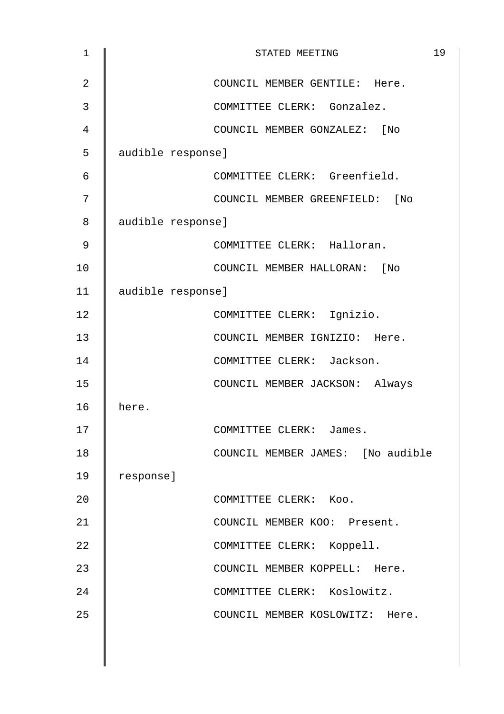| 1              | 19<br>STATED MEETING              |
|----------------|-----------------------------------|
| $\overline{2}$ | COUNCIL MEMBER GENTILE: Here.     |
| 3              | COMMITTEE CLERK: Gonzalez.        |
| 4              | COUNCIL MEMBER GONZALEZ:<br>[ No  |
| 5              | audible response]                 |
| 6              | COMMITTEE CLERK: Greenfield.      |
| 7              | COUNCIL MEMBER GREENFIELD: [No    |
| 8              | audible response]                 |
| 9              | COMMITTEE CLERK: Halloran.        |
| 10             | COUNCIL MEMBER HALLORAN:<br>[No   |
| 11             | audible response]                 |
| 12             | COMMITTEE CLERK: Ignizio.         |
| 13             | COUNCIL MEMBER IGNIZIO: Here.     |
| 14             | COMMITTEE CLERK: Jackson.         |
| 15             | COUNCIL MEMBER JACKSON: Always    |
| 16             | here.                             |
| 17             | COMMITTEE CLERK:<br>James.        |
| 18             | COUNCIL MEMBER JAMES: [No audible |
| 19             | response]                         |
| 20             | COMMITTEE CLERK: Koo.             |
| 21             | COUNCIL MEMBER KOO: Present.      |
| 22             | COMMITTEE CLERK: Koppell.         |
| 23             | COUNCIL MEMBER KOPPELL: Here.     |
| 24             | COMMITTEE CLERK: Koslowitz.       |
| 25             | COUNCIL MEMBER KOSLOWITZ: Here.   |
|                |                                   |
|                |                                   |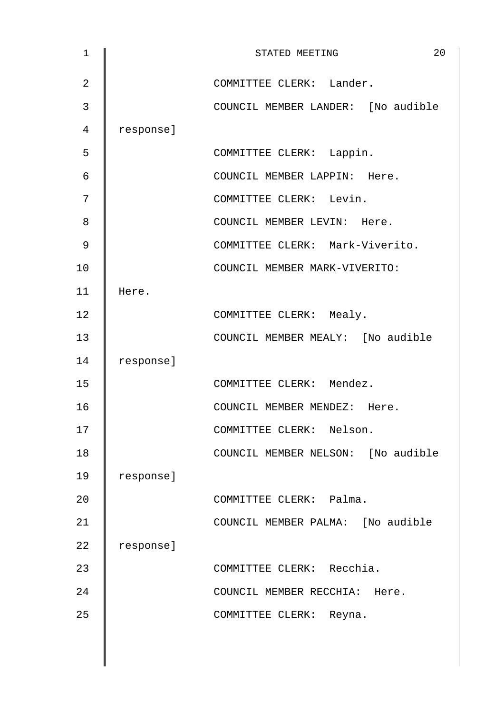| $\mathbf{1}$   |           | 20<br>STATED MEETING               |
|----------------|-----------|------------------------------------|
| $\overline{2}$ |           | COMMITTEE CLERK: Lander.           |
| 3              |           | COUNCIL MEMBER LANDER: [No audible |
| 4              | response] |                                    |
| 5              |           | COMMITTEE CLERK: Lappin.           |
| 6              |           | COUNCIL MEMBER LAPPIN: Here.       |
| 7              |           | COMMITTEE CLERK: Levin.            |
| 8              |           | COUNCIL MEMBER LEVIN: Here.        |
| 9              |           | COMMITTEE CLERK: Mark-Viverito.    |
| 10             |           | COUNCIL MEMBER MARK-VIVERITO:      |
| 11             | Here.     |                                    |
| 12             |           | COMMITTEE CLERK: Mealy.            |
| 13             |           | COUNCIL MEMBER MEALY: [No audible  |
| 14             | response] |                                    |
| 15             |           | COMMITTEE CLERK: Mendez.           |
| 16             |           | COUNCIL MEMBER MENDEZ: Here.       |
| 17             |           | COMMITTEE CLERK: Nelson.           |
| 18             |           | COUNCIL MEMBER NELSON: [No audible |
| 19             | response] |                                    |
| 20             |           | COMMITTEE CLERK: Palma.            |
| 21             |           | COUNCIL MEMBER PALMA: [No audible  |
| 22             | response] |                                    |
| 23             |           | COMMITTEE CLERK: Recchia.          |
| 24             |           | COUNCIL MEMBER RECCHIA: Here.      |
| 25             |           | COMMITTEE CLERK: Reyna.            |
|                |           |                                    |
|                |           |                                    |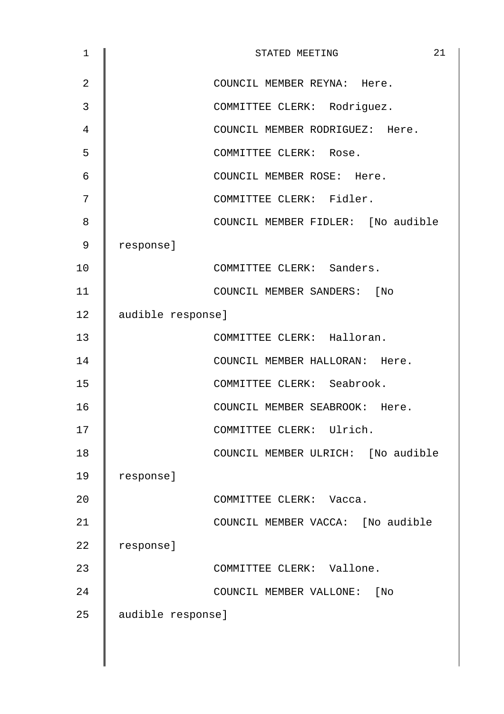| $\mathbf 1$    | 21<br>STATED MEETING               |
|----------------|------------------------------------|
| $\overline{2}$ | COUNCIL MEMBER REYNA: Here.        |
| 3              | COMMITTEE CLERK: Rodriguez.        |
| 4              | COUNCIL MEMBER RODRIGUEZ: Here.    |
| 5              | COMMITTEE CLERK: Rose.             |
| 6              | COUNCIL MEMBER ROSE: Here.         |
| 7              | COMMITTEE CLERK: Fidler.           |
| 8              | COUNCIL MEMBER FIDLER: [No audible |
| 9              | response]                          |
| 10             | COMMITTEE CLERK: Sanders.          |
| 11             | COUNCIL MEMBER SANDERS: [No        |
| 12             | audible response]                  |
| 13             | COMMITTEE CLERK: Halloran.         |
| 14             | COUNCIL MEMBER HALLORAN: Here.     |
| 15             | COMMITTEE CLERK: Seabrook.         |
| 16             | COUNCIL MEMBER SEABROOK: Here.     |
| 17             | COMMITTEE CLERK: Ulrich.           |
| 18             | COUNCIL MEMBER ULRICH: [No audible |
| 19             | response]                          |
| 20             | COMMITTEE CLERK: Vacca.            |
| 21             | COUNCIL MEMBER VACCA: [No audible  |
| 22             | response]                          |
| 23             | COMMITTEE CLERK: Vallone.          |
| 24             | COUNCIL MEMBER VALLONE: [No        |
| 25             | audible response]                  |
|                |                                    |
|                |                                    |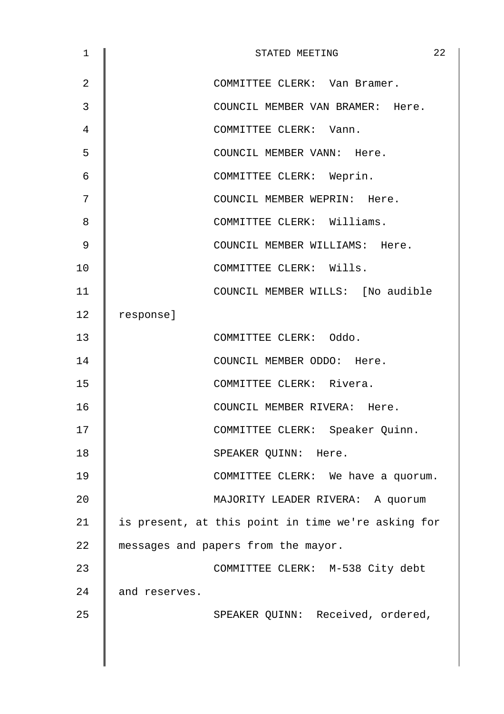| $\mathbf 1$ | 22<br>STATED MEETING                               |
|-------------|----------------------------------------------------|
| 2           | COMMITTEE CLERK: Van Bramer.                       |
| 3           | COUNCIL MEMBER VAN BRAMER: Here.                   |
| 4           | COMMITTEE CLERK: Vann.                             |
| 5           | COUNCIL MEMBER VANN: Here.                         |
| 6           | COMMITTEE CLERK: Weprin.                           |
| 7           | COUNCIL MEMBER WEPRIN: Here.                       |
| 8           | COMMITTEE CLERK: Williams.                         |
| 9           | COUNCIL MEMBER WILLIAMS: Here.                     |
| 10          | COMMITTEE CLERK: Wills.                            |
| 11          | COUNCIL MEMBER WILLS: [No audible                  |
| 12          | response]                                          |
| 13          | COMMITTEE CLERK: Oddo.                             |
| 14          | COUNCIL MEMBER ODDO: Here.                         |
| 15          | COMMITTEE CLERK: Rivera.                           |
| 16          | COUNCIL MEMBER RIVERA: Here.                       |
| 17          | COMMITTEE CLERK: Speaker Quinn.                    |
| 18          | SPEAKER QUINN: Here.                               |
| 19          | COMMITTEE CLERK: We have a quorum.                 |
| 20          | MAJORITY LEADER RIVERA: A quorum                   |
| 21          | is present, at this point in time we're asking for |
| 22          | messages and papers from the mayor.                |
| 23          | COMMITTEE CLERK: M-538 City debt                   |
| 24          | and reserves.                                      |
| 25          | SPEAKER QUINN: Received, ordered,                  |
|             |                                                    |
|             |                                                    |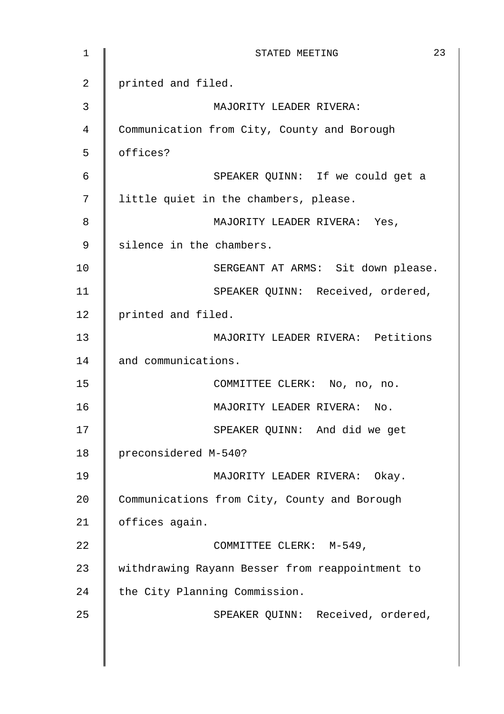| 1  | 23<br>STATED MEETING                            |
|----|-------------------------------------------------|
| 2  | printed and filed.                              |
| 3  | MAJORITY LEADER RIVERA:                         |
| 4  | Communication from City, County and Borough     |
| 5  | offices?                                        |
| 6  | SPEAKER QUINN: If we could get a                |
| 7  | little quiet in the chambers, please.           |
| 8  | MAJORITY LEADER RIVERA: Yes,                    |
| 9  | silence in the chambers.                        |
| 10 | SERGEANT AT ARMS: Sit down please.              |
| 11 | SPEAKER QUINN: Received, ordered,               |
| 12 | printed and filed.                              |
| 13 | MAJORITY LEADER RIVERA: Petitions               |
| 14 | and communications.                             |
| 15 | COMMITTEE CLERK: No, no, no.                    |
| 16 | MAJORITY LEADER RIVERA: No.                     |
| 17 | SPEAKER QUINN: And did we get                   |
| 18 | preconsidered M-540?                            |
| 19 | MAJORITY LEADER RIVERA: Okay.                   |
| 20 | Communications from City, County and Borough    |
| 21 | offices again.                                  |
| 22 | COMMITTEE CLERK: M-549,                         |
| 23 | withdrawing Rayann Besser from reappointment to |
| 24 | the City Planning Commission.                   |
| 25 | SPEAKER QUINN: Received, ordered,               |
|    |                                                 |
|    |                                                 |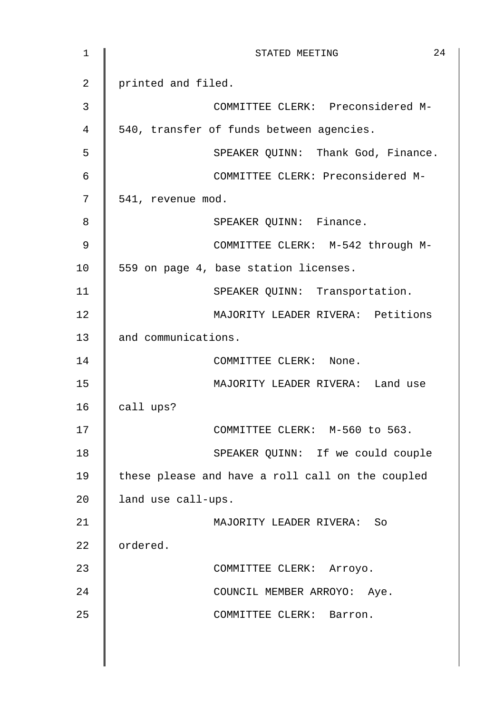| $\mathbf 1$    | 24<br>STATED MEETING                             |
|----------------|--------------------------------------------------|
| $\overline{a}$ | printed and filed.                               |
| 3              | COMMITTEE CLERK: Preconsidered M-                |
| 4              | 540, transfer of funds between agencies.         |
| 5              | SPEAKER QUINN: Thank God, Finance.               |
| 6              | COMMITTEE CLERK: Preconsidered M-                |
| 7              | 541, revenue mod.                                |
| 8              | SPEAKER QUINN: Finance.                          |
| $\mathsf 9$    | COMMITTEE CLERK: M-542 through M-                |
| 10             | 559 on page 4, base station licenses.            |
| 11             | SPEAKER QUINN: Transportation.                   |
| 12             | MAJORITY LEADER RIVERA: Petitions                |
| 13             | and communications.                              |
| 14             | COMMITTEE CLERK: None.                           |
| 15             | MAJORITY LEADER RIVERA: Land use                 |
| 16             | call ups?                                        |
| 17             | COMMITTEE CLERK: M-560 to 563.                   |
| 18             | SPEAKER QUINN: If we could couple                |
| 19             | these please and have a roll call on the coupled |
| 20             | land use call-ups.                               |
| 21             | MAJORITY LEADER RIVERA: So                       |
| 22             | ordered.                                         |
| 23             | COMMITTEE CLERK: Arroyo.                         |
| 24             | COUNCIL MEMBER ARROYO: Aye.                      |
| 25             | COMMITTEE CLERK: Barron.                         |
|                |                                                  |
|                |                                                  |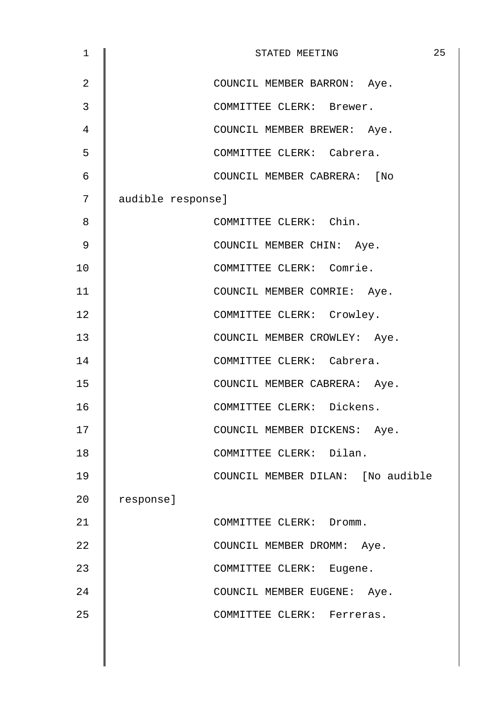| $\mathbf 1$    |                   | STATED MEETING                    | 25 |
|----------------|-------------------|-----------------------------------|----|
| $\overline{2}$ |                   | COUNCIL MEMBER BARRON: Aye.       |    |
| 3              |                   | COMMITTEE CLERK: Brewer.          |    |
| 4              |                   | COUNCIL MEMBER BREWER: Aye.       |    |
| 5              |                   | COMMITTEE CLERK: Cabrera.         |    |
| 6              |                   | COUNCIL MEMBER CABRERA: [No       |    |
| 7              | audible response] |                                   |    |
| 8              |                   | COMMITTEE CLERK: Chin.            |    |
| 9              |                   | COUNCIL MEMBER CHIN: Aye.         |    |
| 10             |                   | COMMITTEE CLERK: Comrie.          |    |
| 11             |                   | COUNCIL MEMBER COMRIE: Aye.       |    |
| 12             |                   | COMMITTEE CLERK: Crowley.         |    |
| 13             |                   | COUNCIL MEMBER CROWLEY: Aye.      |    |
| 14             |                   | COMMITTEE CLERK: Cabrera.         |    |
| 15             |                   | COUNCIL MEMBER CABRERA: Aye.      |    |
| 16             |                   | COMMITTEE CLERK: Dickens.         |    |
| 17             |                   | COUNCIL MEMBER DICKENS: Aye.      |    |
| 18             |                   | COMMITTEE CLERK: Dilan.           |    |
| 19             |                   | COUNCIL MEMBER DILAN: [No audible |    |
| 20             | response]         |                                   |    |
| 21             |                   | COMMITTEE CLERK: Dromm.           |    |
| 22             |                   | COUNCIL MEMBER DROMM: Aye.        |    |
| 23             |                   | COMMITTEE CLERK: Eugene.          |    |
| 24             |                   | COUNCIL MEMBER EUGENE: Aye.       |    |
| 25             |                   | COMMITTEE CLERK: Ferreras.        |    |
|                |                   |                                   |    |
|                |                   |                                   |    |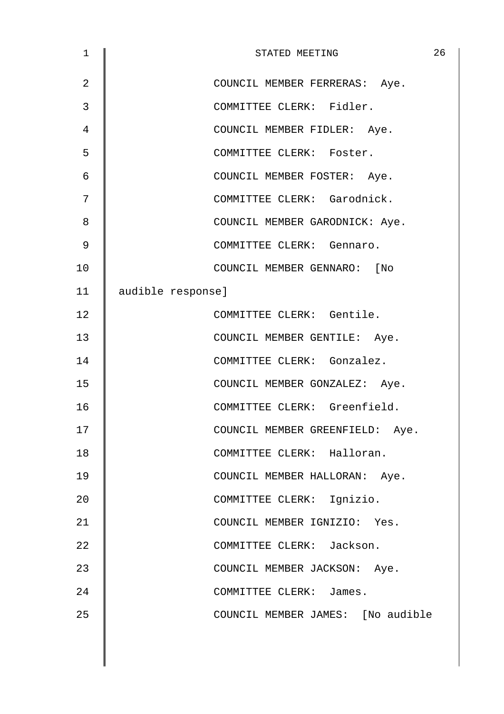| 1  | 26<br>STATED MEETING              |
|----|-----------------------------------|
| 2  | COUNCIL MEMBER FERRERAS: Aye.     |
| 3  | COMMITTEE CLERK: Fidler.          |
| 4  | COUNCIL MEMBER FIDLER: Aye.       |
| 5  | COMMITTEE CLERK: Foster.          |
| 6  | COUNCIL MEMBER FOSTER: Aye.       |
| 7  | COMMITTEE CLERK: Garodnick.       |
| 8  | COUNCIL MEMBER GARODNICK: Aye.    |
| 9  | COMMITTEE CLERK: Gennaro.         |
| 10 | COUNCIL MEMBER GENNARO: [No       |
| 11 | audible response]                 |
| 12 | COMMITTEE CLERK: Gentile.         |
| 13 | COUNCIL MEMBER GENTILE: Aye.      |
| 14 | COMMITTEE CLERK: Gonzalez.        |
| 15 | COUNCIL MEMBER GONZALEZ: Aye.     |
| 16 | COMMITTEE CLERK: Greenfield.      |
| 17 | COUNCIL MEMBER GREENFIELD: Aye.   |
| 18 | COMMITTEE CLERK: Halloran.        |
| 19 | COUNCIL MEMBER HALLORAN: Aye.     |
| 20 | COMMITTEE CLERK: Ignizio.         |
| 21 | COUNCIL MEMBER IGNIZIO: Yes.      |
| 22 | COMMITTEE CLERK: Jackson.         |
| 23 | COUNCIL MEMBER JACKSON: Aye.      |
| 24 | COMMITTEE CLERK: James.           |
| 25 | COUNCIL MEMBER JAMES: [No audible |
|    |                                   |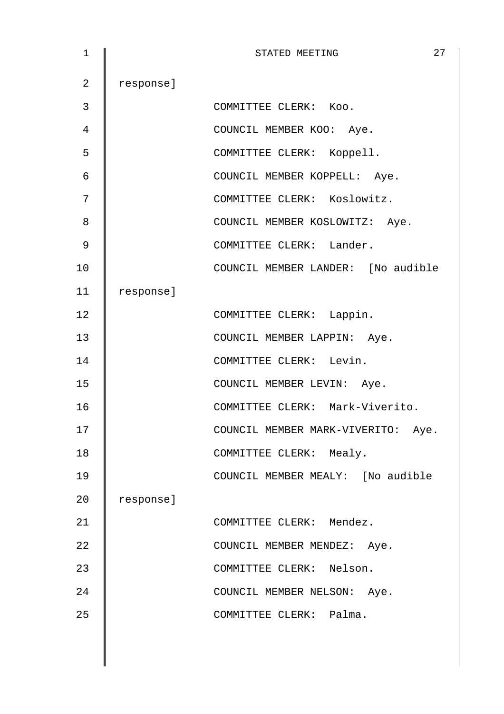| $\mathbf 1$ |           | 27<br>STATED MEETING               |
|-------------|-----------|------------------------------------|
| 2           | response] |                                    |
| 3           |           | COMMITTEE CLERK: Koo.              |
| 4           |           | COUNCIL MEMBER KOO: Aye.           |
| 5           |           | COMMITTEE CLERK: Koppell.          |
| 6           |           | COUNCIL MEMBER KOPPELL: Aye.       |
| 7           |           | COMMITTEE CLERK: Koslowitz.        |
| 8           |           | COUNCIL MEMBER KOSLOWITZ: Aye.     |
| 9           |           | COMMITTEE CLERK: Lander.           |
| 10          |           | COUNCIL MEMBER LANDER: [No audible |
| 11          | response] |                                    |
| 12          |           | COMMITTEE CLERK: Lappin.           |
| 13          |           | COUNCIL MEMBER LAPPIN: Aye.        |
| 14          |           | COMMITTEE CLERK: Levin.            |
| 15          |           | COUNCIL MEMBER LEVIN: Aye.         |
| 16          |           | COMMITTEE CLERK: Mark-Viverito.    |
| 17          |           | COUNCIL MEMBER MARK-VIVERITO: Aye. |
| 18          |           | COMMITTEE CLERK: Mealy.            |
| 19          |           | COUNCIL MEMBER MEALY: [No audible  |
| 20          | response] |                                    |
| 21          |           | COMMITTEE CLERK: Mendez.           |
| 22          |           | COUNCIL MEMBER MENDEZ: Aye.        |
| 23          |           | COMMITTEE CLERK: Nelson.           |
| 24          |           | COUNCIL MEMBER NELSON: Aye.        |
| 25          |           | COMMITTEE CLERK: Palma.            |
|             |           |                                    |
|             |           |                                    |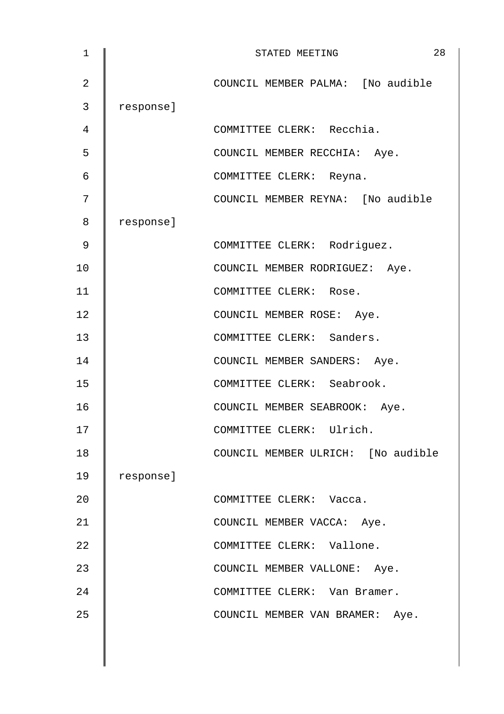| 1              |           | 28<br>STATED MEETING               |
|----------------|-----------|------------------------------------|
| $\overline{2}$ |           | COUNCIL MEMBER PALMA: [No audible  |
| 3              | response] |                                    |
| 4              |           | COMMITTEE CLERK: Recchia.          |
| 5              |           | COUNCIL MEMBER RECCHIA: Aye.       |
| 6              |           | COMMITTEE CLERK: Reyna.            |
| 7              |           | COUNCIL MEMBER REYNA: [No audible  |
| 8              | response] |                                    |
| 9              |           | COMMITTEE CLERK: Rodriguez.        |
| 10             |           | COUNCIL MEMBER RODRIGUEZ: Aye.     |
| 11             |           | COMMITTEE CLERK: Rose.             |
| 12             |           | COUNCIL MEMBER ROSE: Aye.          |
| 13             |           | COMMITTEE CLERK: Sanders.          |
| 14             |           | COUNCIL MEMBER SANDERS: Aye.       |
| 15             |           | COMMITTEE CLERK: Seabrook.         |
| 16             |           | COUNCIL MEMBER SEABROOK: Aye.      |
| 17             |           | COMMITTEE CLERK: Ulrich.           |
| 18             |           | COUNCIL MEMBER ULRICH: [No audible |
| 19             | response] |                                    |
| 20             |           | COMMITTEE CLERK: Vacca.            |
| 21             |           | COUNCIL MEMBER VACCA: Aye.         |
| 22             |           | COMMITTEE CLERK: Vallone.          |
| 23             |           | COUNCIL MEMBER VALLONE: Aye.       |
| 24             |           | COMMITTEE CLERK: Van Bramer.       |
| 25             |           | COUNCIL MEMBER VAN BRAMER: Aye.    |
|                |           |                                    |
|                |           |                                    |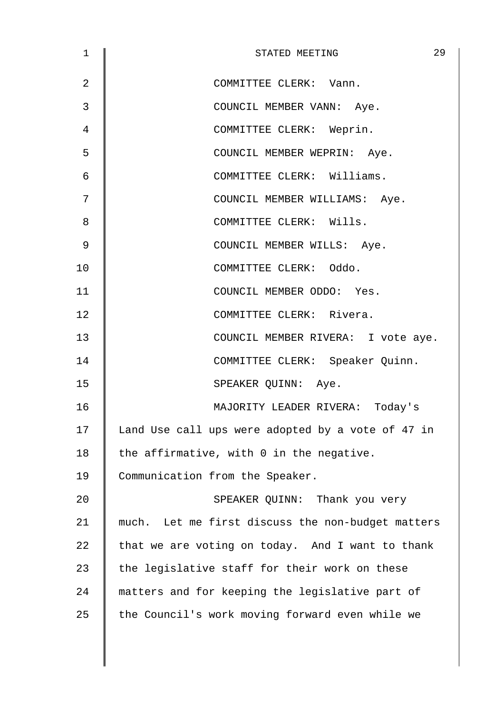| 1  | 29<br>STATED MEETING                              |
|----|---------------------------------------------------|
| 2  | COMMITTEE CLERK: Vann.                            |
| 3  | COUNCIL MEMBER VANN: Aye.                         |
| 4  | COMMITTEE CLERK: Weprin.                          |
| 5  | COUNCIL MEMBER WEPRIN: Aye.                       |
| 6  | COMMITTEE CLERK: Williams.                        |
| 7  | COUNCIL MEMBER WILLIAMS: Aye.                     |
| 8  | COMMITTEE CLERK: Wills.                           |
| 9  | COUNCIL MEMBER WILLS: Aye.                        |
| 10 | COMMITTEE CLERK: Oddo.                            |
| 11 | COUNCIL MEMBER ODDO: Yes.                         |
| 12 | COMMITTEE CLERK: Rivera.                          |
| 13 | COUNCIL MEMBER RIVERA: I vote aye.                |
| 14 | COMMITTEE CLERK: Speaker Quinn.                   |
| 15 | SPEAKER QUINN: Aye.                               |
| 16 | MAJORITY LEADER RIVERA: Today's                   |
| 17 | Land Use call ups were adopted by a vote of 47 in |
| 18 | the affirmative, with 0 in the negative.          |
| 19 | Communication from the Speaker.                   |
| 20 | SPEAKER QUINN: Thank you very                     |
| 21 | much. Let me first discuss the non-budget matters |
| 22 | that we are voting on today. And I want to thank  |
| 23 | the legislative staff for their work on these     |
| 24 | matters and for keeping the legislative part of   |
| 25 | the Council's work moving forward even while we   |
|    |                                                   |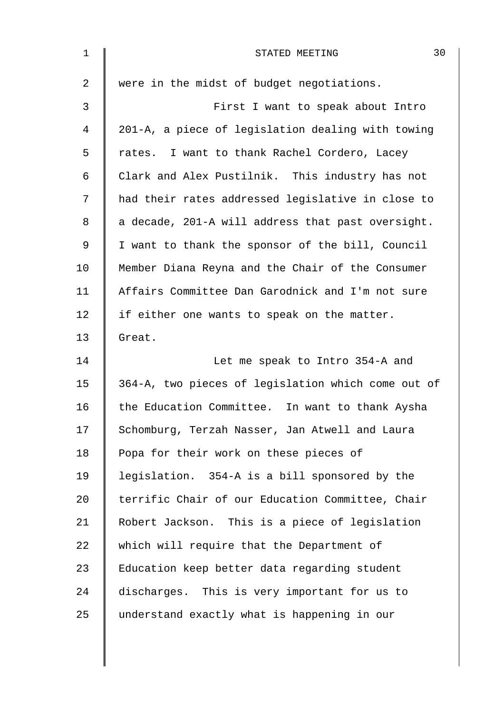| $\mathbf 1$    | 30<br>STATED MEETING                               |
|----------------|----------------------------------------------------|
| $\overline{2}$ | were in the midst of budget negotiations.          |
| 3              | First I want to speak about Intro                  |
| $\overline{4}$ | 201-A, a piece of legislation dealing with towing  |
| 5              | rates. I want to thank Rachel Cordero, Lacey       |
| $\epsilon$     | Clark and Alex Pustilnik. This industry has not    |
| 7              | had their rates addressed legislative in close to  |
| 8              | a decade, 201-A will address that past oversight.  |
| 9              | I want to thank the sponsor of the bill, Council   |
| 10             | Member Diana Reyna and the Chair of the Consumer   |
| 11             | Affairs Committee Dan Garodnick and I'm not sure   |
| 12             | if either one wants to speak on the matter.        |
| 13             | Great.                                             |
| 14             | Let me speak to Intro 354-A and                    |
| 15             | 364-A, two pieces of legislation which come out of |
| 16             | the Education Committee. In want to thank Aysha    |
| 17             | Schomburg, Terzah Nasser, Jan Atwell and Laura     |
| 18             | Popa for their work on these pieces of             |
| 19             | legislation. 354-A is a bill sponsored by the      |
| 20             | terrific Chair of our Education Committee, Chair   |
| 21             | Robert Jackson. This is a piece of legislation     |
| 22             | which will require that the Department of          |
| 23             | Education keep better data regarding student       |
| 24             | discharges. This is very important for us to       |
| 25             | understand exactly what is happening in our        |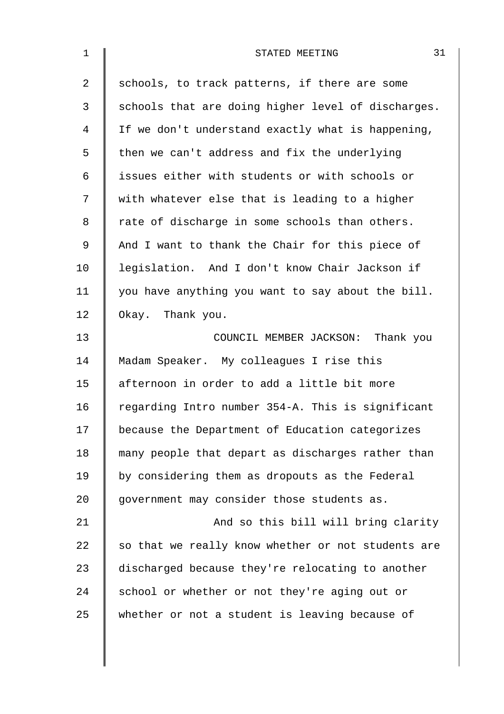| $\mathbf 1$    | 31<br>STATED MEETING                               |
|----------------|----------------------------------------------------|
| $\overline{2}$ | schools, to track patterns, if there are some      |
| 3              | schools that are doing higher level of discharges. |
| $\overline{4}$ | If we don't understand exactly what is happening,  |
| 5              | then we can't address and fix the underlying       |
| 6              | issues either with students or with schools or     |
| 7              | with whatever else that is leading to a higher     |
| 8              | rate of discharge in some schools than others.     |
| 9              | And I want to thank the Chair for this piece of    |
| 10             | legislation. And I don't know Chair Jackson if     |
| 11             | you have anything you want to say about the bill.  |
| 12             | Okay. Thank you.                                   |
| 13             | COUNCIL MEMBER JACKSON: Thank you                  |
| 14             | Madam Speaker. My colleagues I rise this           |
| 15             | afternoon in order to add a little bit more        |
| 16             | regarding Intro number 354-A. This is significant  |
| 17             | because the Department of Education categorizes    |
| 18             | many people that depart as discharges rather than  |
| 19             | by considering them as dropouts as the Federal     |
| 20             | government may consider those students as.         |
| 21             | And so this bill will bring clarity                |
| 22             | so that we really know whether or not students are |
| 23             | discharged because they're relocating to another   |
| 24             | school or whether or not they're aging out or      |
| 25             | whether or not a student is leaving because of     |
|                |                                                    |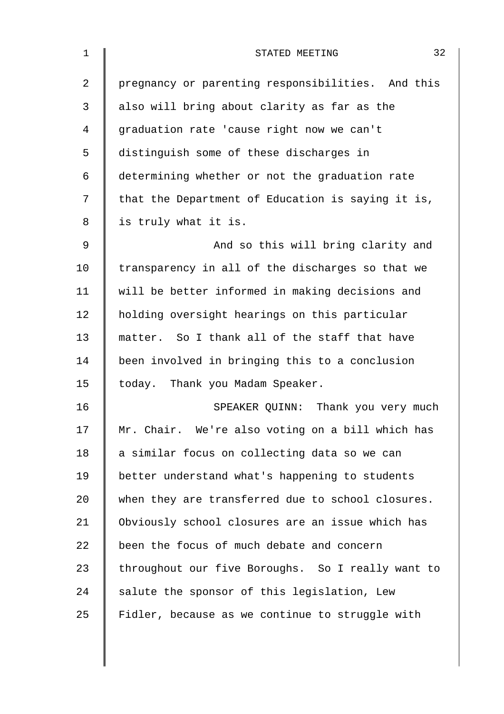| $\mathbf 1$ | 32<br>STATED MEETING                              |
|-------------|---------------------------------------------------|
| 2           | pregnancy or parenting responsibilities. And this |
| 3           | also will bring about clarity as far as the       |
| 4           | graduation rate 'cause right now we can't         |
| 5           | distinguish some of these discharges in           |
| 6           | determining whether or not the graduation rate    |
| 7           | that the Department of Education is saying it is, |
| 8           | is truly what it is.                              |
| $\mathsf 9$ | And so this will bring clarity and                |
| 10          | transparency in all of the discharges so that we  |
| 11          | will be better informed in making decisions and   |
| 12          | holding oversight hearings on this particular     |
| 13          | matter. So I thank all of the staff that have     |
| 14          | been involved in bringing this to a conclusion    |
| 15          | today. Thank you Madam Speaker.                   |
| 16          | SPEAKER QUINN: Thank you very much                |
| 17          | Mr. Chair. We're also voting on a bill which has  |
| 18          | a similar focus on collecting data so we can      |
| 19          | better understand what's happening to students    |
| 20          | when they are transferred due to school closures. |
| 21          | Obviously school closures are an issue which has  |
| 22          | been the focus of much debate and concern         |
| 23          | throughout our five Boroughs. So I really want to |
| 24          | salute the sponsor of this legislation, Lew       |
| 25          | Fidler, because as we continue to struggle with   |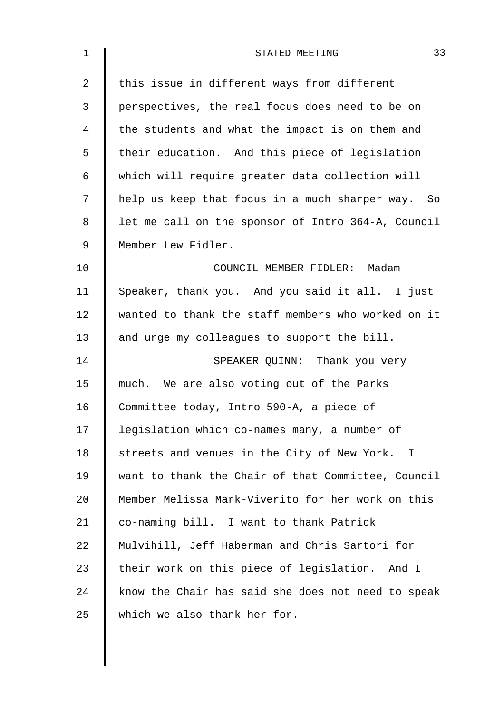| $\mathbf 1$ | 33<br>STATED MEETING                               |
|-------------|----------------------------------------------------|
| 2           | this issue in different ways from different        |
| 3           | perspectives, the real focus does need to be on    |
| 4           | the students and what the impact is on them and    |
| 5           | their education. And this piece of legislation     |
| 6           | which will require greater data collection will    |
| 7           | help us keep that focus in a much sharper way. So  |
| 8           | let me call on the sponsor of Intro 364-A, Council |
| 9           | Member Lew Fidler.                                 |
| 10          | COUNCIL MEMBER FIDLER: Madam                       |
| 11          | Speaker, thank you. And you said it all. I just    |
| 12          | wanted to thank the staff members who worked on it |
| 13          | and urge my colleagues to support the bill.        |
| 14          | SPEAKER QUINN: Thank you very                      |
| 15          | much. We are also voting out of the Parks          |
| 16          | Committee today, Intro 590-A, a piece of           |
| 17          | legislation which co-names many, a number of       |
| 18          | streets and venues in the City of New York. I      |
| 19          | want to thank the Chair of that Committee, Council |
| 20          | Member Melissa Mark-Viverito for her work on this  |
| 21          | co-naming bill. I want to thank Patrick            |
| 22          | Mulvihill, Jeff Haberman and Chris Sartori for     |
| 23          | their work on this piece of legislation. And I     |
| 24          | know the Chair has said she does not need to speak |
| 25          | which we also thank her for.                       |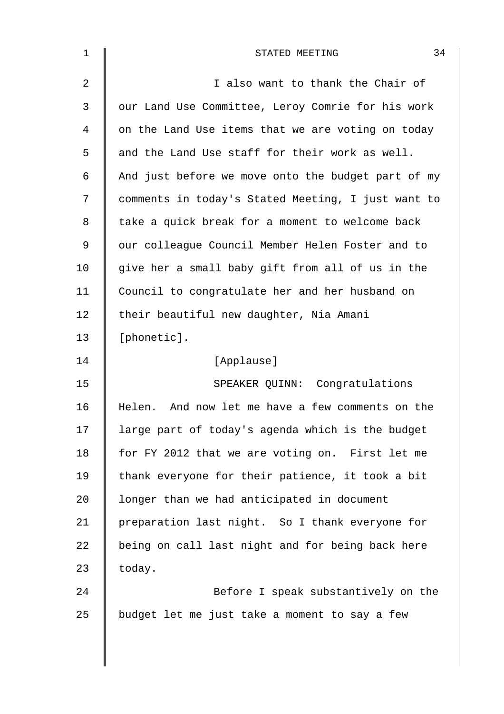| 1              | 34<br>STATED MEETING                                |
|----------------|-----------------------------------------------------|
| $\overline{2}$ | I also want to thank the Chair of                   |
| 3              | our Land Use Committee, Leroy Comrie for his work   |
| 4              | on the Land Use items that we are voting on today   |
| 5              | and the Land Use staff for their work as well.      |
| 6              | And just before we move onto the budget part of my  |
| 7              | comments in today's Stated Meeting, I just want to  |
| 8              | take a quick break for a moment to welcome back     |
| 9              | our colleague Council Member Helen Foster and to    |
| 10             | give her a small baby gift from all of us in the    |
| 11             | Council to congratulate her and her husband on      |
| 12             | their beautiful new daughter, Nia Amani             |
| 13             | [phonetic].                                         |
| 14             | [Applause]                                          |
| 15             | SPEAKER QUINN: Congratulations                      |
| 16             | And now let me have a few comments on the<br>Helen. |
| 17             | large part of today's agenda which is the budget    |
| 18             | for FY 2012 that we are voting on. First let me     |
| 19             | thank everyone for their patience, it took a bit    |
| 20             | longer than we had anticipated in document          |
| 21             | preparation last night. So I thank everyone for     |
| 22             | being on call last night and for being back here    |
| 23             | today.                                              |
| 24             | Before I speak substantively on the                 |
| 25             | budget let me just take a moment to say a few       |
|                |                                                     |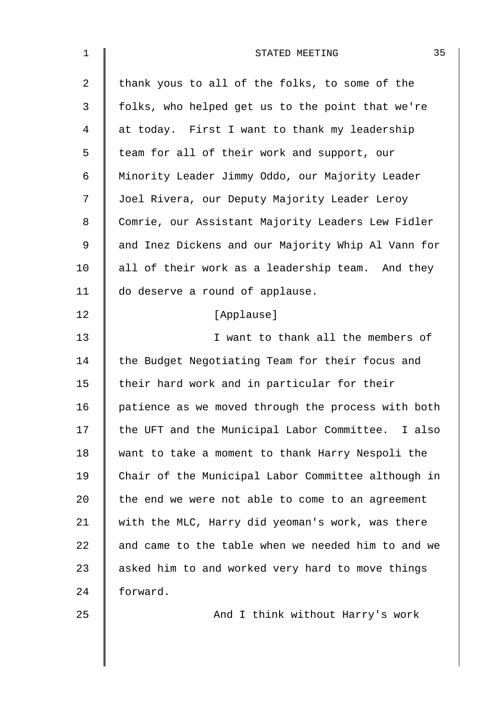| $\mathbf 1$    | 35<br>STATED MEETING                               |
|----------------|----------------------------------------------------|
| $\overline{2}$ | thank yous to all of the folks, to some of the     |
| 3              | folks, who helped get us to the point that we're   |
| 4              | at today. First I want to thank my leadership      |
| 5              | team for all of their work and support, our        |
| 6              | Minority Leader Jimmy Oddo, our Majority Leader    |
| 7              | Joel Rivera, our Deputy Majority Leader Leroy      |
| 8              | Comrie, our Assistant Majority Leaders Lew Fidler  |
| 9              | and Inez Dickens and our Majority Whip Al Vann for |
| 10             | all of their work as a leadership team. And they   |
| 11             | do deserve a round of applause.                    |
| 12             | [Applause]                                         |
| 13             | I want to thank all the members of                 |
| 14             | the Budget Negotiating Team for their focus and    |
| 15             | their hard work and in particular for their        |
| 16             | patience as we moved through the process with both |
| 17             | the UFT and the Municipal Labor Committee. I also  |
| 18             | want to take a moment to thank Harry Nespoli the   |
| 19             | Chair of the Municipal Labor Committee although in |
| 20             | the end we were not able to come to an agreement   |
| 21             | with the MLC, Harry did yeoman's work, was there   |
| 22             | and came to the table when we needed him to and we |
| 23             | asked him to and worked very hard to move things   |
| 24             | forward.                                           |
| 25             | And I think without Harry's work                   |
|                |                                                    |
|                |                                                    |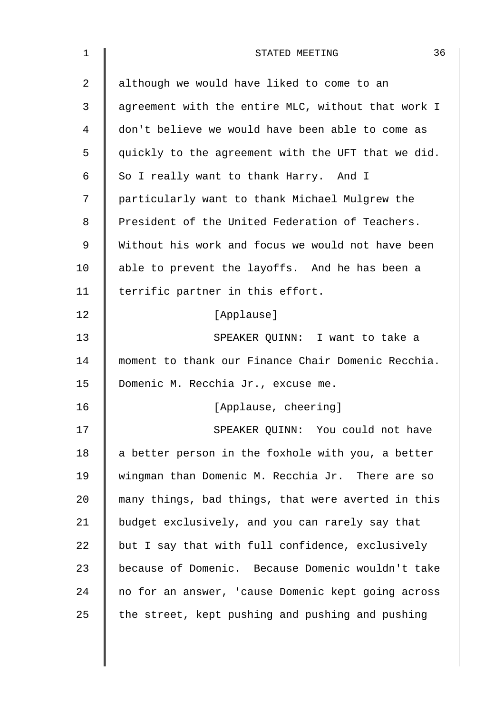| 1  | 36<br>STATED MEETING                               |
|----|----------------------------------------------------|
| 2  | although we would have liked to come to an         |
| 3  | agreement with the entire MLC, without that work I |
| 4  | don't believe we would have been able to come as   |
| 5  | quickly to the agreement with the UFT that we did. |
| 6  | So I really want to thank Harry. And I             |
| 7  | particularly want to thank Michael Mulgrew the     |
| 8  | President of the United Federation of Teachers.    |
| 9  | Without his work and focus we would not have been  |
| 10 | able to prevent the layoffs. And he has been a     |
| 11 | terrific partner in this effort.                   |
| 12 | [Applause]                                         |
| 13 | SPEAKER QUINN: I want to take a                    |
| 14 | moment to thank our Finance Chair Domenic Recchia. |
| 15 | Domenic M. Recchia Jr., excuse me.                 |
| 16 | [Applause, cheering]                               |
| 17 | SPEAKER QUINN: You could not have                  |
| 18 | a better person in the foxhole with you, a better  |
| 19 | wingman than Domenic M. Recchia Jr. There are so   |
| 20 | many things, bad things, that were averted in this |
| 21 | budget exclusively, and you can rarely say that    |
| 22 | but I say that with full confidence, exclusively   |
| 23 | because of Domenic. Because Domenic wouldn't take  |
| 24 | no for an answer, 'cause Domenic kept going across |
| 25 | the street, kept pushing and pushing and pushing   |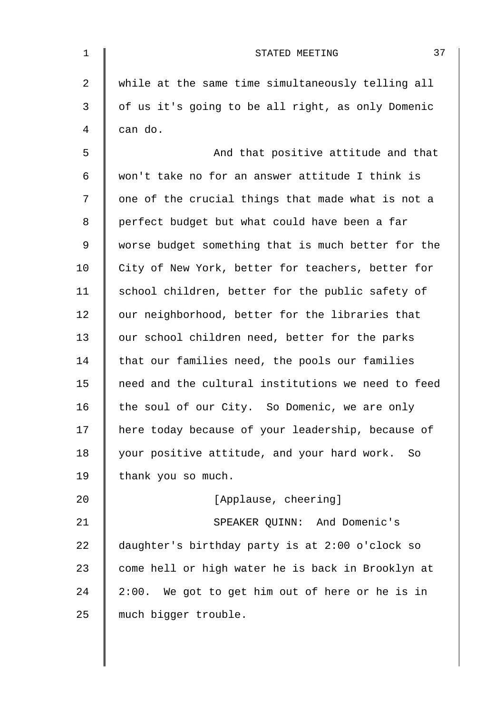| $\mathbf 1$    | 37<br>STATED MEETING                               |
|----------------|----------------------------------------------------|
| $\overline{2}$ | while at the same time simultaneously telling all  |
| 3              | of us it's going to be all right, as only Domenic  |
| 4              | can do.                                            |
| 5              | And that positive attitude and that                |
| 6              | won't take no for an answer attitude I think is    |
| 7              | one of the crucial things that made what is not a  |
| 8              | perfect budget but what could have been a far      |
| 9              | worse budget something that is much better for the |
| 10             | City of New York, better for teachers, better for  |
| 11             | school children, better for the public safety of   |
| 12             | our neighborhood, better for the libraries that    |
| 13             | our school children need, better for the parks     |
| 14             | that our families need, the pools our families     |
| 15             | need and the cultural institutions we need to feed |
| 16             | the soul of our City. So Domenic, we are only      |
| 17             | here today because of your leadership, because of  |
| 18             | your positive attitude, and your hard work. So     |
| 19             | thank you so much.                                 |
| 20             | [Applause, cheering]                               |
| 21             | SPEAKER QUINN: And Domenic's                       |
| 22             | daughter's birthday party is at 2:00 o'clock so    |
| 23             | come hell or high water he is back in Brooklyn at  |
| 24             | 2:00. We got to get him out of here or he is in    |
| 25             | much bigger trouble.                               |
|                |                                                    |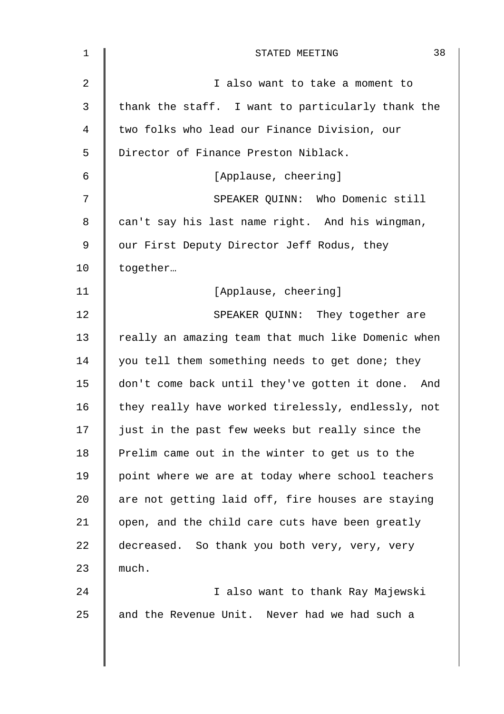| $\mathbf 1$    | 38<br>STATED MEETING                               |
|----------------|----------------------------------------------------|
| $\overline{2}$ | I also want to take a moment to                    |
| 3              | thank the staff. I want to particularly thank the  |
| 4              | two folks who lead our Finance Division, our       |
| 5              | Director of Finance Preston Niblack.               |
| $\epsilon$     | [Applause, cheering]                               |
| 7              | SPEAKER QUINN: Who Domenic still                   |
| 8              | can't say his last name right. And his wingman,    |
| 9              | our First Deputy Director Jeff Rodus, they         |
| 10             | together                                           |
| 11             | [Applause, cheering]                               |
| 12             | SPEAKER QUINN: They together are                   |
| 13             | really an amazing team that much like Domenic when |
| 14             | you tell them something needs to get done; they    |
| 15             | don't come back until they've gotten it done. And  |
| 16             | they really have worked tirelessly, endlessly, not |
| 17             | just in the past few weeks but really since the    |
| 18             | Prelim came out in the winter to get us to the     |
| 19             | point where we are at today where school teachers  |
| 20             | are not getting laid off, fire houses are staying  |
| 21             | open, and the child care cuts have been greatly    |
| 22             | decreased. So thank you both very, very, very      |
| 23             | much.                                              |
| 24             | I also want to thank Ray Majewski                  |
| 25             | and the Revenue Unit. Never had we had such a      |
|                |                                                    |
|                |                                                    |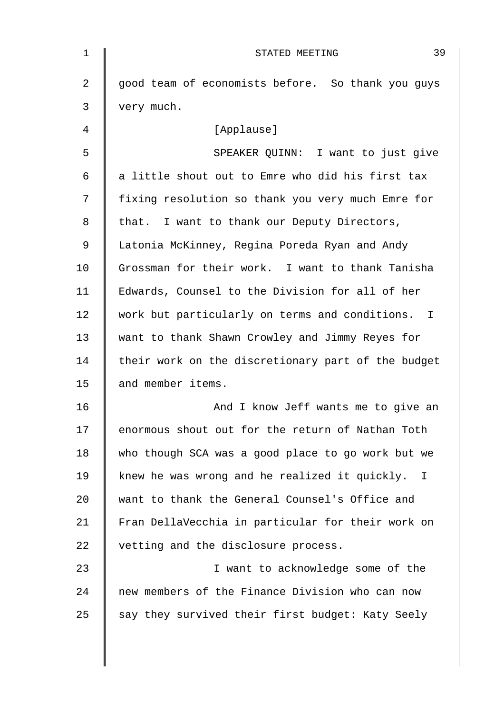| $\mathbf{1}$ | 39<br>STATED MEETING                                |
|--------------|-----------------------------------------------------|
| 2            | good team of economists before. So thank you guys   |
| 3            | very much.                                          |
| 4            | [Applause]                                          |
| 5            | SPEAKER QUINN: I want to just give                  |
| 6            | a little shout out to Emre who did his first tax    |
| 7            | fixing resolution so thank you very much Emre for   |
| 8            | that. I want to thank our Deputy Directors,         |
| 9            | Latonia McKinney, Regina Poreda Ryan and Andy       |
| 10           | Grossman for their work. I want to thank Tanisha    |
| 11           | Edwards, Counsel to the Division for all of her     |
| 12           | work but particularly on terms and conditions. I    |
| 13           | want to thank Shawn Crowley and Jimmy Reyes for     |
| 14           | their work on the discretionary part of the budget  |
| 15           | and member items.                                   |
| 16           | And I know Jeff wants me to give an                 |
| 17           | enormous shout out for the return of Nathan Toth    |
| 18           | who though SCA was a good place to go work but we   |
| 19           | knew he was wrong and he realized it quickly.<br>Ι. |
| 20           | want to thank the General Counsel's Office and      |
| 21           | Fran DellaVecchia in particular for their work on   |
| 22           | vetting and the disclosure process.                 |
| 23           | I want to acknowledge some of the                   |
| 24           | new members of the Finance Division who can now     |
| 25           | say they survived their first budget: Katy Seely    |
|              |                                                     |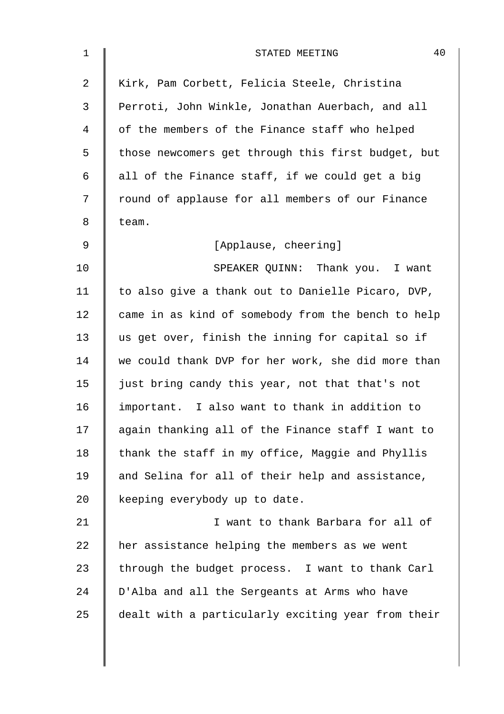| $\mathbf 1$ | 40<br>STATED MEETING                               |
|-------------|----------------------------------------------------|
| 2           | Kirk, Pam Corbett, Felicia Steele, Christina       |
| 3           | Perroti, John Winkle, Jonathan Auerbach, and all   |
| 4           | of the members of the Finance staff who helped     |
| 5           | those newcomers get through this first budget, but |
| 6           | all of the Finance staff, if we could get a big    |
| 7           | round of applause for all members of our Finance   |
| 8           | team.                                              |
| $\mathsf 9$ | [Applause, cheering]                               |
| 10          | SPEAKER QUINN: Thank you. I want                   |
| 11          | to also give a thank out to Danielle Picaro, DVP,  |
| 12          | came in as kind of somebody from the bench to help |
| 13          | us get over, finish the inning for capital so if   |
| 14          | we could thank DVP for her work, she did more than |
| 15          | just bring candy this year, not that that's not    |
| 16          | important. I also want to thank in addition to     |
| 17          | again thanking all of the Finance staff I want to  |
| 18          | thank the staff in my office, Maggie and Phyllis   |
| 19          | and Selina for all of their help and assistance,   |
| 20          | keeping everybody up to date.                      |
| 21          | I want to thank Barbara for all of                 |
| 22          | her assistance helping the members as we went      |
| 23          | through the budget process. I want to thank Carl   |
| 24          | D'Alba and all the Sergeants at Arms who have      |
| 25          | dealt with a particularly exciting year from their |
|             |                                                    |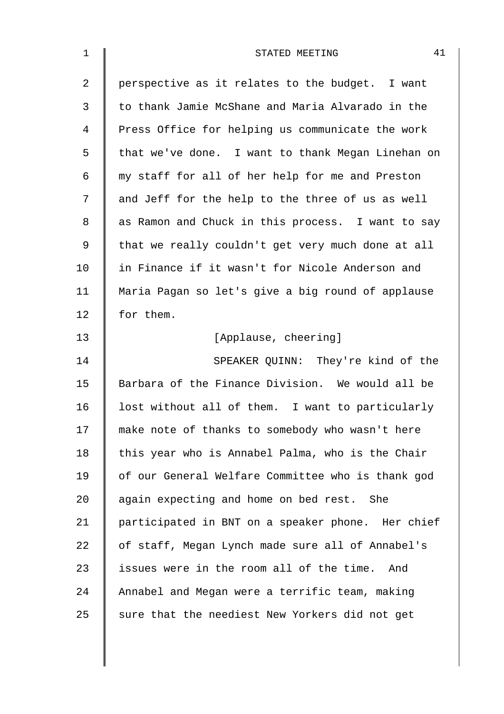| $\mathbf 1$    | 41<br>STATED MEETING                              |
|----------------|---------------------------------------------------|
| $\overline{2}$ | perspective as it relates to the budget. I want   |
| 3              | to thank Jamie McShane and Maria Alvarado in the  |
| $\overline{4}$ | Press Office for helping us communicate the work  |
| 5              | that we've done. I want to thank Megan Linehan on |
| 6              | my staff for all of her help for me and Preston   |
| 7              | and Jeff for the help to the three of us as well  |
| 8              | as Ramon and Chuck in this process. I want to say |
| 9              | that we really couldn't get very much done at all |
| 10             | in Finance if it wasn't for Nicole Anderson and   |
| 11             | Maria Pagan so let's give a big round of applause |
| 12             | for them.                                         |
| 13             | [Applause, cheering]                              |
| 14             | SPEAKER QUINN: They're kind of the                |
| 15             | Barbara of the Finance Division. We would all be  |
| 16             | lost without all of them. I want to particularly  |
| 17             | make note of thanks to somebody who wasn't here   |
| 18             | this year who is Annabel Palma, who is the Chair  |
| 19             | of our General Welfare Committee who is thank god |
| 20             | again expecting and home on bed rest. She         |
| 21             | participated in BNT on a speaker phone. Her chief |
| 22             | of staff, Megan Lynch made sure all of Annabel's  |
| 23             | issues were in the room all of the time.<br>And   |
| 24             | Annabel and Megan were a terrific team, making    |
| 25             | sure that the neediest New Yorkers did not get    |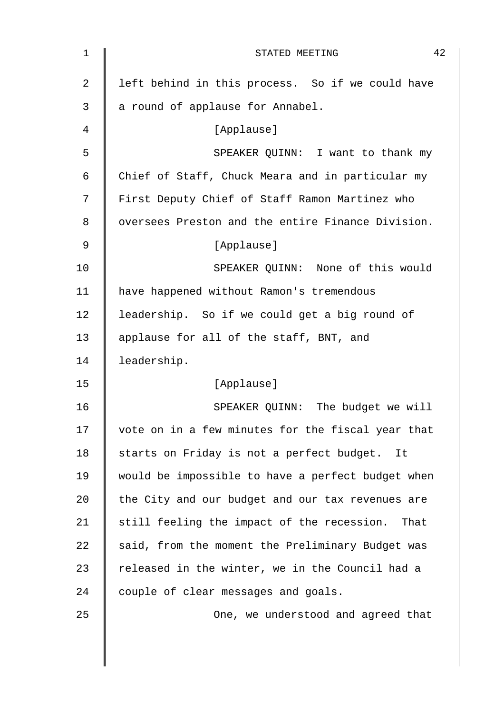| 1              | 42<br>STATED MEETING                               |
|----------------|----------------------------------------------------|
| $\overline{2}$ | left behind in this process. So if we could have   |
| 3              | a round of applause for Annabel.                   |
| 4              | [Applause]                                         |
| 5              | SPEAKER QUINN: I want to thank my                  |
| 6              | Chief of Staff, Chuck Meara and in particular my   |
| 7              | First Deputy Chief of Staff Ramon Martinez who     |
| 8              | oversees Preston and the entire Finance Division.  |
| 9              | [Applause]                                         |
| 10             | SPEAKER QUINN: None of this would                  |
| 11             | have happened without Ramon's tremendous           |
| 12             | leadership. So if we could get a big round of      |
| 13             | applause for all of the staff, BNT, and            |
| 14             | leadership.                                        |
| 15             | [Applause]                                         |
| 16             | SPEAKER QUINN: The budget we will                  |
| 17             | vote on in a few minutes for the fiscal year that  |
| 18             | starts on Friday is not a perfect budget.<br>It    |
| 19             | would be impossible to have a perfect budget when  |
| 20             | the City and our budget and our tax revenues are   |
| 21             | still feeling the impact of the recession.<br>That |
| 22             | said, from the moment the Preliminary Budget was   |
| 23             | released in the winter, we in the Council had a    |
| 24             | couple of clear messages and goals.                |
| 25             | One, we understood and agreed that                 |
|                |                                                    |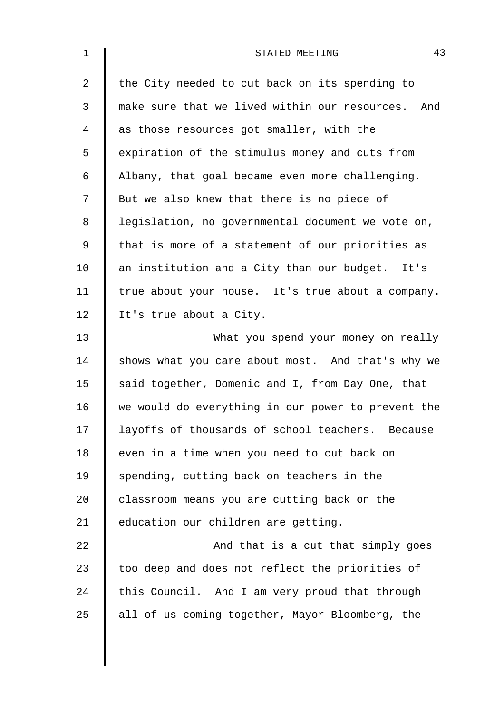| $\mathbf 1$    | 43<br>STATED MEETING                               |
|----------------|----------------------------------------------------|
| $\overline{2}$ | the City needed to cut back on its spending to     |
| 3              | make sure that we lived within our resources. And  |
| 4              | as those resources got smaller, with the           |
| 5              | expiration of the stimulus money and cuts from     |
| 6              | Albany, that goal became even more challenging.    |
| 7              | But we also knew that there is no piece of         |
| 8              | legislation, no governmental document we vote on,  |
| 9              | that is more of a statement of our priorities as   |
| 10             | an institution and a City than our budget. It's    |
| 11             | true about your house. It's true about a company.  |
| 12             | It's true about a City.                            |
| 13             | What you spend your money on really                |
| 14             | shows what you care about most. And that's why we  |
| 15             | said together, Domenic and I, from Day One, that   |
| 16             | we would do everything in our power to prevent the |
| 17             | layoffs of thousands of school teachers. Because   |
| 18             | even in a time when you need to cut back on        |
| 19             | spending, cutting back on teachers in the          |
| 20             | classroom means you are cutting back on the        |
| 21             | education our children are getting.                |
| 22             | And that is a cut that simply goes                 |
| 23             | too deep and does not reflect the priorities of    |
| 24             | this Council. And I am very proud that through     |
| 25             | all of us coming together, Mayor Bloomberg, the    |
|                |                                                    |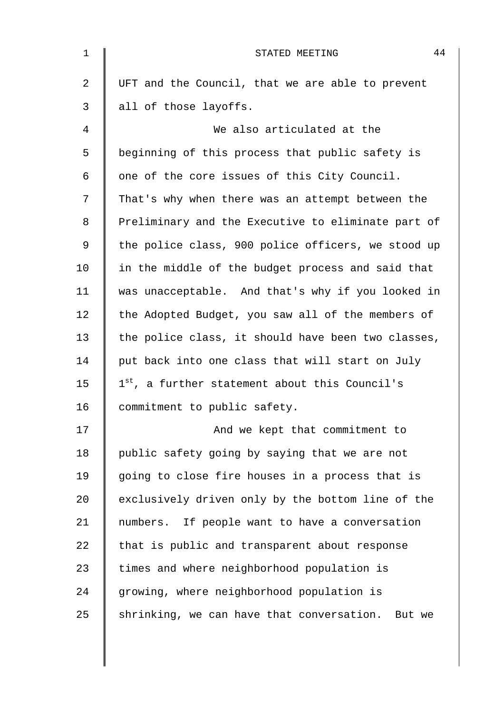| $\mathbf{1}$ | 44<br>STATED MEETING                               |
|--------------|----------------------------------------------------|
| 2            | UFT and the Council, that we are able to prevent   |
| 3            | all of those layoffs.                              |
| 4            | We also articulated at the                         |
| 5            | beginning of this process that public safety is    |
| 6            | one of the core issues of this City Council.       |
| 7            | That's why when there was an attempt between the   |
| 8            | Preliminary and the Executive to eliminate part of |
| 9            | the police class, 900 police officers, we stood up |
| 10           | in the middle of the budget process and said that  |
| 11           | was unacceptable. And that's why if you looked in  |
| 12           | the Adopted Budget, you saw all of the members of  |
| 13           | the police class, it should have been two classes, |
| 14           | put back into one class that will start on July    |
| 15           | 1st, a further statement about this Council's      |
| 16           | commitment to public safety.                       |
| 17           | And we kept that commitment to                     |
| 18           | public safety going by saying that we are not      |
| 19           | going to close fire houses in a process that is    |
| 20           | exclusively driven only by the bottom line of the  |
| 21           | numbers. If people want to have a conversation     |
| 22           | that is public and transparent about response      |
| 23           | times and where neighborhood population is         |
| 24           | growing, where neighborhood population is          |
| 25           | shrinking, we can have that conversation. But we   |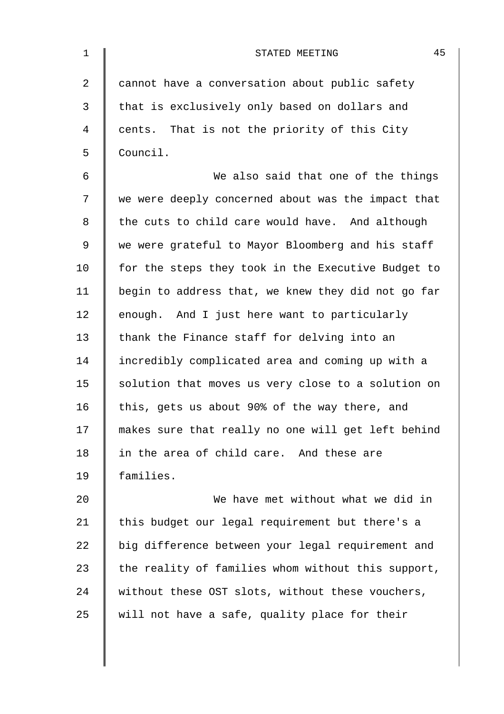| $\mathbf 1$    | 45<br>STATED MEETING                               |
|----------------|----------------------------------------------------|
| $\overline{a}$ | cannot have a conversation about public safety     |
| 3              | that is exclusively only based on dollars and      |
| 4              | cents. That is not the priority of this City       |
| 5              | Council.                                           |
| 6              | We also said that one of the things                |
| 7              | we were deeply concerned about was the impact that |
| 8              | the cuts to child care would have. And although    |
| 9              | we were grateful to Mayor Bloomberg and his staff  |
| 10             | for the steps they took in the Executive Budget to |
| 11             | begin to address that, we knew they did not go far |
| 12             | enough. And I just here want to particularly       |
| 13             | thank the Finance staff for delving into an        |
| 14             | incredibly complicated area and coming up with a   |
| 15             | solution that moves us very close to a solution on |
| 16             | this, gets us about 90% of the way there, and      |
| 17             | makes sure that really no one will get left behind |
| 18             | in the area of child care. And these are           |
| 19             | families.                                          |
| 20             | We have met without what we did in                 |
| 21             | this budget our legal requirement but there's a    |
| 22             | big difference between your legal requirement and  |
| 23             | the reality of families whom without this support, |
| 24             | without these OST slots, without these vouchers,   |
| 25             | will not have a safe, quality place for their      |
|                |                                                    |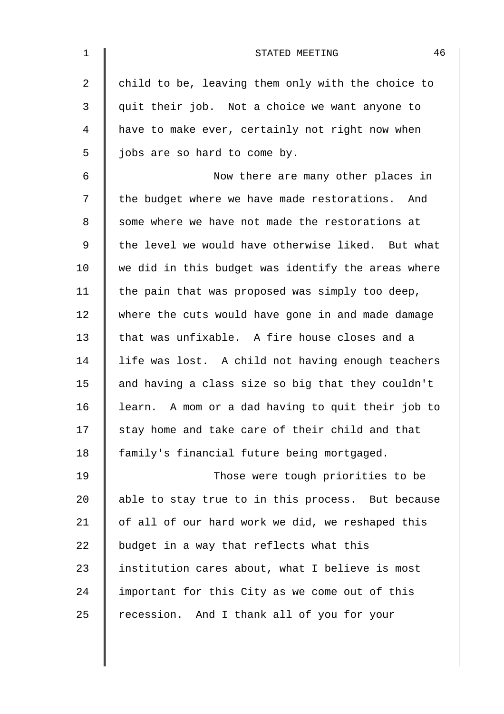| $\mathbf 1$ | 46<br>STATED MEETING                               |
|-------------|----------------------------------------------------|
| 2           | child to be, leaving them only with the choice to  |
| 3           | quit their job. Not a choice we want anyone to     |
| 4           | have to make ever, certainly not right now when    |
| 5           | jobs are so hard to come by.                       |
| 6           | Now there are many other places in                 |
| 7           | the budget where we have made restorations. And    |
| 8           | some where we have not made the restorations at    |
| 9           | the level we would have otherwise liked. But what  |
| 10          | we did in this budget was identify the areas where |
| 11          | the pain that was proposed was simply too deep,    |
| 12          | where the cuts would have gone in and made damage  |
| 13          | that was unfixable. A fire house closes and a      |
| 14          | life was lost. A child not having enough teachers  |
| 15          | and having a class size so big that they couldn't  |
| 16          | learn. A mom or a dad having to quit their job to  |
| 17          | stay home and take care of their child and that    |
| 18          | family's financial future being mortgaged.         |
| 19          | Those were tough priorities to be                  |
| 20          | able to stay true to in this process. But because  |
| 21          | of all of our hard work we did, we reshaped this   |
| 22          | budget in a way that reflects what this            |
| 23          | institution cares about, what I believe is most    |
| 24          | important for this City as we come out of this     |
| 25          | recession. And I thank all of you for your         |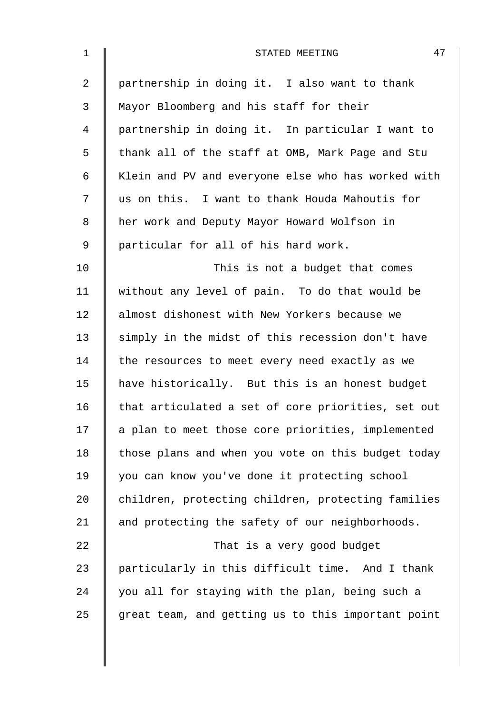| $\mathbf{1}$   | 47<br>STATED MEETING                               |
|----------------|----------------------------------------------------|
| $\overline{2}$ | partnership in doing it. I also want to thank      |
| 3              | Mayor Bloomberg and his staff for their            |
| 4              | partnership in doing it. In particular I want to   |
| 5              | thank all of the staff at OMB, Mark Page and Stu   |
| 6              | Klein and PV and everyone else who has worked with |
| 7              | us on this. I want to thank Houda Mahoutis for     |
| 8              | her work and Deputy Mayor Howard Wolfson in        |
| 9              | particular for all of his hard work.               |
| 10             | This is not a budget that comes                    |
| 11             | without any level of pain. To do that would be     |
| 12             | almost dishonest with New Yorkers because we       |
| 13             | simply in the midst of this recession don't have   |
| 14             | the resources to meet every need exactly as we     |
| 15             | have historically. But this is an honest budget    |
| 16             | that articulated a set of core priorities, set out |
| 17             | a plan to meet those core priorities, implemented  |
| 18             | those plans and when you vote on this budget today |
| 19             | you can know you've done it protecting school      |
| 20             | children, protecting children, protecting families |
| 21             | and protecting the safety of our neighborhoods.    |
| 22             | That is a very good budget                         |
| 23             | particularly in this difficult time. And I thank   |
| 24             | you all for staying with the plan, being such a    |
| 25             | great team, and getting us to this important point |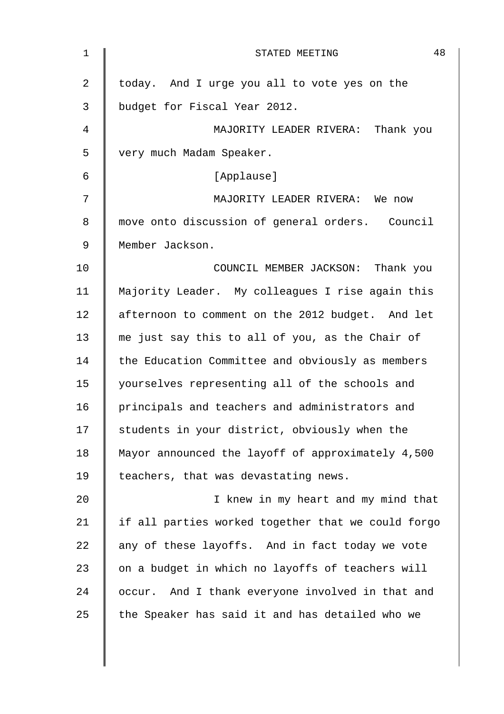| 1  | 48<br>STATED MEETING                               |
|----|----------------------------------------------------|
| 2  | today. And I urge you all to vote yes on the       |
| 3  | budget for Fiscal Year 2012.                       |
| 4  | MAJORITY LEADER RIVERA: Thank you                  |
| 5  | very much Madam Speaker.                           |
| 6  | [Applause]                                         |
| 7  | MAJORITY LEADER RIVERA: We now                     |
| 8  | move onto discussion of general orders. Council    |
| 9  | Member Jackson.                                    |
| 10 | COUNCIL MEMBER JACKSON: Thank you                  |
| 11 | Majority Leader. My colleagues I rise again this   |
| 12 | afternoon to comment on the 2012 budget. And let   |
| 13 | me just say this to all of you, as the Chair of    |
| 14 | the Education Committee and obviously as members   |
| 15 | yourselves representing all of the schools and     |
| 16 | principals and teachers and administrators and     |
| 17 | students in your district, obviously when the      |
| 18 | Mayor announced the layoff of approximately 4,500  |
| 19 | teachers, that was devastating news.               |
| 20 | I knew in my heart and my mind that                |
| 21 | if all parties worked together that we could forgo |
| 22 | any of these layoffs. And in fact today we vote    |
| 23 | on a budget in which no layoffs of teachers will   |
| 24 | occur. And I thank everyone involved in that and   |
| 25 | the Speaker has said it and has detailed who we    |
|    |                                                    |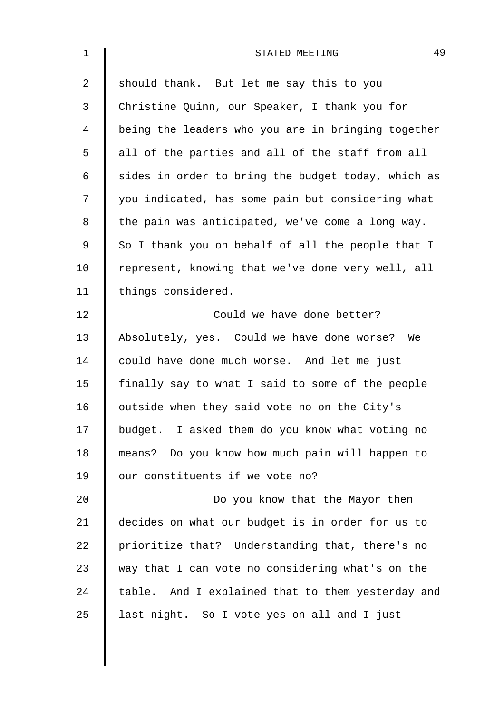| 1  | 49<br>STATED MEETING                               |
|----|----------------------------------------------------|
| 2  | should thank. But let me say this to you           |
| 3  | Christine Quinn, our Speaker, I thank you for      |
| 4  | being the leaders who you are in bringing together |
| 5  | all of the parties and all of the staff from all   |
| 6  | sides in order to bring the budget today, which as |
| 7  | you indicated, has some pain but considering what  |
| 8  | the pain was anticipated, we've come a long way.   |
| 9  | So I thank you on behalf of all the people that I  |
| 10 | represent, knowing that we've done very well, all  |
| 11 | things considered.                                 |
| 12 | Could we have done better?                         |
| 13 | Absolutely, yes. Could we have done worse? We      |
| 14 | could have done much worse. And let me just        |
| 15 | finally say to what I said to some of the people   |
| 16 | outside when they said vote no on the City's       |
| 17 | budget. I asked them do you know what voting no    |
| 18 | means? Do you know how much pain will happen to    |
| 19 | our constituents if we vote no?                    |
| 20 | Do you know that the Mayor then                    |
| 21 | decides on what our budget is in order for us to   |
| 22 | prioritize that? Understanding that, there's no    |
| 23 | way that I can vote no considering what's on the   |
| 24 | table. And I explained that to them yesterday and  |
| 25 | last night. So I vote yes on all and I just        |
|    |                                                    |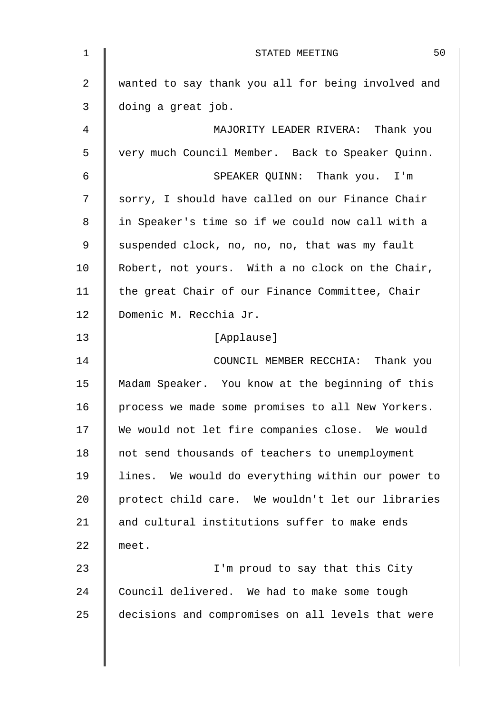| 1              | 50<br>STATED MEETING                               |
|----------------|----------------------------------------------------|
| $\overline{2}$ | wanted to say thank you all for being involved and |
| 3              | doing a great job.                                 |
| 4              | MAJORITY LEADER RIVERA: Thank you                  |
| 5              | very much Council Member. Back to Speaker Quinn.   |
| 6              | SPEAKER QUINN: Thank you. I'm                      |
| 7              | sorry, I should have called on our Finance Chair   |
| 8              | in Speaker's time so if we could now call with a   |
| 9              | suspended clock, no, no, no, that was my fault     |
| 10             | Robert, not yours. With a no clock on the Chair,   |
| 11             | the great Chair of our Finance Committee, Chair    |
| 12             | Domenic M. Recchia Jr.                             |
| 13             | [Applause]                                         |
| 14             | COUNCIL MEMBER RECCHIA: Thank you                  |
| 15             | Madam Speaker. You know at the beginning of this   |
| 16             | process we made some promises to all New Yorkers.  |
| 17             | We would not let fire companies close. We would    |
| 18             | not send thousands of teachers to unemployment     |
| 19             | lines. We would do everything within our power to  |
| 20             | protect child care. We wouldn't let our libraries  |
| 21             | and cultural institutions suffer to make ends      |
| 22             | meet.                                              |
| 23             | I'm proud to say that this City                    |
| 24             | Council delivered. We had to make some tough       |
| 25             | decisions and compromises on all levels that were  |
|                |                                                    |
|                |                                                    |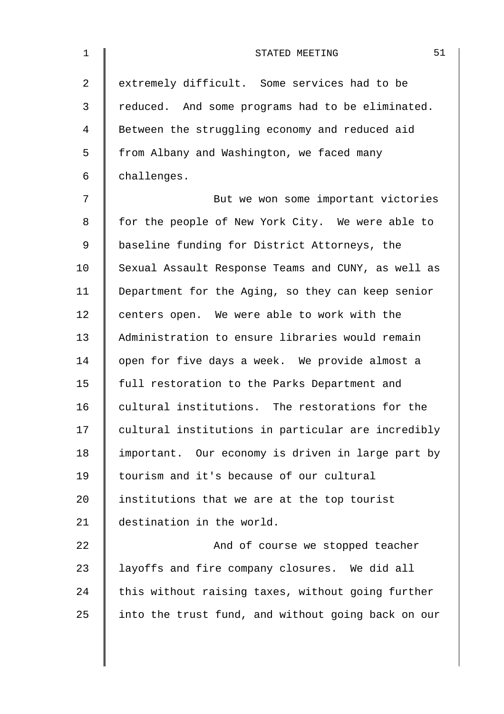| 1              | 51<br>STATED MEETING                               |
|----------------|----------------------------------------------------|
| $\overline{2}$ | extremely difficult. Some services had to be       |
| 3              | reduced. And some programs had to be eliminated.   |
| 4              | Between the struggling economy and reduced aid     |
| 5              | from Albany and Washington, we faced many          |
| 6              | challenges.                                        |
| 7              | But we won some important victories                |
| 8              | for the people of New York City. We were able to   |
| 9              | baseline funding for District Attorneys, the       |
| 10             | Sexual Assault Response Teams and CUNY, as well as |
| 11             | Department for the Aging, so they can keep senior  |
| 12             | centers open. We were able to work with the        |
| 13             | Administration to ensure libraries would remain    |
| 14             | open for five days a week. We provide almost a     |
| 15             | full restoration to the Parks Department and       |
| 16             | cultural institutions. The restorations for the    |
| 17             | cultural institutions in particular are incredibly |
| 18             | important. Our economy is driven in large part by  |
| 19             | tourism and it's because of our cultural           |
| 20             | institutions that we are at the top tourist        |
| 21             | destination in the world.                          |
| 22             | And of course we stopped teacher                   |
| 23             | layoffs and fire company closures. We did all      |
| 24             | this without raising taxes, without going further  |
| 25             | into the trust fund, and without going back on our |
|                |                                                    |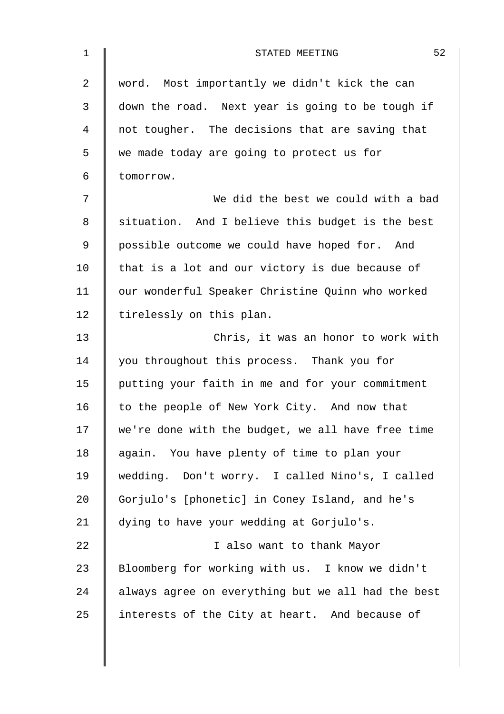| $\mathbf 1$ | 52<br>STATED MEETING                               |
|-------------|----------------------------------------------------|
| 2           | word. Most importantly we didn't kick the can      |
| 3           | down the road. Next year is going to be tough if   |
| 4           | not tougher. The decisions that are saving that    |
| 5           | we made today are going to protect us for          |
| 6           | tomorrow.                                          |
| 7           | We did the best we could with a bad                |
| 8           | situation. And I believe this budget is the best   |
| 9           | possible outcome we could have hoped for. And      |
| 10          | that is a lot and our victory is due because of    |
| 11          | our wonderful Speaker Christine Quinn who worked   |
| 12          | tirelessly on this plan.                           |
| 13          | Chris, it was an honor to work with                |
| 14          | you throughout this process. Thank you for         |
| 15          | putting your faith in me and for your commitment   |
| 16          | to the people of New York City. And now that       |
| 17          | we're done with the budget, we all have free time  |
| 18          | again. You have plenty of time to plan your        |
| 19          | wedding. Don't worry. I called Nino's, I called    |
| 20          | Gorjulo's [phonetic] in Coney Island, and he's     |
| 21          | dying to have your wedding at Gorjulo's.           |
| 22          | I also want to thank Mayor                         |
| 23          | Bloomberg for working with us. I know we didn't    |
| 24          | always agree on everything but we all had the best |
| 25          | interests of the City at heart. And because of     |
|             |                                                    |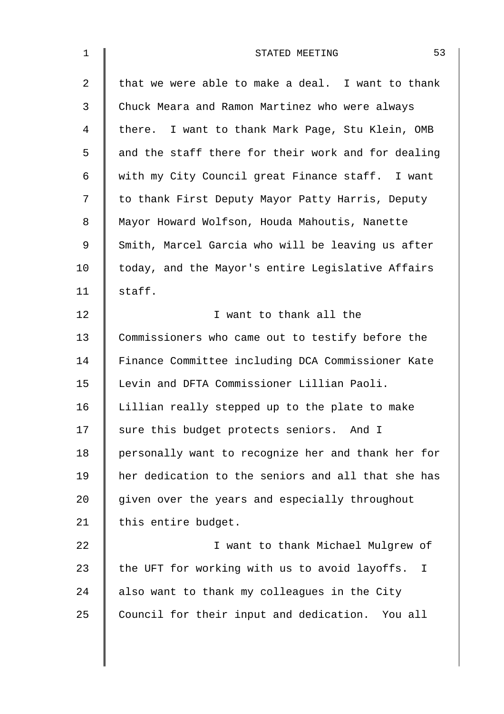| $\mathbf 1$    | 53<br>STATED MEETING                                          |
|----------------|---------------------------------------------------------------|
| $\overline{2}$ | that we were able to make a deal. I want to thank             |
| 3              | Chuck Meara and Ramon Martinez who were always                |
| 4              | there. I want to thank Mark Page, Stu Klein, OMB              |
| 5              | and the staff there for their work and for dealing            |
| 6              | with my City Council great Finance staff. I want              |
| 7              | to thank First Deputy Mayor Patty Harris, Deputy              |
| 8              | Mayor Howard Wolfson, Houda Mahoutis, Nanette                 |
| 9              | Smith, Marcel Garcia who will be leaving us after             |
| 10             | today, and the Mayor's entire Legislative Affairs             |
| 11             | staff.                                                        |
| 12             | I want to thank all the                                       |
| 13             | Commissioners who came out to testify before the              |
| 14             | Finance Committee including DCA Commissioner Kate             |
| 15             | Levin and DFTA Commissioner Lillian Paoli.                    |
| 16             | Lillian really stepped up to the plate to make                |
| 17             | sure this budget protects seniors. And I                      |
| 18             | personally want to recognize her and thank her for            |
| 19             | her dedication to the seniors and all that she has            |
| 20             | given over the years and especially throughout                |
| 21             | this entire budget.                                           |
| 22             | I want to thank Michael Mulgrew of                            |
| 23             | the UFT for working with us to avoid layoffs.<br>$\mathbf{I}$ |
| 24             | also want to thank my colleagues in the City                  |
| 25             | Council for their input and dedication. You all               |
|                |                                                               |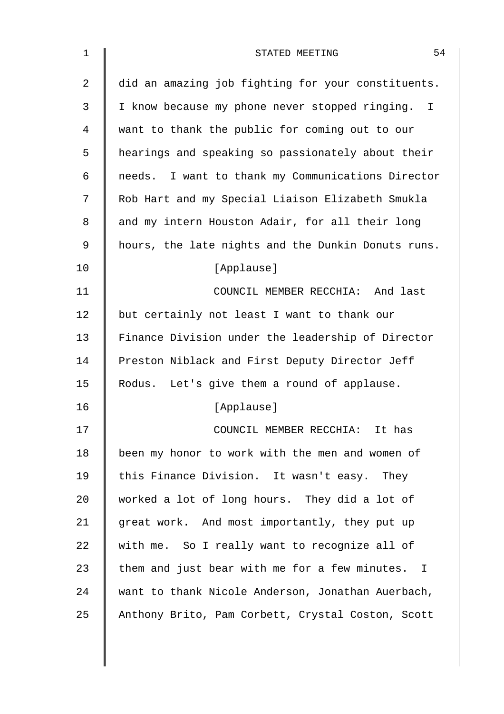| $\mathbf 1$ | 54<br>STATED MEETING                               |
|-------------|----------------------------------------------------|
| 2           | did an amazing job fighting for your constituents. |
| 3           | I know because my phone never stopped ringing. I   |
| 4           | want to thank the public for coming out to our     |
| 5           | hearings and speaking so passionately about their  |
| 6           | needs. I want to thank my Communications Director  |
| 7           | Rob Hart and my Special Liaison Elizabeth Smukla   |
| 8           | and my intern Houston Adair, for all their long    |
| 9           | hours, the late nights and the Dunkin Donuts runs. |
| 10          | [Applause]                                         |
| 11          | COUNCIL MEMBER RECCHIA: And last                   |
| 12          | but certainly not least I want to thank our        |
| 13          | Finance Division under the leadership of Director  |
| 14          | Preston Niblack and First Deputy Director Jeff     |
| 15          | Rodus. Let's give them a round of applause.        |
| 16          | [Applause]                                         |
| 17          | COUNCIL MEMBER RECCHIA: It has                     |
| 18          | been my honor to work with the men and women of    |
| 19          | this Finance Division. It wasn't easy. They        |
| 20          | worked a lot of long hours. They did a lot of      |
| 21          | great work. And most importantly, they put up      |
| 22          | with me. So I really want to recognize all of      |
| 23          | them and just bear with me for a few minutes. I    |
| 24          | want to thank Nicole Anderson, Jonathan Auerbach,  |
| 25          | Anthony Brito, Pam Corbett, Crystal Coston, Scott  |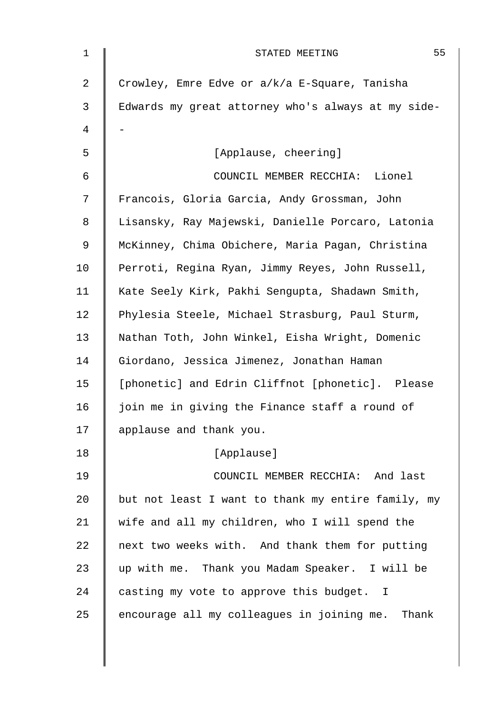| 1  | 55<br>STATED MEETING                               |
|----|----------------------------------------------------|
| 2  | Crowley, Emre Edve or a/k/a E-Square, Tanisha      |
| 3  | Edwards my great attorney who's always at my side- |
| 4  |                                                    |
| 5  | [Applause, cheering]                               |
| 6  | COUNCIL MEMBER RECCHIA: Lionel                     |
| 7  | Francois, Gloria Garcia, Andy Grossman, John       |
| 8  | Lisansky, Ray Majewski, Danielle Porcaro, Latonia  |
| 9  | McKinney, Chima Obichere, Maria Pagan, Christina   |
| 10 | Perroti, Regina Ryan, Jimmy Reyes, John Russell,   |
| 11 | Kate Seely Kirk, Pakhi Sengupta, Shadawn Smith,    |
| 12 | Phylesia Steele, Michael Strasburg, Paul Sturm,    |
| 13 | Nathan Toth, John Winkel, Eisha Wright, Domenic    |
| 14 | Giordano, Jessica Jimenez, Jonathan Haman          |
| 15 | [phonetic] and Edrin Cliffnot [phonetic]. Please   |
| 16 | join me in giving the Finance staff a round of     |
| 17 | applause and thank you.                            |
| 18 | [Applause]                                         |
| 19 | COUNCIL MEMBER RECCHIA: And last                   |
| 20 | but not least I want to thank my entire family, my |
| 21 | wife and all my children, who I will spend the     |
| 22 | next two weeks with. And thank them for putting    |
| 23 | up with me. Thank you Madam Speaker. I will be     |
| 24 | casting my vote to approve this budget. I          |
| 25 | encourage all my colleagues in joining me. Thank   |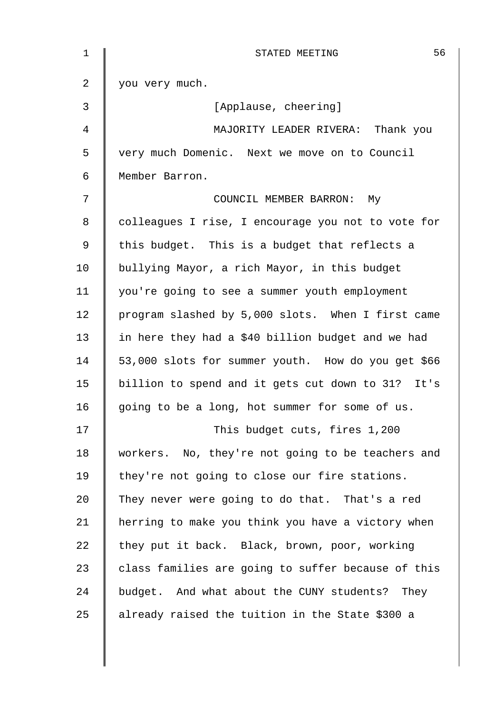| $\mathbf 1$    | 56<br>STATED MEETING                               |
|----------------|----------------------------------------------------|
| $\overline{a}$ | you very much.                                     |
| 3              | [Applause, cheering]                               |
| 4              | MAJORITY LEADER RIVERA: Thank you                  |
| 5              | very much Domenic. Next we move on to Council      |
| 6              | Member Barron.                                     |
| 7              | COUNCIL MEMBER BARRON: My                          |
| 8              | colleagues I rise, I encourage you not to vote for |
| 9              | this budget. This is a budget that reflects a      |
| 10             | bullying Mayor, a rich Mayor, in this budget       |
| 11             | you're going to see a summer youth employment      |
| 12             | program slashed by 5,000 slots. When I first came  |
| 13             | in here they had a \$40 billion budget and we had  |
| 14             | 53,000 slots for summer youth. How do you get \$66 |
| 15             | billion to spend and it gets cut down to 31? It's  |
| 16             | going to be a long, hot summer for some of us.     |
| 17             | This budget cuts, fires 1,200                      |
| 18             | workers. No, they're not going to be teachers and  |
| 19             | they're not going to close our fire stations.      |
| 20             | They never were going to do that. That's a red     |
| 21             | herring to make you think you have a victory when  |
| 22             | they put it back. Black, brown, poor, working      |
| 23             | class families are going to suffer because of this |
| 24             | budget. And what about the CUNY students? They     |
| 25             | already raised the tuition in the State \$300 a    |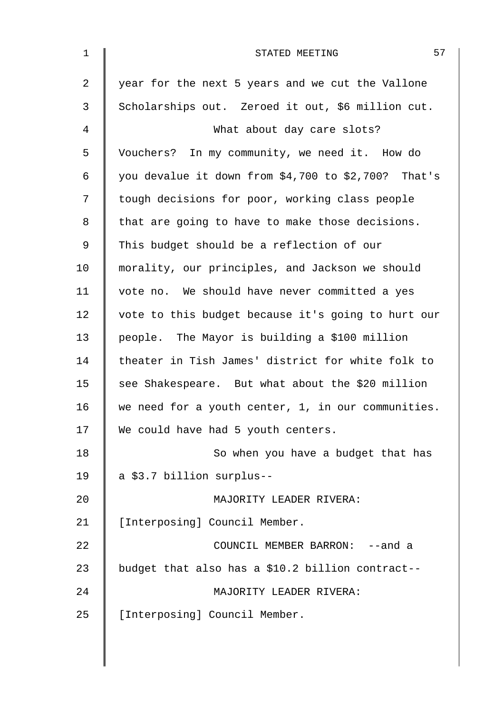| $\mathbf 1$    | 57<br>STATED MEETING                                  |
|----------------|-------------------------------------------------------|
| $\overline{2}$ | year for the next 5 years and we cut the Vallone      |
| 3              | Scholarships out. Zeroed it out, \$6 million cut.     |
| 4              | What about day care slots?                            |
| 5              | Vouchers? In my community, we need it. How do         |
| 6              | you devalue it down from \$4,700 to \$2,700? That's   |
| 7              | tough decisions for poor, working class people        |
| 8              | that are going to have to make those decisions.       |
| 9              | This budget should be a reflection of our             |
| 10             | morality, our principles, and Jackson we should       |
| 11             | vote no. We should have never committed a yes         |
| 12             | vote to this budget because it's going to hurt our    |
| 13             | people. The Mayor is building a \$100 million         |
| 14             | theater in Tish James' district for white folk to     |
| 15             | see Shakespeare. But what about the \$20 million      |
| 16             | we need for a youth center, $1$ , in our communities. |
| 17             | We could have had 5 youth centers.                    |
| 18             | So when you have a budget that has                    |
| 19             | a \$3.7 billion surplus--                             |
| 20             | MAJORITY LEADER RIVERA:                               |
| 21             | [Interposing] Council Member.                         |
| 22             | COUNCIL MEMBER BARRON: -- and a                       |
| 23             | budget that also has a \$10.2 billion contract--      |
| 24             | MAJORITY LEADER RIVERA:                               |
| 25             | [Interposing] Council Member.                         |
|                |                                                       |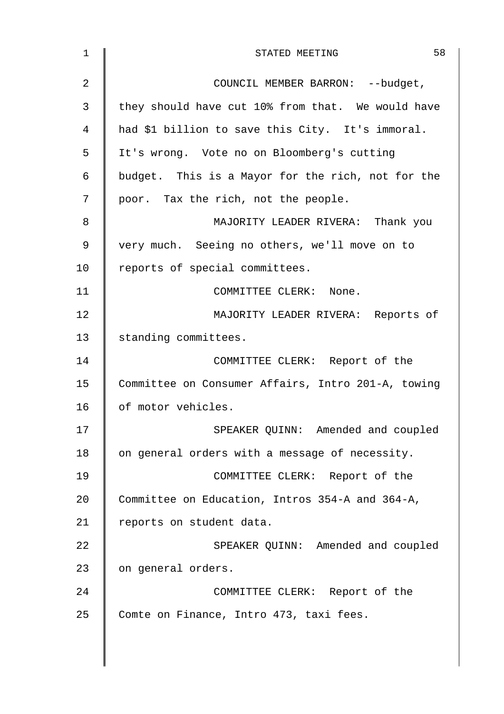| $\mathbf 1$    | 58<br>STATED MEETING                               |
|----------------|----------------------------------------------------|
| $\overline{2}$ | COUNCIL MEMBER BARRON: -- budget,                  |
| 3              | they should have cut 10% from that. We would have  |
| 4              | had \$1 billion to save this City. It's immoral.   |
| 5              | It's wrong. Vote no on Bloomberg's cutting         |
| 6              | budget. This is a Mayor for the rich, not for the  |
| 7              | poor. Tax the rich, not the people.                |
| 8              | MAJORITY LEADER RIVERA: Thank you                  |
| 9              | very much. Seeing no others, we'll move on to      |
| 10             | reports of special committees.                     |
| 11             | COMMITTEE CLERK: None.                             |
| 12             | MAJORITY LEADER RIVERA: Reports of                 |
| 13             | standing committees.                               |
| 14             | COMMITTEE CLERK: Report of the                     |
| 15             | Committee on Consumer Affairs, Intro 201-A, towing |
| 16             | of motor vehicles.                                 |
| 17             | SPEAKER QUINN: Amended and coupled                 |
| 18             | on general orders with a message of necessity.     |
| 19             | COMMITTEE CLERK: Report of the                     |
| 20             | Committee on Education, Intros 354-A and 364-A,    |
| 21             | reports on student data.                           |
| 22             | SPEAKER QUINN: Amended and coupled                 |
| 23             | on general orders.                                 |
| 24             | COMMITTEE CLERK: Report of the                     |
| 25             | Comte on Finance, Intro 473, taxi fees.            |
|                |                                                    |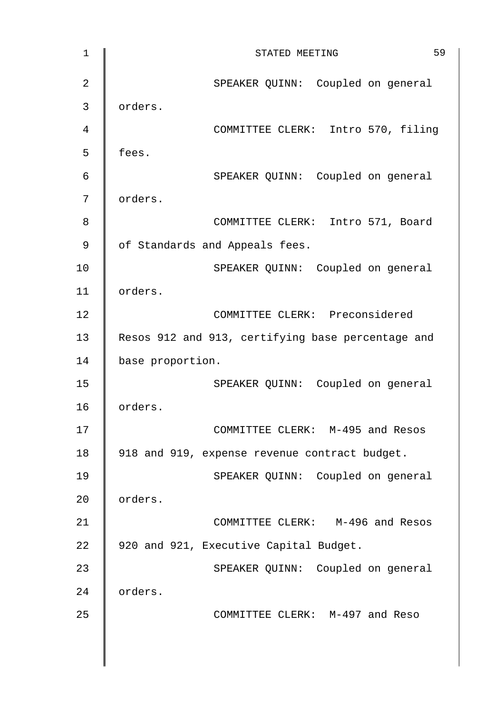| $\mathbf 1$    | 59<br>STATED MEETING                              |
|----------------|---------------------------------------------------|
| $\overline{2}$ | SPEAKER QUINN: Coupled on general                 |
| 3              | orders.                                           |
| 4              | COMMITTEE CLERK: Intro 570, filing                |
| 5              | fees.                                             |
| 6              | SPEAKER QUINN: Coupled on general                 |
| 7              | orders.                                           |
| 8              | COMMITTEE CLERK: Intro 571, Board                 |
| 9              | of Standards and Appeals fees.                    |
| 10             | SPEAKER QUINN: Coupled on general                 |
| 11             | orders.                                           |
| 12             | COMMITTEE CLERK: Preconsidered                    |
| 13             | Resos 912 and 913, certifying base percentage and |
| 14             | base proportion.                                  |
| 15             | SPEAKER QUINN: Coupled on general                 |
| 16             | orders.                                           |
| 17             | COMMITTEE CLERK: M-495 and Resos                  |
| 18             | 918 and 919, expense revenue contract budget.     |
| 19             | SPEAKER QUINN: Coupled on general                 |
| 20             | orders.                                           |
| 21             | COMMITTEE CLERK: M-496 and Resos                  |
| 22             | 920 and 921, Executive Capital Budget.            |
| 23             | SPEAKER QUINN: Coupled on general                 |
| 24             | orders.                                           |
| 25             | COMMITTEE CLERK: M-497 and Reso                   |
|                |                                                   |
|                |                                                   |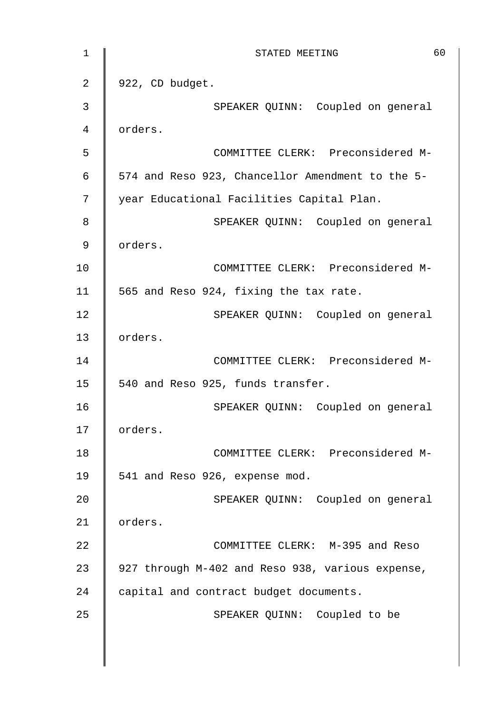1 || STATED MEETING 60  $2 \parallel 922$ , CD budget. 3 || SPEAKER QUINN: Coupled on general 4 orders. 5 COMMITTEE CLERK: Preconsidered M- $6 \parallel$  574 and Reso 923, Chancellor Amendment to the 5-7 | year Educational Facilities Capital Plan. 8 SPEAKER QUINN: Coupled on general 9 orders. 10 COMMITTEE CLERK: Preconsidered M-11  $\parallel$  565 and Reso 924, fixing the tax rate. 12 | SPEAKER QUINN: Coupled on general 13 | orders. 14 | COMMITTEE CLERK: Preconsidered M-15 | 540 and Reso 925, funds transfer. 16 || SPEAKER QUINN: Coupled on general 17 | orders. 18 | COMMITTEE CLERK: Preconsidered M-19 | 541 and Reso 926, expense mod. 20 | SPEAKER QUINN: Coupled on general 21 | orders. 22 **COMMITTEE CLERK:** M-395 and Reso 23 | 927 through M-402 and Reso 938, various expense, 24 capital and contract budget documents. 25 | SPEAKER QUINN: Coupled to be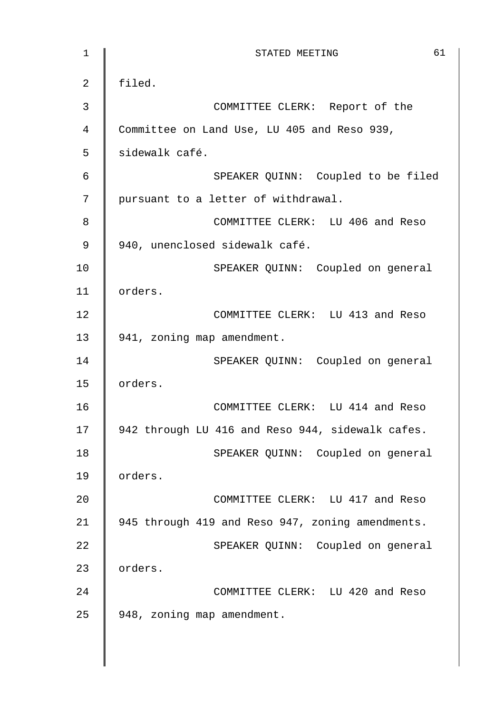| $\mathbf 1$    | 61<br>STATED MEETING                             |
|----------------|--------------------------------------------------|
| $\overline{2}$ | filed.                                           |
| 3              | COMMITTEE CLERK: Report of the                   |
| 4              | Committee on Land Use, LU 405 and Reso 939,      |
| 5              | sidewalk café.                                   |
| $\epsilon$     | SPEAKER QUINN: Coupled to be filed               |
| 7              | pursuant to a letter of withdrawal.              |
| 8              | COMMITTEE CLERK: LU 406 and Reso                 |
| 9              | 940, unenclosed sidewalk café.                   |
| 10             | SPEAKER QUINN: Coupled on general                |
| 11             | orders.                                          |
| 12             | COMMITTEE CLERK: LU 413 and Reso                 |
| 13             | 941, zoning map amendment.                       |
| 14             | SPEAKER QUINN: Coupled on general                |
| 15             | orders.                                          |
| 16             | COMMITTEE CLERK: LU 414 and Reso                 |
| 17             | 942 through LU 416 and Reso 944, sidewalk cafes. |
| 18             | SPEAKER QUINN: Coupled on general                |
| 19             | orders.                                          |
| 20             | COMMITTEE CLERK: LU 417 and Reso                 |
| 21             | 945 through 419 and Reso 947, zoning amendments. |
| 22             | SPEAKER QUINN: Coupled on general                |
| 23             | orders.                                          |
| 24             | COMMITTEE CLERK: LU 420 and Reso                 |
| 25             | 948, zoning map amendment.                       |
|                |                                                  |

 $\mathsf{l}$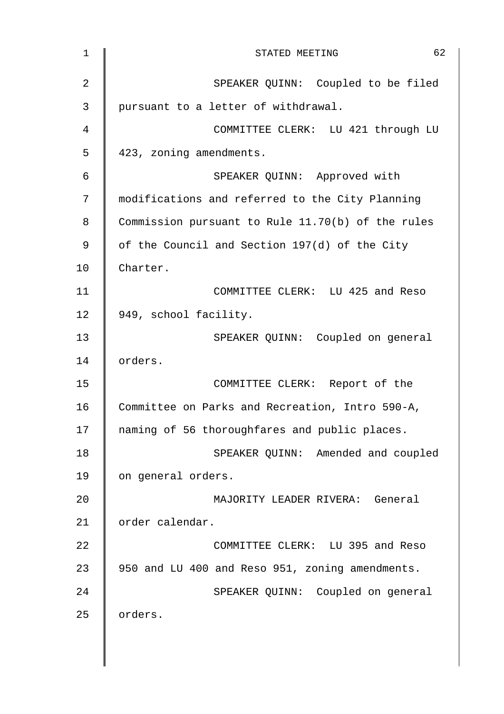| $\mathbf 1$    | 62<br>STATED MEETING                              |
|----------------|---------------------------------------------------|
| $\overline{2}$ | SPEAKER QUINN: Coupled to be filed                |
| 3              | pursuant to a letter of withdrawal.               |
| 4              | COMMITTEE CLERK: LU 421 through LU                |
| 5              | 423, zoning amendments.                           |
| $\epsilon$     | SPEAKER QUINN: Approved with                      |
| 7              | modifications and referred to the City Planning   |
| 8              | Commission pursuant to Rule 11.70(b) of the rules |
| $\mathsf 9$    | of the Council and Section 197(d) of the City     |
| 10             | Charter.                                          |
| 11             | COMMITTEE CLERK: LU 425 and Reso                  |
| 12             | 949, school facility.                             |
| 13             | SPEAKER QUINN: Coupled on general                 |
| 14             | orders.                                           |
| 15             | COMMITTEE CLERK: Report of the                    |
| 16             | Committee on Parks and Recreation, Intro 590-A,   |
| 17             | naming of 56 thoroughfares and public places.     |
| 18             | SPEAKER QUINN: Amended and coupled                |
| 19             | on general orders.                                |
| 20             | MAJORITY LEADER RIVERA: General                   |
| 21             | order calendar.                                   |
| 22             | COMMITTEE CLERK: LU 395 and Reso                  |
| 23             | 950 and LU 400 and Reso 951, zoning amendments.   |
| 24             | SPEAKER QUINN: Coupled on general                 |
| 25             | orders.                                           |
|                |                                                   |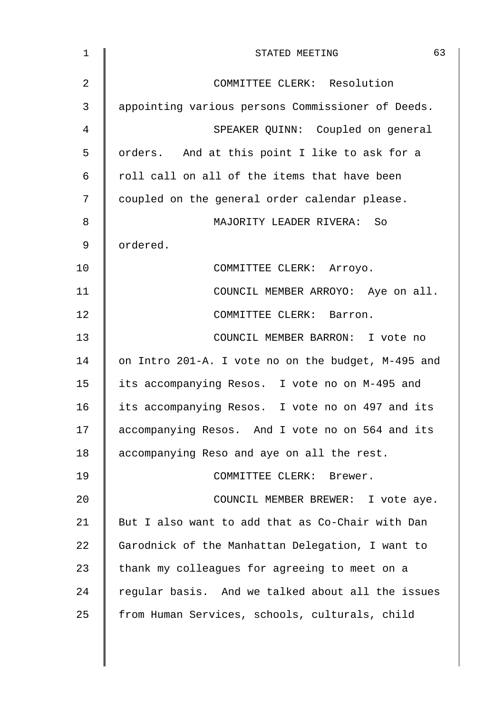| $\mathbf 1$    | 63<br>STATED MEETING                               |
|----------------|----------------------------------------------------|
| $\overline{2}$ | COMMITTEE CLERK: Resolution                        |
| 3              | appointing various persons Commissioner of Deeds.  |
| 4              | SPEAKER QUINN: Coupled on general                  |
| 5              | orders. And at this point I like to ask for a      |
| 6              | roll call on all of the items that have been       |
| 7              | coupled on the general order calendar please.      |
| 8              | MAJORITY LEADER RIVERA: So                         |
| 9              | ordered.                                           |
| 10             | COMMITTEE CLERK: Arroyo.                           |
| 11             | COUNCIL MEMBER ARROYO: Aye on all.                 |
| 12             | COMMITTEE CLERK: Barron.                           |
| 13             | COUNCIL MEMBER BARRON: I vote no                   |
| 14             | on Intro 201-A. I vote no on the budget, M-495 and |
| 15             | its accompanying Resos. I vote no on M-495 and     |
| 16             | its accompanying Resos. I vote no on 497 and its   |
| 17             | accompanying Resos. And I vote no on 564 and its   |
| 18             | accompanying Reso and aye on all the rest.         |
| 19             | COMMITTEE CLERK: Brewer.                           |
| 20             | COUNCIL MEMBER BREWER: I vote aye.                 |
| 21             | But I also want to add that as Co-Chair with Dan   |
| 22             | Garodnick of the Manhattan Delegation, I want to   |
| 23             | thank my colleagues for agreeing to meet on a      |
| 24             | regular basis. And we talked about all the issues  |
| 25             | from Human Services, schools, culturals, child     |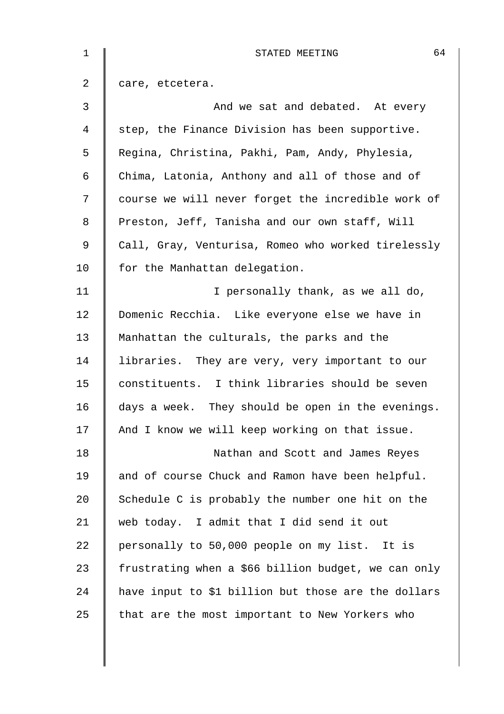| 1  | 64<br>STATED MEETING                                |
|----|-----------------------------------------------------|
| 2  | care, etcetera.                                     |
| 3  | And we sat and debated. At every                    |
| 4  | step, the Finance Division has been supportive.     |
| 5  | Regina, Christina, Pakhi, Pam, Andy, Phylesia,      |
| 6  | Chima, Latonia, Anthony and all of those and of     |
| 7  | course we will never forget the incredible work of  |
| 8  | Preston, Jeff, Tanisha and our own staff, Will      |
| 9  | Call, Gray, Venturisa, Romeo who worked tirelessly  |
| 10 | for the Manhattan delegation.                       |
| 11 | I personally thank, as we all do,                   |
| 12 | Domenic Recchia. Like everyone else we have in      |
| 13 | Manhattan the culturals, the parks and the          |
| 14 | libraries. They are very, very important to our     |
| 15 | constituents. I think libraries should be seven     |
| 16 | days a week. They should be open in the evenings.   |
| 17 | And I know we will keep working on that issue.      |
| 18 | Nathan and Scott and James Reyes                    |
| 19 | and of course Chuck and Ramon have been helpful.    |
| 20 | Schedule C is probably the number one hit on the    |
| 21 | web today. I admit that I did send it out           |
| 22 | personally to 50,000 people on my list. It is       |
| 23 | frustrating when a \$66 billion budget, we can only |
| 24 | have input to \$1 billion but those are the dollars |
| 25 | that are the most important to New Yorkers who      |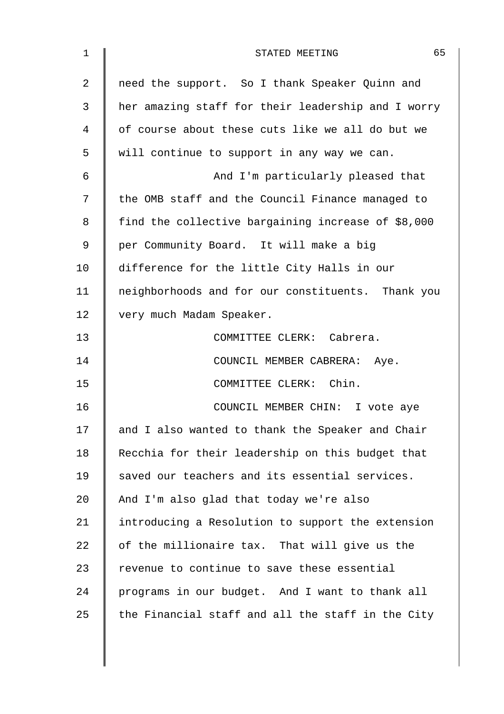| 1  | 65<br>STATED MEETING                               |
|----|----------------------------------------------------|
| 2  | need the support. So I thank Speaker Quinn and     |
| 3  | her amazing staff for their leadership and I worry |
| 4  | of course about these cuts like we all do but we   |
| 5  | will continue to support in any way we can.        |
| 6  | And I'm particularly pleased that                  |
| 7  | the OMB staff and the Council Finance managed to   |
| 8  | find the collective bargaining increase of \$8,000 |
| 9  | per Community Board. It will make a big            |
| 10 | difference for the little City Halls in our        |
| 11 | neighborhoods and for our constituents. Thank you  |
| 12 | very much Madam Speaker.                           |
| 13 | COMMITTEE CLERK: Cabrera.                          |
| 14 | COUNCIL MEMBER CABRERA: Aye.                       |
| 15 | COMMITTEE CLERK: Chin.                             |
| 16 | COUNCIL MEMBER CHIN: I vote aye                    |
| 17 | and I also wanted to thank the Speaker and Chair   |
| 18 | Recchia for their leadership on this budget that   |
| 19 | saved our teachers and its essential services.     |
| 20 | And I'm also glad that today we're also            |
| 21 | introducing a Resolution to support the extension  |
| 22 | of the millionaire tax. That will give us the      |
| 23 | revenue to continue to save these essential        |
| 24 | programs in our budget. And I want to thank all    |
| 25 | the Financial staff and all the staff in the City  |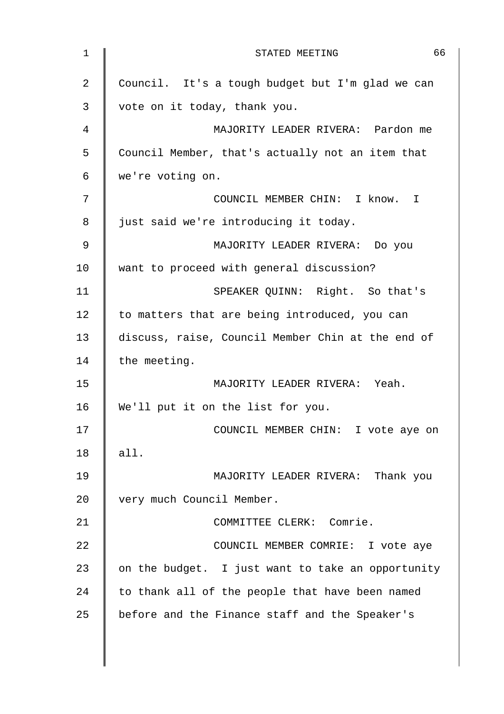| $\mathbf 1$ | 66<br>STATED MEETING                              |
|-------------|---------------------------------------------------|
| 2           | Council. It's a tough budget but I'm glad we can  |
| 3           | vote on it today, thank you.                      |
| 4           | MAJORITY LEADER RIVERA: Pardon me                 |
| 5           | Council Member, that's actually not an item that  |
| 6           | we're voting on.                                  |
| 7           | COUNCIL MEMBER CHIN: I know. I                    |
| 8           | just said we're introducing it today.             |
| 9           | MAJORITY LEADER RIVERA: Do you                    |
| 10          | want to proceed with general discussion?          |
| 11          | SPEAKER QUINN: Right. So that's                   |
| 12          | to matters that are being introduced, you can     |
| 13          | discuss, raise, Council Member Chin at the end of |
| 14          | the meeting.                                      |
| 15          | MAJORITY LEADER RIVERA: Yeah.                     |
| 16          | We'll put it on the list for you.                 |
| 17          | COUNCIL MEMBER CHIN: I vote aye on                |
| 18          | all.                                              |
| 19          | MAJORITY LEADER RIVERA: Thank you                 |
| 20          | very much Council Member.                         |
| 21          | COMMITTEE CLERK: Comrie.                          |
| 22          | COUNCIL MEMBER COMRIE: I vote aye                 |
| 23          | on the budget. I just want to take an opportunity |
| 24          | to thank all of the people that have been named   |
| 25          | before and the Finance staff and the Speaker's    |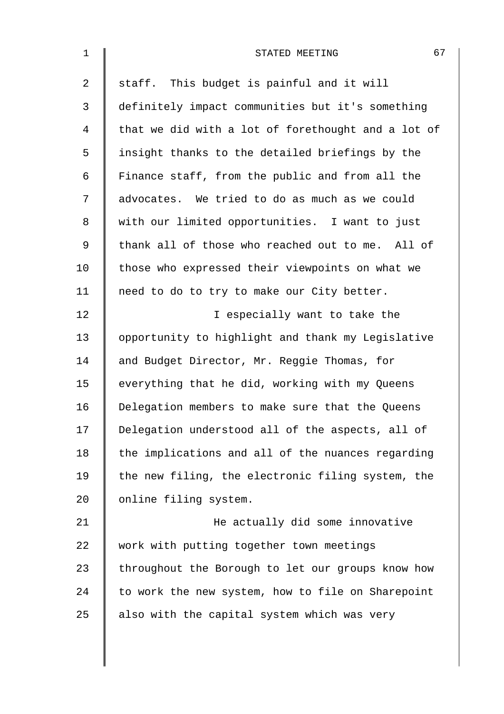| $\mathbf 1$    | 67<br>STATED MEETING                               |
|----------------|----------------------------------------------------|
| $\overline{2}$ | staff. This budget is painful and it will          |
| 3              | definitely impact communities but it's something   |
| $\overline{4}$ | that we did with a lot of forethought and a lot of |
| 5              | insight thanks to the detailed briefings by the    |
| 6              | Finance staff, from the public and from all the    |
| 7              | advocates. We tried to do as much as we could      |
| 8              | with our limited opportunities. I want to just     |
| $\mathsf 9$    | thank all of those who reached out to me. All of   |
| 10             | those who expressed their viewpoints on what we    |
| 11             | need to do to try to make our City better.         |
| 12             | I especially want to take the                      |
| 13             | opportunity to highlight and thank my Legislative  |
| 14             | and Budget Director, Mr. Reggie Thomas, for        |
| 15             | everything that he did, working with my Queens     |
| 16             | Delegation members to make sure that the Queens    |
| 17             | Delegation understood all of the aspects, all of   |
| 18             | the implications and all of the nuances regarding  |
| 19             | the new filing, the electronic filing system, the  |
| 20             | online filing system.                              |
| 21             | He actually did some innovative                    |
| 22             | work with putting together town meetings           |
| 23             | throughout the Borough to let our groups know how  |
| 24             | to work the new system, how to file on Sharepoint  |
| 25             | also with the capital system which was very        |
|                |                                                    |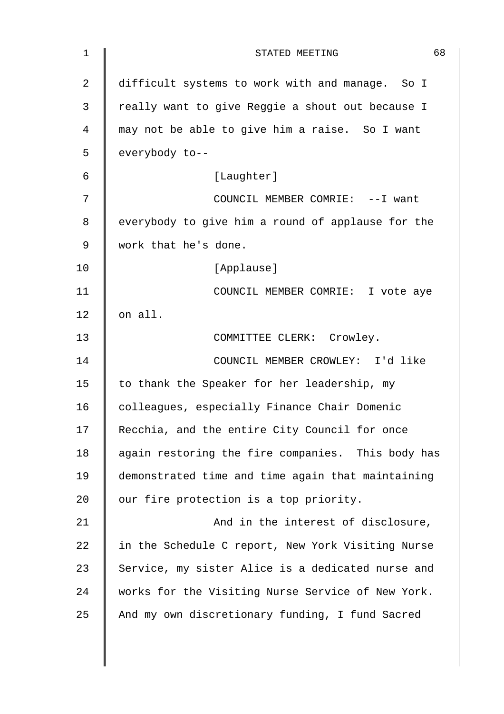| 1              | 68<br>STATED MEETING                              |
|----------------|---------------------------------------------------|
| $\overline{2}$ | difficult systems to work with and manage. So I   |
| 3              | really want to give Reggie a shout out because I  |
| 4              | may not be able to give him a raise. So I want    |
| 5              | everybody to--                                    |
| 6              | [Laughter]                                        |
| 7              | COUNCIL MEMBER COMRIE: -- I want                  |
| 8              | everybody to give him a round of applause for the |
| 9              | work that he's done.                              |
| 10             | [Applause]                                        |
| 11             | COUNCIL MEMBER COMRIE: I vote aye                 |
| 12             | on all.                                           |
| 13             | COMMITTEE CLERK: Crowley.                         |
| 14             | COUNCIL MEMBER CROWLEY: I'd like                  |
| 15             | to thank the Speaker for her leadership, my       |
| 16             | colleagues, especially Finance Chair Domenic      |
| 17             | Recchia, and the entire City Council for once     |
| 18             | again restoring the fire companies. This body has |
| 19             | demonstrated time and time again that maintaining |
| 20             | our fire protection is a top priority.            |
| 21             | And in the interest of disclosure,                |
| 22             | in the Schedule C report, New York Visiting Nurse |
| 23             | Service, my sister Alice is a dedicated nurse and |
| 24             | works for the Visiting Nurse Service of New York. |
| 25             | And my own discretionary funding, I fund Sacred   |
|                |                                                   |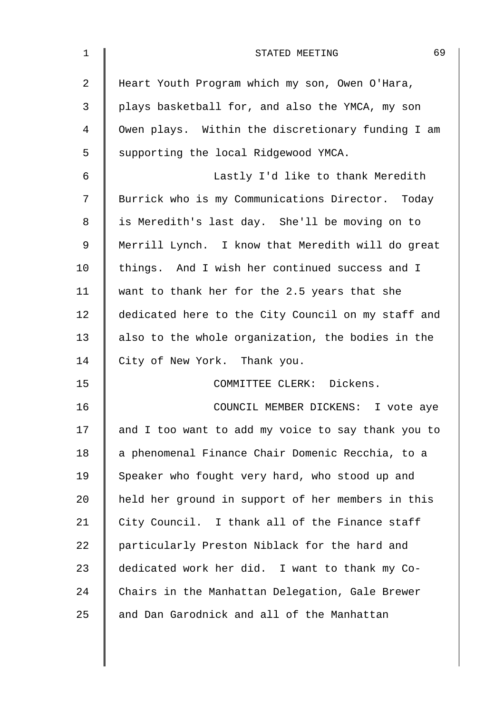| $\mathbf 1$    | 69<br>STATED MEETING                               |
|----------------|----------------------------------------------------|
| $\overline{2}$ | Heart Youth Program which my son, Owen O'Hara,     |
| 3              | plays basketball for, and also the YMCA, my son    |
| 4              | Owen plays. Within the discretionary funding I am  |
| 5              | supporting the local Ridgewood YMCA.               |
| 6              | Lastly I'd like to thank Meredith                  |
| 7              | Burrick who is my Communications Director. Today   |
| 8              | is Meredith's last day. She'll be moving on to     |
| 9              | Merrill Lynch. I know that Meredith will do great  |
| 10             | things. And I wish her continued success and I     |
| 11             | want to thank her for the 2.5 years that she       |
| 12             | dedicated here to the City Council on my staff and |
| 13             | also to the whole organization, the bodies in the  |
| 14             | City of New York. Thank you.                       |
| 15             | COMMITTEE CLERK: Dickens.                          |
| 16             | COUNCIL MEMBER DICKENS: I vote aye                 |
| 17             | and I too want to add my voice to say thank you to |
| 18             | a phenomenal Finance Chair Domenic Recchia, to a   |
| 19             | Speaker who fought very hard, who stood up and     |
| 20             | held her ground in support of her members in this  |
| 21             | City Council. I thank all of the Finance staff     |
| 22             | particularly Preston Niblack for the hard and      |
| 23             | dedicated work her did. I want to thank my Co-     |
| 24             | Chairs in the Manhattan Delegation, Gale Brewer    |
| 25             | and Dan Garodnick and all of the Manhattan         |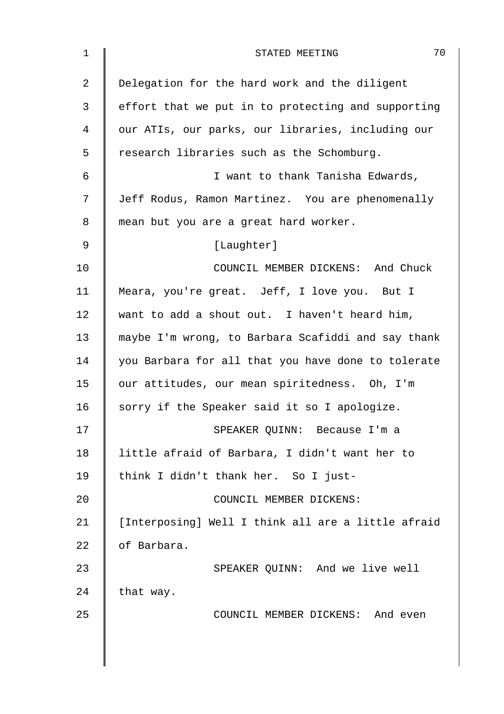| $\mathbf 1$    | 70<br>STATED MEETING                               |
|----------------|----------------------------------------------------|
| $\overline{2}$ | Delegation for the hard work and the diligent      |
| 3              | effort that we put in to protecting and supporting |
| 4              | our ATIs, our parks, our libraries, including our  |
| 5              | research libraries such as the Schomburg.          |
| $\epsilon$     | I want to thank Tanisha Edwards,                   |
| 7              | Jeff Rodus, Ramon Martinez. You are phenomenally   |
| 8              | mean but you are a great hard worker.              |
| 9              | [Laughter]                                         |
| 10             | COUNCIL MEMBER DICKENS: And Chuck                  |
| 11             | Meara, you're great. Jeff, I love you. But I       |
| 12             | want to add a shout out. I haven't heard him,      |
| 13             | maybe I'm wrong, to Barbara Scafiddi and say thank |
| 14             | you Barbara for all that you have done to tolerate |
| 15             | our attitudes, our mean spiritedness. Oh, I'm      |
| 16             | sorry if the Speaker said it so I apologize.       |
| 17             | SPEAKER QUINN: Because I'm a                       |
| 18             | little afraid of Barbara, I didn't want her to     |
| 19             | think I didn't thank her. So I just-               |
| 20             | COUNCIL MEMBER DICKENS:                            |
| 21             | [Interposing] Well I think all are a little afraid |
| 22             | of Barbara.                                        |
| 23             | SPEAKER QUINN: And we live well                    |
| 24             | that way.                                          |
| 25             | COUNCIL MEMBER DICKENS: And even                   |
|                |                                                    |
|                |                                                    |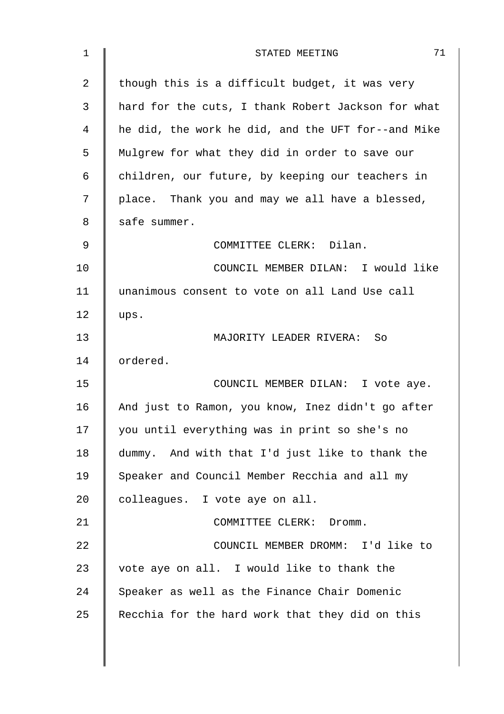| 1              | 71<br>STATED MEETING                               |
|----------------|----------------------------------------------------|
| $\overline{2}$ | though this is a difficult budget, it was very     |
| 3              | hard for the cuts, I thank Robert Jackson for what |
| 4              | he did, the work he did, and the UFT for--and Mike |
| 5              | Mulgrew for what they did in order to save our     |
| 6              | children, our future, by keeping our teachers in   |
| 7              | place. Thank you and may we all have a blessed,    |
| 8              | safe summer.                                       |
| 9              | COMMITTEE CLERK: Dilan.                            |
| 10             | COUNCIL MEMBER DILAN: I would like                 |
| 11             | unanimous consent to vote on all Land Use call     |
| 12             | ups.                                               |
| 13             | MAJORITY LEADER RIVERA:<br>So                      |
| 14             | ordered.                                           |
| 15             | COUNCIL MEMBER DILAN: I vote aye.                  |
| 16             | And just to Ramon, you know, Inez didn't go after  |
| 17             | you until everything was in print so she's no      |
| 18             | dummy. And with that I'd just like to thank the    |
| 19             | Speaker and Council Member Recchia and all my      |
| 20             | colleagues. I vote aye on all.                     |
| 21             | COMMITTEE CLERK: Dromm.                            |
| 22             | COUNCIL MEMBER DROMM: I'd like to                  |
| 23             | vote aye on all. I would like to thank the         |
| 24             | Speaker as well as the Finance Chair Domenic       |
| 25             | Recchia for the hard work that they did on this    |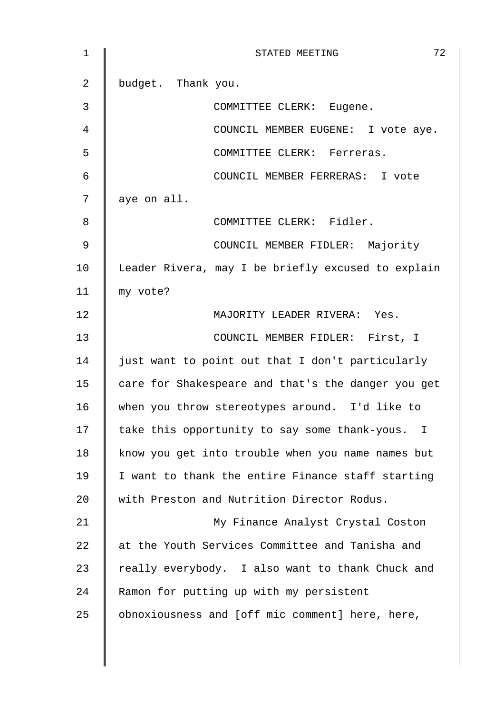| $\mathbf 1$    | 72<br>STATED MEETING                               |
|----------------|----------------------------------------------------|
| $\overline{2}$ | budget. Thank you.                                 |
| 3              | COMMITTEE CLERK: Eugene.                           |
| 4              | COUNCIL MEMBER EUGENE: I vote aye.                 |
| 5              | COMMITTEE CLERK: Ferreras.                         |
| 6              | COUNCIL MEMBER FERRERAS: I vote                    |
| 7              | aye on all.                                        |
| 8              | COMMITTEE CLERK: Fidler.                           |
| 9              | COUNCIL MEMBER FIDLER: Majority                    |
| 10             | Leader Rivera, may I be briefly excused to explain |
| 11             | my vote?                                           |
| 12             | MAJORITY LEADER RIVERA: Yes.                       |
| 13             | COUNCIL MEMBER FIDLER: First, I                    |
| 14             | just want to point out that I don't particularly   |
| 15             | care for Shakespeare and that's the danger you get |
| 16             | when you throw stereotypes around. I'd like to     |
| 17             | take this opportunity to say some thank-yous. I    |
| 18             | know you get into trouble when you name names but  |
| 19             | I want to thank the entire Finance staff starting  |
| 20             | with Preston and Nutrition Director Rodus.         |
| 21             | My Finance Analyst Crystal Coston                  |
| 22             | at the Youth Services Committee and Tanisha and    |
| 23             | really everybody. I also want to thank Chuck and   |
| 24             | Ramon for putting up with my persistent            |
| 25             | obnoxiousness and [off mic comment] here, here,    |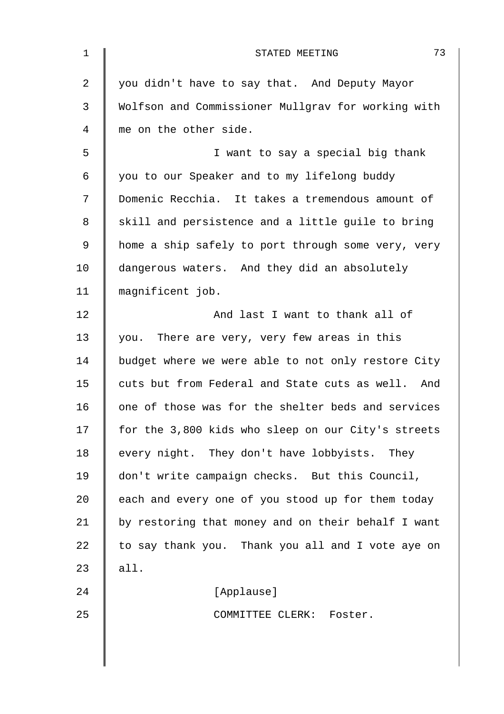| $\mathbf 1$ | 73<br>STATED MEETING                               |
|-------------|----------------------------------------------------|
| 2           | you didn't have to say that. And Deputy Mayor      |
| 3           | Wolfson and Commissioner Mullgrav for working with |
| 4           | me on the other side.                              |
| 5           | I want to say a special big thank                  |
| 6           | you to our Speaker and to my lifelong buddy        |
| 7           | Domenic Recchia. It takes a tremendous amount of   |
| 8           | skill and persistence and a little guile to bring  |
| 9           | home a ship safely to port through some very, very |
| 10          | dangerous waters. And they did an absolutely       |
| 11          | magnificent job.                                   |
| 12          | And last I want to thank all of                    |
| 13          | you. There are very, very few areas in this        |
| 14          | budget where we were able to not only restore City |
| 15          | cuts but from Federal and State cuts as well. And  |
| 16          | one of those was for the shelter beds and services |
| 17          | for the 3,800 kids who sleep on our City's streets |
| 18          | every night. They don't have lobbyists. They       |
| 19          | don't write campaign checks. But this Council,     |
| 20          | each and every one of you stood up for them today  |
| 21          | by restoring that money and on their behalf I want |
| 22          | to say thank you. Thank you all and I vote aye on  |
| 23          | all.                                               |
| 24          | [Applause]                                         |
| 25          | COMMITTEE CLERK: Foster.                           |
|             |                                                    |
|             |                                                    |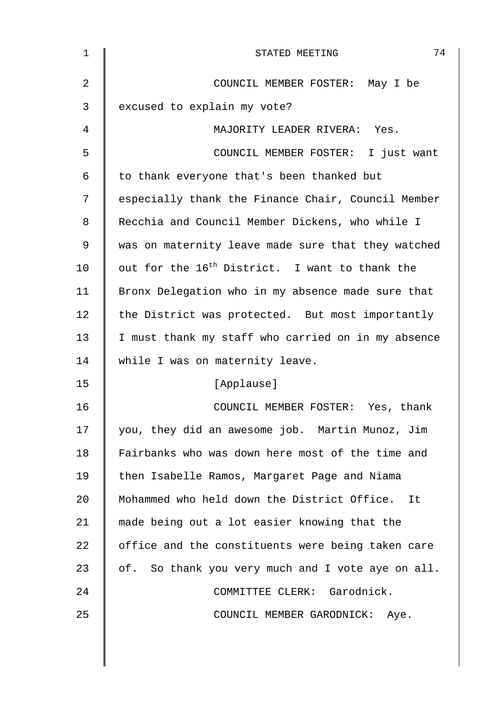| 1  | 74<br>STATED MEETING                                       |
|----|------------------------------------------------------------|
| 2  | COUNCIL MEMBER FOSTER: May I be                            |
| 3  | excused to explain my vote?                                |
| 4  | MAJORITY LEADER RIVERA: Yes.                               |
| 5  | COUNCIL MEMBER FOSTER: I just want                         |
| 6  | to thank everyone that's been thanked but                  |
| 7  | especially thank the Finance Chair, Council Member         |
| 8  | Recchia and Council Member Dickens, who while I            |
| 9  | was on maternity leave made sure that they watched         |
| 10 | out for the 16 <sup>th</sup> District. I want to thank the |
| 11 | Bronx Delegation who in my absence made sure that          |
| 12 | the District was protected. But most importantly           |
| 13 | I must thank my staff who carried on in my absence         |
| 14 | while I was on maternity leave.                            |
| 15 | [Applause]                                                 |
| 16 | COUNCIL MEMBER FOSTER: Yes, thank                          |
| 17 | you, they did an awesome job. Martin Munoz, Jim            |
| 18 | Fairbanks who was down here most of the time and           |
| 19 | then Isabelle Ramos, Margaret Page and Niama               |
| 20 | Mohammed who held down the District Office.<br>It          |
| 21 | made being out a lot easier knowing that the               |
| 22 | office and the constituents were being taken care          |
| 23 | of. So thank you very much and I vote aye on all.          |
| 24 | COMMITTEE CLERK: Garodnick.                                |
| 25 | COUNCIL MEMBER GARODNICK: Aye.                             |
|    |                                                            |
|    |                                                            |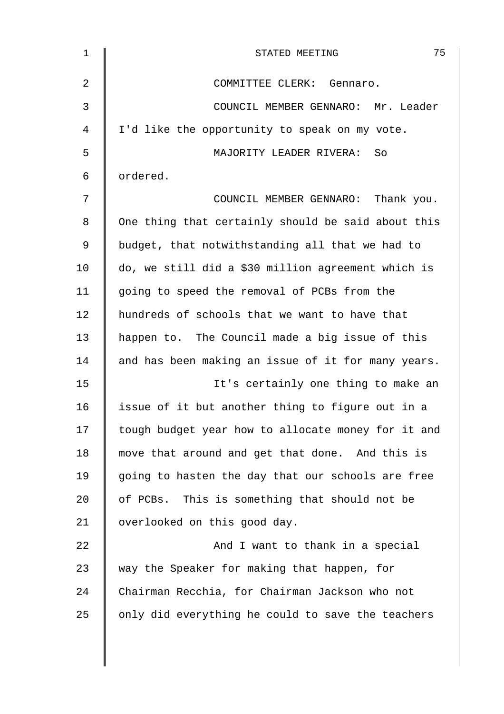| $\mathbf{1}$   | 75<br>STATED MEETING                               |
|----------------|----------------------------------------------------|
| $\overline{2}$ | COMMITTEE CLERK: Gennaro.                          |
| 3              | COUNCIL MEMBER GENNARO: Mr. Leader                 |
| 4              | I'd like the opportunity to speak on my vote.      |
| 5              | MAJORITY LEADER RIVERA: So                         |
| 6              | ordered.                                           |
| 7              | COUNCIL MEMBER GENNARO: Thank you.                 |
| 8              | One thing that certainly should be said about this |
| $\mathsf 9$    | budget, that notwithstanding all that we had to    |
| 10             | do, we still did a \$30 million agreement which is |
| 11             | going to speed the removal of PCBs from the        |
| 12             | hundreds of schools that we want to have that      |
| 13             | happen to. The Council made a big issue of this    |
| 14             | and has been making an issue of it for many years. |
| 15             | It's certainly one thing to make an                |
| 16             | issue of it but another thing to figure out in a   |
| 17             | tough budget year how to allocate money for it and |
| 18             | move that around and get that done. And this is    |
| 19             | going to hasten the day that our schools are free  |
| 20             | of PCBs. This is something that should not be      |
| 21             | overlooked on this good day.                       |
| 22             | And I want to thank in a special                   |
| 23             | way the Speaker for making that happen, for        |
| 24             | Chairman Recchia, for Chairman Jackson who not     |
| 25             | only did everything he could to save the teachers  |
|                |                                                    |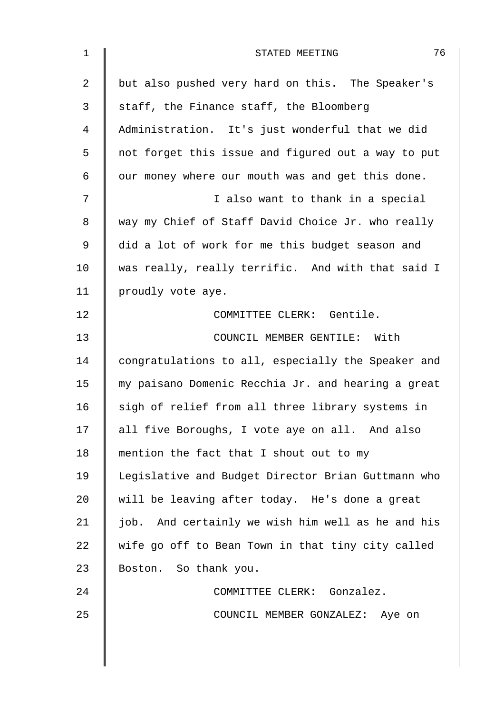| $\mathbf 1$    | 76<br>STATED MEETING                               |
|----------------|----------------------------------------------------|
| $\overline{2}$ | but also pushed very hard on this. The Speaker's   |
| 3              | staff, the Finance staff, the Bloomberg            |
| $\overline{4}$ | Administration. It's just wonderful that we did    |
| 5              | not forget this issue and figured out a way to put |
| 6              | our money where our mouth was and get this done.   |
| 7              | I also want to thank in a special                  |
| 8              | way my Chief of Staff David Choice Jr. who really  |
| 9              | did a lot of work for me this budget season and    |
| 10             | was really, really terrific. And with that said I  |
| 11             | proudly vote aye.                                  |
| 12             | COMMITTEE CLERK: Gentile.                          |
| 13             | COUNCIL MEMBER GENTILE: With                       |
| 14             | congratulations to all, especially the Speaker and |
| 15             | my paisano Domenic Recchia Jr. and hearing a great |
| 16             | sigh of relief from all three library systems in   |
| 17             | all five Boroughs, I vote aye on all. And also     |
| 18             | mention the fact that I shout out to my            |
| 19             | Legislative and Budget Director Brian Guttmann who |
| 20             | will be leaving after today. He's done a great     |
| 21             | job. And certainly we wish him well as he and his  |
| 22             | wife go off to Bean Town in that tiny city called  |
| 23             | Boston. So thank you.                              |
| 24             | COMMITTEE CLERK: Gonzalez.                         |
| 25             | COUNCIL MEMBER GONZALEZ: Aye on                    |
|                |                                                    |
|                |                                                    |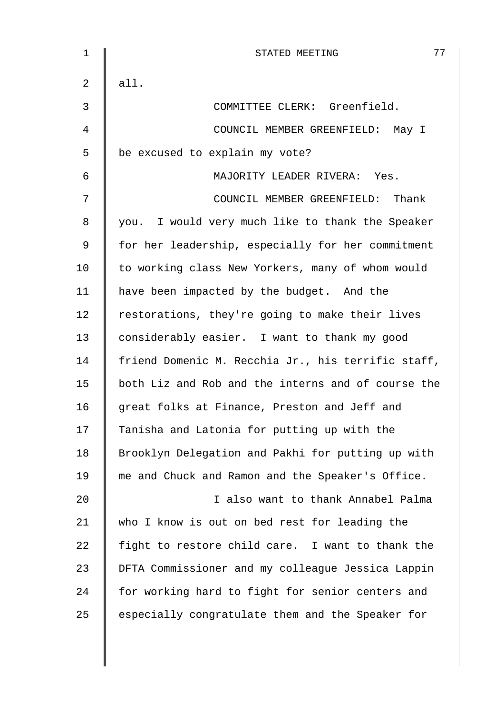| 1  | 77<br>STATED MEETING                               |
|----|----------------------------------------------------|
| 2  | all.                                               |
| 3  | COMMITTEE CLERK: Greenfield.                       |
| 4  | COUNCIL MEMBER GREENFIELD: May I                   |
| 5  | be excused to explain my vote?                     |
| 6  | MAJORITY LEADER RIVERA: Yes.                       |
| 7  | COUNCIL MEMBER GREENFIELD: Thank                   |
| 8  | you. I would very much like to thank the Speaker   |
| 9  | for her leadership, especially for her commitment  |
| 10 | to working class New Yorkers, many of whom would   |
| 11 | have been impacted by the budget. And the          |
| 12 | restorations, they're going to make their lives    |
| 13 | considerably easier. I want to thank my good       |
| 14 | friend Domenic M. Recchia Jr., his terrific staff, |
| 15 | both Liz and Rob and the interns and of course the |
| 16 | great folks at Finance, Preston and Jeff and       |
| 17 | Tanisha and Latonia for putting up with the        |
| 18 | Brooklyn Delegation and Pakhi for putting up with  |
| 19 | me and Chuck and Ramon and the Speaker's Office.   |
| 20 | I also want to thank Annabel Palma                 |
| 21 | who I know is out on bed rest for leading the      |
| 22 | fight to restore child care. I want to thank the   |
| 23 | DFTA Commissioner and my colleague Jessica Lappin  |
| 24 | for working hard to fight for senior centers and   |
| 25 | especially congratulate them and the Speaker for   |
|    |                                                    |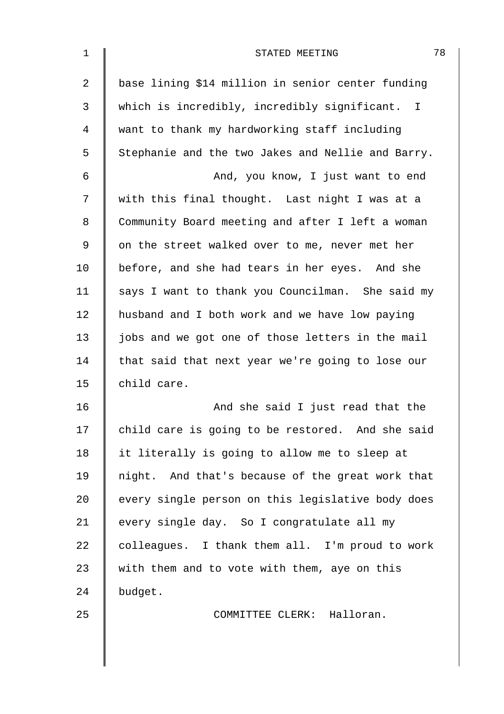| $\mathbf 1$ | 78<br>STATED MEETING                              |
|-------------|---------------------------------------------------|
| 2           | base lining \$14 million in senior center funding |
| 3           | which is incredibly, incredibly significant. I    |
| 4           | want to thank my hardworking staff including      |
| 5           | Stephanie and the two Jakes and Nellie and Barry. |
| 6           | And, you know, I just want to end                 |
| 7           | with this final thought. Last night I was at a    |
| 8           | Community Board meeting and after I left a woman  |
| 9           | on the street walked over to me, never met her    |
| 10          | before, and she had tears in her eyes. And she    |
| 11          | says I want to thank you Councilman. She said my  |
| 12          | husband and I both work and we have low paying    |
| 13          | jobs and we got one of those letters in the mail  |
| 14          | that said that next year we're going to lose our  |
| 15          | child care.                                       |
| 16          | And she said I just read that the                 |
| 17          | child care is going to be restored. And she said  |
| 18          | it literally is going to allow me to sleep at     |
| 19          | night. And that's because of the great work that  |
| 20          | every single person on this legislative body does |
| 21          | every single day. So I congratulate all my        |
| 22          | colleagues. I thank them all. I'm proud to work   |
| 23          | with them and to vote with them, aye on this      |
| 24          | budget.                                           |
| 25          | COMMITTEE CLERK: Halloran.                        |
|             |                                                   |
|             |                                                   |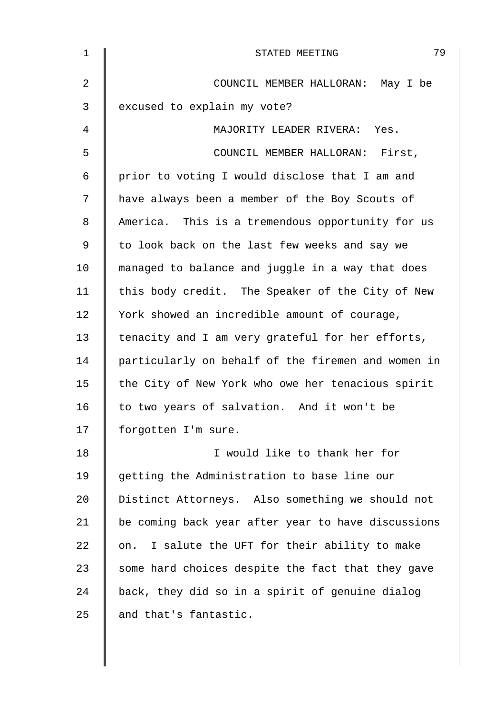| 1              | 79<br>STATED MEETING                               |
|----------------|----------------------------------------------------|
| $\overline{2}$ | COUNCIL MEMBER HALLORAN: May I be                  |
| 3              | excused to explain my vote?                        |
| 4              | MAJORITY LEADER RIVERA: Yes.                       |
| 5              | COUNCIL MEMBER HALLORAN: First,                    |
| 6              | prior to voting I would disclose that I am and     |
| 7              | have always been a member of the Boy Scouts of     |
| 8              | America. This is a tremendous opportunity for us   |
| 9              | to look back on the last few weeks and say we      |
| 10             | managed to balance and juggle in a way that does   |
| 11             | this body credit. The Speaker of the City of New   |
| 12             | York showed an incredible amount of courage,       |
| 13             | tenacity and I am very grateful for her efforts,   |
| 14             | particularly on behalf of the firemen and women in |
| 15             | the City of New York who owe her tenacious spirit  |
| 16             | to two years of salvation. And it won't be         |
| 17             | forgotten I'm sure.                                |
| 18             | I would like to thank her for                      |
| 19             | getting the Administration to base line our        |
| 20             | Distinct Attorneys. Also something we should not   |
| 21             | be coming back year after year to have discussions |
| 22             | I salute the UFT for their ability to make<br>on.  |
| 23             | some hard choices despite the fact that they gave  |
| 24             | back, they did so in a spirit of genuine dialog    |
| 25             | and that's fantastic.                              |
|                |                                                    |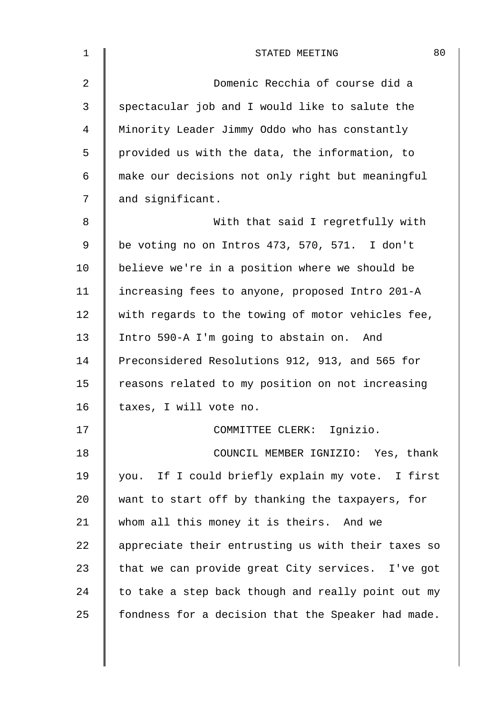| $\mathbf 1$    | 80<br>STATED MEETING                               |
|----------------|----------------------------------------------------|
| $\overline{2}$ | Domenic Recchia of course did a                    |
| 3              | spectacular job and I would like to salute the     |
| $\overline{4}$ | Minority Leader Jimmy Oddo who has constantly      |
| 5              | provided us with the data, the information, to     |
| 6              | make our decisions not only right but meaningful   |
| 7              | and significant.                                   |
| 8              | With that said I regretfully with                  |
| 9              | be voting no on Intros 473, 570, 571. I don't      |
| 10             | believe we're in a position where we should be     |
| 11             | increasing fees to anyone, proposed Intro 201-A    |
| 12             | with regards to the towing of motor vehicles fee,  |
| 13             | Intro 590-A I'm going to abstain on. And           |
| 14             | Preconsidered Resolutions 912, 913, and 565 for    |
| 15             | reasons related to my position on not increasing   |
| 16             | taxes, I will vote no.                             |
| 17             | COMMITTEE CLERK: Ignizio.                          |
| 18             | COUNCIL MEMBER IGNIZIO: Yes, thank                 |
| 19             | you. If I could briefly explain my vote. I first   |
| 20             | want to start off by thanking the taxpayers, for   |
| 21             | whom all this money it is theirs. And we           |
| 22             | appreciate their entrusting us with their taxes so |
| 23             | that we can provide great City services. I've got  |
| 24             | to take a step back though and really point out my |
| 25             | fondness for a decision that the Speaker had made. |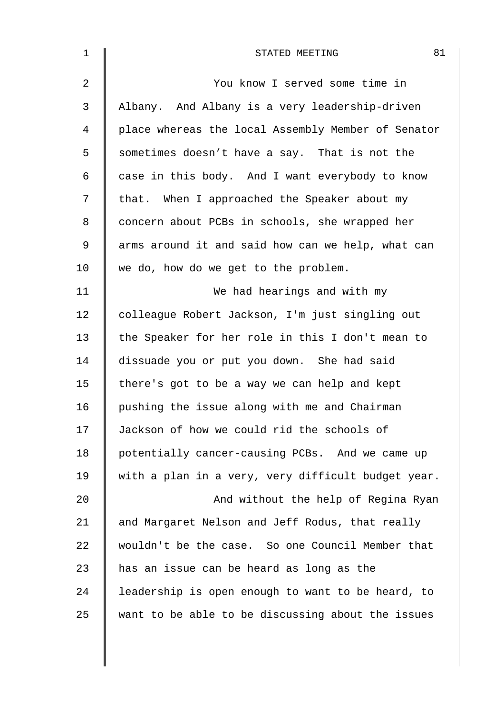| $\mathbf 1$    | 81<br>STATED MEETING                               |
|----------------|----------------------------------------------------|
| $\overline{2}$ | You know I served some time in                     |
| 3              | Albany. And Albany is a very leadership-driven     |
| 4              | place whereas the local Assembly Member of Senator |
| 5              | sometimes doesn't have a say. That is not the      |
| 6              | case in this body. And I want everybody to know    |
| 7              | that. When I approached the Speaker about my       |
| 8              | concern about PCBs in schools, she wrapped her     |
| 9              | arms around it and said how can we help, what can  |
| 10             | we do, how do we get to the problem.               |
| 11             | We had hearings and with my                        |
| 12             | colleague Robert Jackson, I'm just singling out    |
| 13             | the Speaker for her role in this I don't mean to   |
| 14             | dissuade you or put you down. She had said         |
| 15             | there's got to be a way we can help and kept       |
| 16             | pushing the issue along with me and Chairman       |
| 17             | Jackson of how we could rid the schools of         |
| 18             | potentially cancer-causing PCBs. And we came up    |
| 19             | with a plan in a very, very difficult budget year. |
| 20             | And without the help of Regina Ryan                |
| 21             | and Margaret Nelson and Jeff Rodus, that really    |
| 22             | wouldn't be the case. So one Council Member that   |
| 23             | has an issue can be heard as long as the           |
| 24             | leadership is open enough to want to be heard, to  |
| 25             | want to be able to be discussing about the issues  |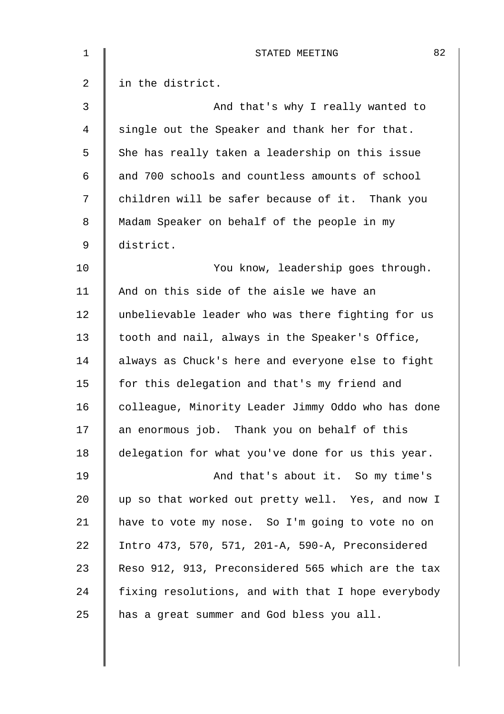| $\mathbf 1$    | 82<br>STATED MEETING                               |
|----------------|----------------------------------------------------|
| $\overline{2}$ | in the district.                                   |
| 3              | And that's why I really wanted to                  |
| 4              | single out the Speaker and thank her for that.     |
| 5              | She has really taken a leadership on this issue    |
| 6              | and 700 schools and countless amounts of school    |
| 7              | children will be safer because of it. Thank you    |
| 8              | Madam Speaker on behalf of the people in my        |
| 9              | district.                                          |
| 10             | You know, leadership goes through.                 |
| 11             | And on this side of the aisle we have an           |
| 12             | unbelievable leader who was there fighting for us  |
| 13             | tooth and nail, always in the Speaker's Office,    |
| 14             | always as Chuck's here and everyone else to fight  |
| 15             | for this delegation and that's my friend and       |
| 16             | colleague, Minority Leader Jimmy Oddo who has done |
| 17             | an enormous job. Thank you on behalf of this       |
| 18             | delegation for what you've done for us this year.  |
| 19             | And that's about it. So my time's                  |
| 20             | up so that worked out pretty well. Yes, and now I  |
| 21             | have to vote my nose. So I'm going to vote no on   |
| 22             | Intro 473, 570, 571, 201-A, 590-A, Preconsidered   |
| 23             | Reso 912, 913, Preconsidered 565 which are the tax |
| 24             | fixing resolutions, and with that I hope everybody |
| 25             | has a great summer and God bless you all.          |
|                |                                                    |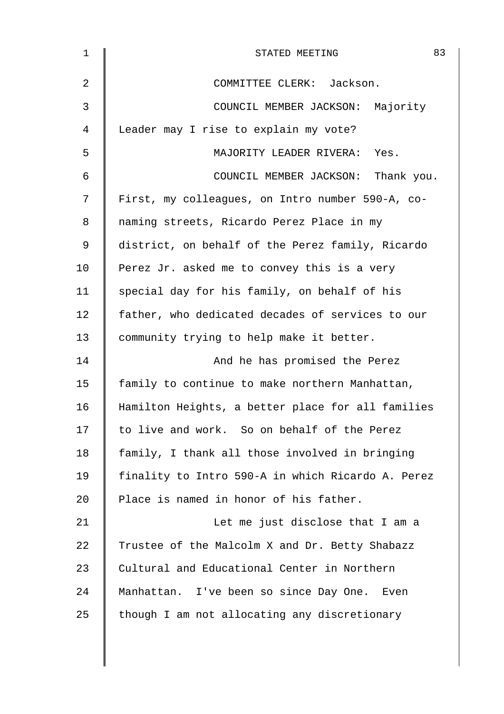| 1  | 83<br>STATED MEETING                              |
|----|---------------------------------------------------|
| 2  | COMMITTEE CLERK: Jackson.                         |
| 3  | COUNCIL MEMBER JACKSON: Majority                  |
| 4  | Leader may I rise to explain my vote?             |
| 5  | MAJORITY LEADER RIVERA: Yes.                      |
| 6  | COUNCIL MEMBER JACKSON: Thank you.                |
| 7  | First, my colleagues, on Intro number 590-A, co-  |
| 8  | naming streets, Ricardo Perez Place in my         |
| 9  | district, on behalf of the Perez family, Ricardo  |
| 10 | Perez Jr. asked me to convey this is a very       |
| 11 | special day for his family, on behalf of his      |
| 12 | father, who dedicated decades of services to our  |
| 13 | community trying to help make it better.          |
| 14 | And he has promised the Perez                     |
| 15 | family to continue to make northern Manhattan,    |
| 16 | Hamilton Heights, a better place for all families |
| 17 | to live and work. So on behalf of the Perez       |
| 18 | family, I thank all those involved in bringing    |
| 19 | finality to Intro 590-A in which Ricardo A. Perez |
| 20 | Place is named in honor of his father.            |
| 21 | Let me just disclose that I am a                  |
| 22 | Trustee of the Malcolm X and Dr. Betty Shabazz    |
| 23 | Cultural and Educational Center in Northern       |
| 24 | Manhattan. I've been so since Day One. Even       |
| 25 | though I am not allocating any discretionary      |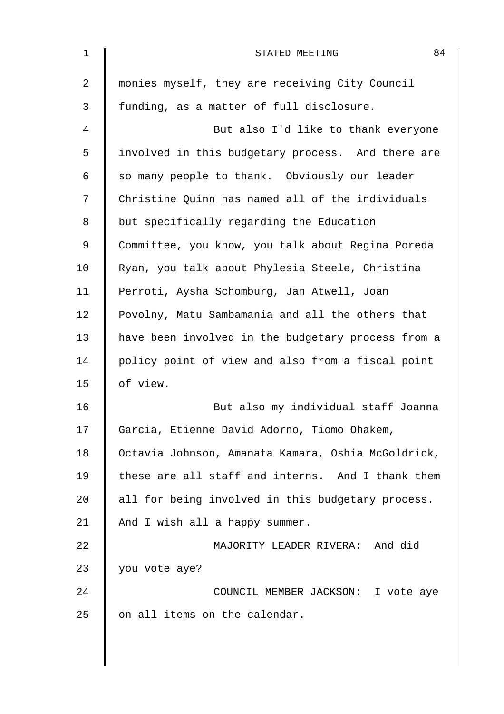| $\mathbf 1$ | 84<br>STATED MEETING                               |
|-------------|----------------------------------------------------|
| 2           | monies myself, they are receiving City Council     |
| 3           | funding, as a matter of full disclosure.           |
| 4           | But also I'd like to thank everyone                |
| 5           | involved in this budgetary process. And there are  |
| 6           | so many people to thank. Obviously our leader      |
| 7           | Christine Quinn has named all of the individuals   |
| 8           | but specifically regarding the Education           |
| 9           | Committee, you know, you talk about Regina Poreda  |
| 10          | Ryan, you talk about Phylesia Steele, Christina    |
| 11          | Perroti, Aysha Schomburg, Jan Atwell, Joan         |
| 12          | Povolny, Matu Sambamania and all the others that   |
| 13          | have been involved in the budgetary process from a |
| 14          | policy point of view and also from a fiscal point  |
| 15          | of view.                                           |
| 16          | But also my individual staff Joanna                |
| 17          | Garcia, Etienne David Adorno, Tiomo Ohakem,        |
| 18          | Octavia Johnson, Amanata Kamara, Oshia McGoldrick, |
| 19          | these are all staff and interns. And I thank them  |
| 20          | all for being involved in this budgetary process.  |
| 21          | And I wish all a happy summer.                     |
| 22          | MAJORITY LEADER RIVERA: And did                    |
| 23          | you vote aye?                                      |
| 24          | COUNCIL MEMBER JACKSON: I vote aye                 |
| 25          | on all items on the calendar.                      |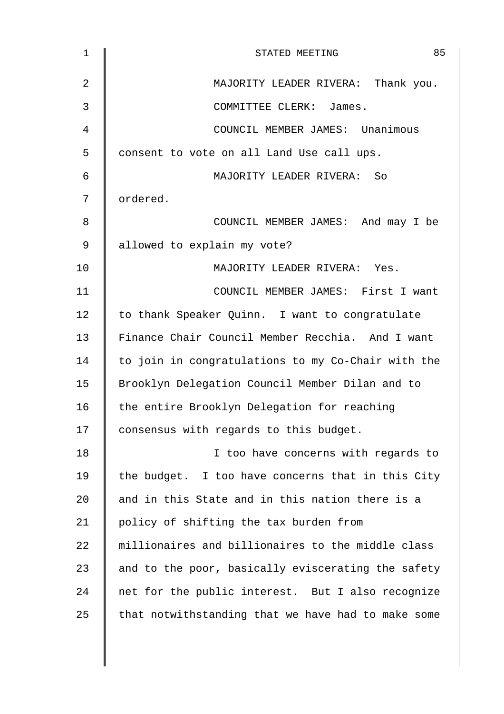| $\mathbf{1}$   | 85<br>STATED MEETING                               |
|----------------|----------------------------------------------------|
| $\overline{2}$ | MAJORITY LEADER RIVERA: Thank you.                 |
| 3              | COMMITTEE CLERK: James.                            |
| 4              | COUNCIL MEMBER JAMES: Unanimous                    |
| 5              | consent to vote on all Land Use call ups.          |
| 6              | MAJORITY LEADER RIVERA: So                         |
| 7              | ordered.                                           |
| 8              | COUNCIL MEMBER JAMES: And may I be                 |
| $\mathsf 9$    | allowed to explain my vote?                        |
| 10             | MAJORITY LEADER RIVERA: Yes.                       |
| 11             | COUNCIL MEMBER JAMES: First I want                 |
| 12             | to thank Speaker Quinn. I want to congratulate     |
| 13             | Finance Chair Council Member Recchia. And I want   |
| 14             | to join in congratulations to my Co-Chair with the |
| 15             | Brooklyn Delegation Council Member Dilan and to    |
| 16             | the entire Brooklyn Delegation for reaching        |
| 17             | consensus with regards to this budget.             |
| 18             | I too have concerns with regards to                |
| 19             | the budget. I too have concerns that in this City  |
| 20             | and in this State and in this nation there is a    |
| 21             | policy of shifting the tax burden from             |
| 22             | millionaires and billionaires to the middle class  |
| 23             | and to the poor, basically eviscerating the safety |
| 24             | net for the public interest. But I also recognize  |
| 25             | that notwithstanding that we have had to make some |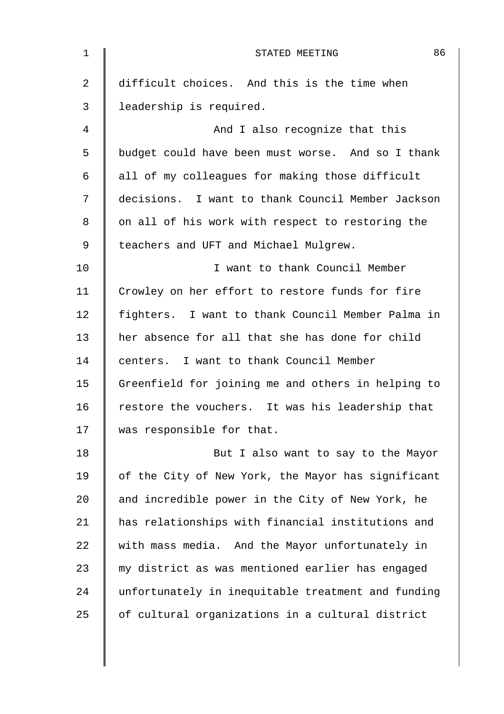| 1              | 86<br>STATED MEETING                               |
|----------------|----------------------------------------------------|
| $\overline{2}$ | difficult choices. And this is the time when       |
| 3              | leadership is required.                            |
| 4              | And I also recognize that this                     |
| 5              | budget could have been must worse. And so I thank  |
| 6              | all of my colleagues for making those difficult    |
| 7              | decisions. I want to thank Council Member Jackson  |
| 8              | on all of his work with respect to restoring the   |
| 9              | teachers and UFT and Michael Mulgrew.              |
| 10             | I want to thank Council Member                     |
| 11             | Crowley on her effort to restore funds for fire    |
| 12             | fighters. I want to thank Council Member Palma in  |
| 13             | her absence for all that she has done for child    |
| 14             | centers. I want to thank Council Member            |
| 15             | Greenfield for joining me and others in helping to |
| 16             | restore the vouchers. It was his leadership that   |
| 17             | was responsible for that.                          |
| 18             | But I also want to say to the Mayor                |
| 19             | of the City of New York, the Mayor has significant |
| 20             | and incredible power in the City of New York, he   |
| 21             | has relationships with financial institutions and  |
| 22             | with mass media. And the Mayor unfortunately in    |
| 23             | my district as was mentioned earlier has engaged   |
| 24             | unfortunately in inequitable treatment and funding |
| 25             | of cultural organizations in a cultural district   |
|                |                                                    |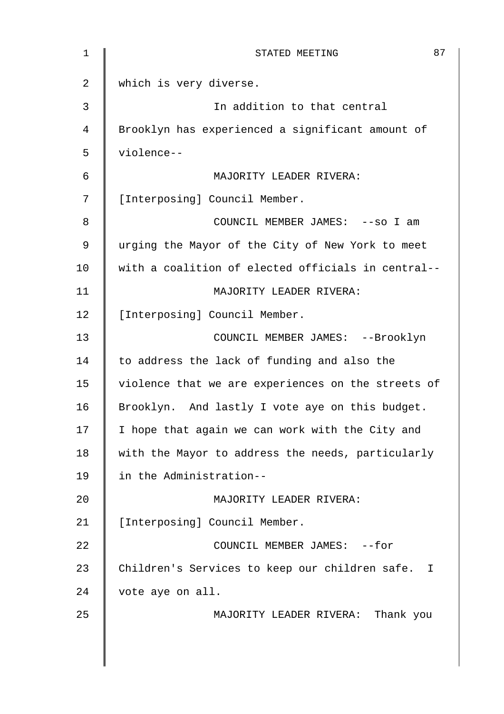| $\mathbf 1$    | 87<br>STATED MEETING                               |
|----------------|----------------------------------------------------|
| $\overline{2}$ | which is very diverse.                             |
| 3              | In addition to that central                        |
| 4              | Brooklyn has experienced a significant amount of   |
| 5              | violence--                                         |
| 6              | MAJORITY LEADER RIVERA:                            |
| 7              | [Interposing] Council Member.                      |
| 8              | COUNCIL MEMBER JAMES: -- so I am                   |
| 9              | urging the Mayor of the City of New York to meet   |
| 10             | with a coalition of elected officials in central-- |
| 11             | MAJORITY LEADER RIVERA:                            |
| 12             | [Interposing] Council Member.                      |
| 13             | COUNCIL MEMBER JAMES: --Brooklyn                   |
| 14             | to address the lack of funding and also the        |
| 15             | violence that we are experiences on the streets of |
| 16             | Brooklyn. And lastly I vote aye on this budget.    |
| 17             | I hope that again we can work with the City and    |
| 18             | with the Mayor to address the needs, particularly  |
| 19             | in the Administration--                            |
| 20             | MAJORITY LEADER RIVERA:                            |
| 21             | [Interposing] Council Member.                      |
| 22             | COUNCIL MEMBER JAMES: --for                        |
| 23             | Children's Services to keep our children safe. I   |
| 24             | vote aye on all.                                   |
| 25             | MAJORITY LEADER RIVERA: Thank you                  |
|                |                                                    |
|                |                                                    |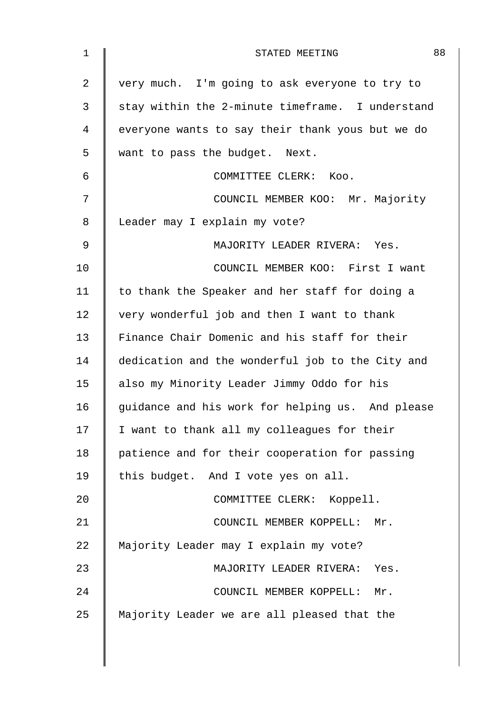| $\mathbf 1$    | 88<br>STATED MEETING                             |
|----------------|--------------------------------------------------|
| $\overline{2}$ | very much. I'm going to ask everyone to try to   |
| 3              | stay within the 2-minute timeframe. I understand |
| 4              | everyone wants to say their thank yous but we do |
| 5              | want to pass the budget. Next.                   |
| 6              | COMMITTEE CLERK: Koo.                            |
| 7              | COUNCIL MEMBER KOO: Mr. Majority                 |
| 8              | Leader may I explain my vote?                    |
| 9              | MAJORITY LEADER RIVERA: Yes.                     |
| 10             | COUNCIL MEMBER KOO: First I want                 |
| 11             | to thank the Speaker and her staff for doing a   |
| 12             | very wonderful job and then I want to thank      |
| 13             | Finance Chair Domenic and his staff for their    |
| 14             | dedication and the wonderful job to the City and |
| 15             | also my Minority Leader Jimmy Oddo for his       |
| 16             | guidance and his work for helping us. And please |
| 17             | I want to thank all my colleagues for their      |
| 18             | patience and for their cooperation for passing   |
| 19             | this budget. And I vote yes on all.              |
| 20             | COMMITTEE CLERK: Koppell.                        |
| 21             | COUNCIL MEMBER KOPPELL:<br>$Mr$ .                |
| 22             | Majority Leader may I explain my vote?           |
| 23             | MAJORITY LEADER RIVERA:<br>Yes.                  |
| 24             | COUNCIL MEMBER KOPPELL:<br>Mr.                   |
| 25             | Majority Leader we are all pleased that the      |
|                |                                                  |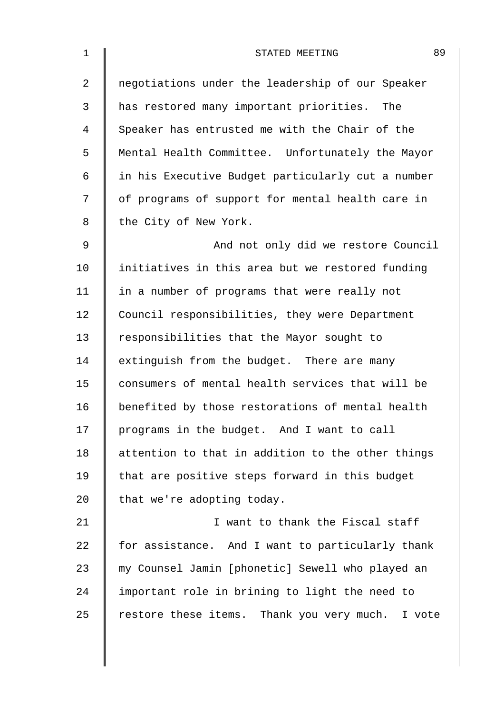| $\mathbf 1$    | 89<br>STATED MEETING                              |
|----------------|---------------------------------------------------|
| $\overline{a}$ | negotiations under the leadership of our Speaker  |
| 3              | has restored many important priorities.<br>The    |
| 4              | Speaker has entrusted me with the Chair of the    |
| 5              | Mental Health Committee. Unfortunately the Mayor  |
| 6              | in his Executive Budget particularly cut a number |
| 7              | of programs of support for mental health care in  |
| 8              | the City of New York.                             |
| $\mathsf 9$    | And not only did we restore Council               |
| 10             | initiatives in this area but we restored funding  |
| 11             | in a number of programs that were really not      |
| 12             | Council responsibilities, they were Department    |
| 13             | responsibilities that the Mayor sought to         |
| 14             | extinguish from the budget. There are many        |
| 15             | consumers of mental health services that will be  |
| 16             | benefited by those restorations of mental health  |
| 17             | programs in the budget. And I want to call        |
| 18             | attention to that in addition to the other things |
| 19             | that are positive steps forward in this budget    |
| 20             | that we're adopting today.                        |
| 21             | I want to thank the Fiscal staff                  |
| 22             | for assistance. And I want to particularly thank  |
| 23             | my Counsel Jamin [phonetic] Sewell who played an  |
| 24             | important role in brining to light the need to    |
| 25             | restore these items. Thank you very much. I vote  |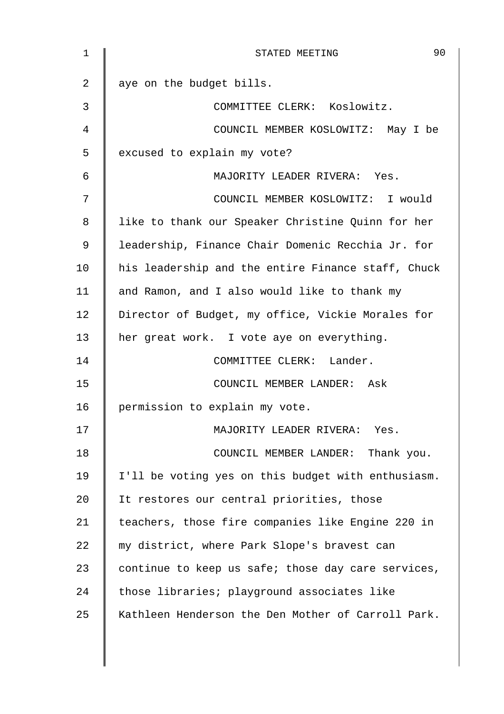| $\mathbf 1$ | 90<br>STATED MEETING                               |
|-------------|----------------------------------------------------|
| 2           | aye on the budget bills.                           |
| 3           | COMMITTEE CLERK: Koslowitz.                        |
| 4           | COUNCIL MEMBER KOSLOWITZ: May I be                 |
| 5           | excused to explain my vote?                        |
| 6           | MAJORITY LEADER RIVERA: Yes.                       |
| 7           | COUNCIL MEMBER KOSLOWITZ: I would                  |
| 8           | like to thank our Speaker Christine Quinn for her  |
| 9           | leadership, Finance Chair Domenic Recchia Jr. for  |
| 10          | his leadership and the entire Finance staff, Chuck |
| 11          | and Ramon, and I also would like to thank my       |
| 12          | Director of Budget, my office, Vickie Morales for  |
| 13          | her great work. I vote aye on everything.          |
| 14          | COMMITTEE CLERK: Lander.                           |
| 15          | COUNCIL MEMBER LANDER: Ask                         |
| 16          | permission to explain my vote.                     |
| 17          | MAJORITY LEADER RIVERA:<br>Yes.                    |
| 18          | COUNCIL MEMBER LANDER: Thank you.                  |
| 19          | I'll be voting yes on this budget with enthusiasm. |
| 20          | It restores our central priorities, those          |
| 21          | teachers, those fire companies like Engine 220 in  |
| 22          | my district, where Park Slope's bravest can        |
| 23          | continue to keep us safe; those day care services, |
| 24          | those libraries; playground associates like        |
| 25          | Kathleen Henderson the Den Mother of Carroll Park. |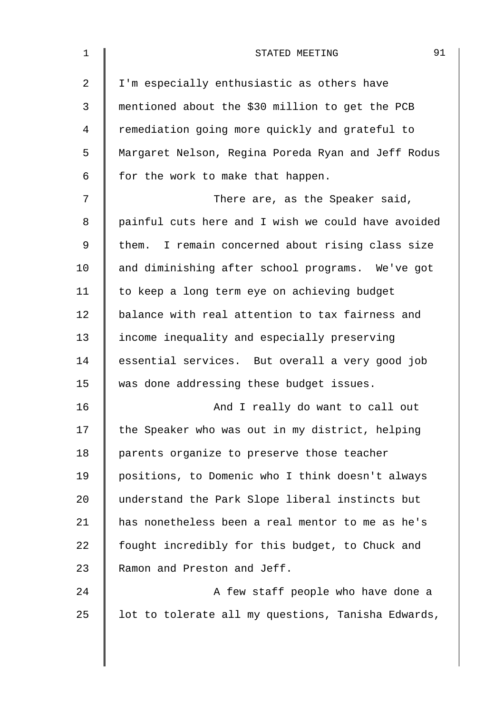| $\mathbf 1$    | 91<br>STATED MEETING                               |
|----------------|----------------------------------------------------|
| $\overline{2}$ | I'm especially enthusiastic as others have         |
| 3              | mentioned about the \$30 million to get the PCB    |
| 4              | remediation going more quickly and grateful to     |
| 5              | Margaret Nelson, Regina Poreda Ryan and Jeff Rodus |
| 6              | for the work to make that happen.                  |
| 7              | There are, as the Speaker said,                    |
| 8              | painful cuts here and I wish we could have avoided |
| 9              | them. I remain concerned about rising class size   |
| 10             | and diminishing after school programs. We've got   |
| 11             | to keep a long term eye on achieving budget        |
| 12             | balance with real attention to tax fairness and    |
| 13             | income inequality and especially preserving        |
| 14             | essential services. But overall a very good job    |
| 15             | was done addressing these budget issues.           |
| 16             | And I really do want to call out                   |
| 17             | the Speaker who was out in my district, helping    |
| 18             | parents organize to preserve those teacher         |
| 19             | positions, to Domenic who I think doesn't always   |
| 20             | understand the Park Slope liberal instincts but    |
| 21             | has nonetheless been a real mentor to me as he's   |
| 22             | fought incredibly for this budget, to Chuck and    |
| 23             | Ramon and Preston and Jeff.                        |
| 24             | A few staff people who have done a                 |
| 25             | lot to tolerate all my questions, Tanisha Edwards, |
|                |                                                    |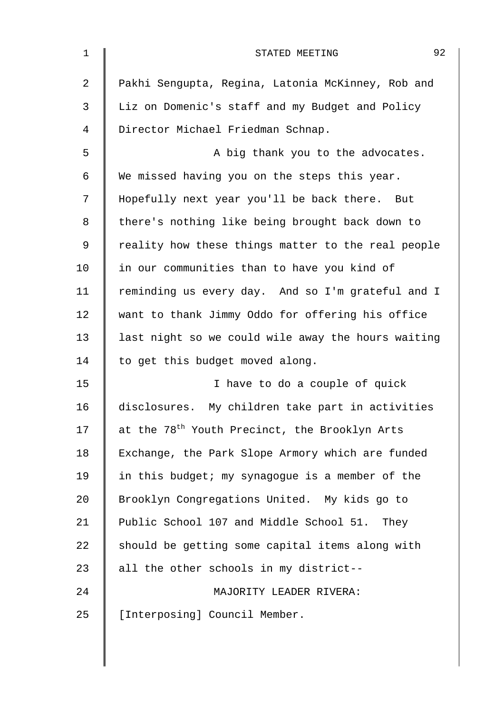| 1  | 92<br>STATED MEETING                                      |
|----|-----------------------------------------------------------|
| 2  | Pakhi Sengupta, Regina, Latonia McKinney, Rob and         |
| 3  | Liz on Domenic's staff and my Budget and Policy           |
| 4  | Director Michael Friedman Schnap.                         |
| 5  | A big thank you to the advocates.                         |
| 6  | We missed having you on the steps this year.              |
| 7  | Hopefully next year you'll be back there. But             |
| 8  | there's nothing like being brought back down to           |
| 9  | reality how these things matter to the real people        |
| 10 | in our communities than to have you kind of               |
| 11 | reminding us every day. And so I'm grateful and I         |
| 12 | want to thank Jimmy Oddo for offering his office          |
| 13 | last night so we could wile away the hours waiting        |
| 14 | to get this budget moved along.                           |
| 15 | I have to do a couple of quick                            |
| 16 | disclosures. My children take part in activities          |
| 17 | at the 78 <sup>th</sup> Youth Precinct, the Brooklyn Arts |
| 18 | Exchange, the Park Slope Armory which are funded          |
| 19 | in this budget; my synagogue is a member of the           |
| 20 | Brooklyn Congregations United. My kids go to              |
| 21 | Public School 107 and Middle School 51. They              |
| 22 | should be getting some capital items along with           |
| 23 | all the other schools in my district--                    |
| 24 | MAJORITY LEADER RIVERA:                                   |
| 25 | [Interposing] Council Member.                             |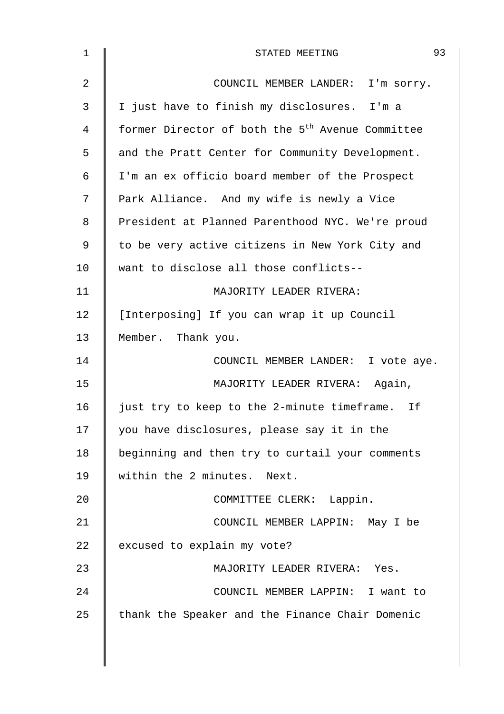| $\mathbf 1$    | 93<br>STATED MEETING                                         |
|----------------|--------------------------------------------------------------|
| $\overline{2}$ | COUNCIL MEMBER LANDER: I'm sorry.                            |
| 3              | I just have to finish my disclosures. I'm a                  |
| 4              | former Director of both the 5 <sup>th</sup> Avenue Committee |
| 5              | and the Pratt Center for Community Development.              |
| 6              | I'm an ex officio board member of the Prospect               |
| 7              | Park Alliance. And my wife is newly a Vice                   |
| 8              | President at Planned Parenthood NYC. We're proud             |
| 9              | to be very active citizens in New York City and              |
| 10             | want to disclose all those conflicts--                       |
| 11             | MAJORITY LEADER RIVERA:                                      |
| 12             | [Interposing] If you can wrap it up Council                  |
| 13             | Member. Thank you.                                           |
| 14             | COUNCIL MEMBER LANDER: I vote aye.                           |
| 15             | MAJORITY LEADER RIVERA: Again,                               |
| 16             | just try to keep to the 2-minute timeframe. If               |
| 17             | you have disclosures, please say it in the                   |
| 18             | beginning and then try to curtail your comments              |
| 19             | within the 2 minutes. Next.                                  |
| 20             | COMMITTEE CLERK: Lappin.                                     |
| 21             | COUNCIL MEMBER LAPPIN: May I be                              |
| 22             | excused to explain my vote?                                  |
| 23             | MAJORITY LEADER RIVERA: Yes.                                 |
| 24             | COUNCIL MEMBER LAPPIN: I want to                             |
| 25             | thank the Speaker and the Finance Chair Domenic              |
|                |                                                              |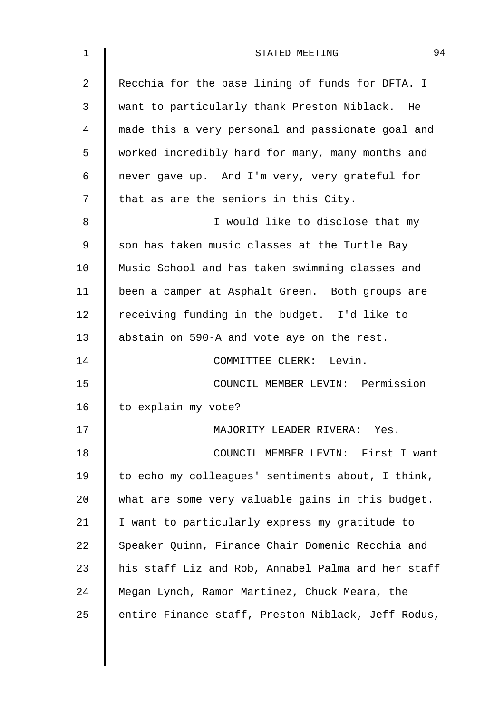| 1  | 94<br>STATED MEETING                               |
|----|----------------------------------------------------|
| 2  | Recchia for the base lining of funds for DFTA. I   |
| 3  | want to particularly thank Preston Niblack. He     |
| 4  | made this a very personal and passionate goal and  |
| 5  | worked incredibly hard for many, many months and   |
| 6  | never gave up. And I'm very, very grateful for     |
| 7  | that as are the seniors in this City.              |
| 8  | I would like to disclose that my                   |
| 9  | son has taken music classes at the Turtle Bay      |
| 10 | Music School and has taken swimming classes and    |
| 11 | been a camper at Asphalt Green. Both groups are    |
| 12 | receiving funding in the budget. I'd like to       |
| 13 | abstain on 590-A and vote aye on the rest.         |
| 14 | COMMITTEE CLERK: Levin.                            |
| 15 | COUNCIL MEMBER LEVIN: Permission                   |
| 16 | to explain my vote?                                |
| 17 | MAJORITY LEADER RIVERA: Yes.                       |
| 18 | COUNCIL MEMBER LEVIN: First I want                 |
| 19 | to echo my colleagues' sentiments about, I think,  |
| 20 | what are some very valuable gains in this budget.  |
| 21 | I want to particularly express my gratitude to     |
| 22 | Speaker Quinn, Finance Chair Domenic Recchia and   |
| 23 | his staff Liz and Rob, Annabel Palma and her staff |
| 24 | Megan Lynch, Ramon Martinez, Chuck Meara, the      |
| 25 | entire Finance staff, Preston Niblack, Jeff Rodus, |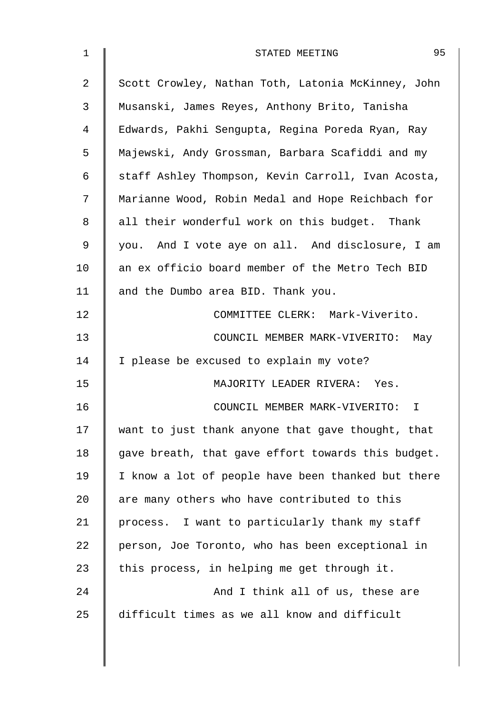| $\mathbf 1$ | 95<br>STATED MEETING                               |
|-------------|----------------------------------------------------|
| 2           | Scott Crowley, Nathan Toth, Latonia McKinney, John |
| 3           | Musanski, James Reyes, Anthony Brito, Tanisha      |
| 4           | Edwards, Pakhi Sengupta, Regina Poreda Ryan, Ray   |
| 5           | Majewski, Andy Grossman, Barbara Scafiddi and my   |
| 6           | staff Ashley Thompson, Kevin Carroll, Ivan Acosta, |
| 7           | Marianne Wood, Robin Medal and Hope Reichbach for  |
| 8           | all their wonderful work on this budget. Thank     |
| 9           | you. And I vote aye on all. And disclosure, I am   |
| 10          | an ex officio board member of the Metro Tech BID   |
| 11          | and the Dumbo area BID. Thank you.                 |
| 12          | COMMITTEE CLERK: Mark-Viverito.                    |
| 13          | COUNCIL MEMBER MARK-VIVERITO: May                  |
| 14          | I please be excused to explain my vote?            |
| 15          | MAJORITY LEADER RIVERA: Yes.                       |
| 16          | COUNCIL MEMBER MARK-VIVERITO:<br>T                 |
| 17          | want to just thank anyone that gave thought, that  |
| 18          | gave breath, that gave effort towards this budget. |
| 19          | I know a lot of people have been thanked but there |
| 20          | are many others who have contributed to this       |
| 21          | process. I want to particularly thank my staff     |
| 22          | person, Joe Toronto, who has been exceptional in   |
| 23          | this process, in helping me get through it.        |
| 24          | And I think all of us, these are                   |
| 25          | difficult times as we all know and difficult       |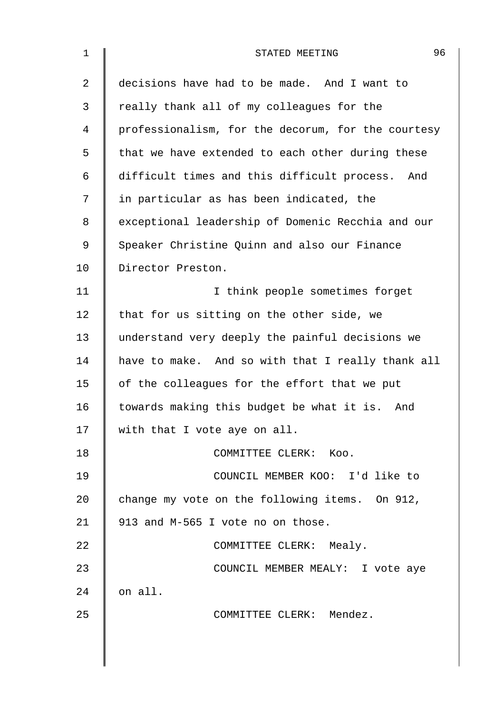| $\mathbf 1$ | 96<br>STATED MEETING                               |
|-------------|----------------------------------------------------|
| 2           | decisions have had to be made. And I want to       |
| 3           | really thank all of my colleagues for the          |
| 4           | professionalism, for the decorum, for the courtesy |
| 5           | that we have extended to each other during these   |
| 6           | difficult times and this difficult process. And    |
| 7           | in particular as has been indicated, the           |
| 8           | exceptional leadership of Domenic Recchia and our  |
| 9           | Speaker Christine Quinn and also our Finance       |
| 10          | Director Preston.                                  |
| 11          | I think people sometimes forget                    |
| 12          | that for us sitting on the other side, we          |
| 13          | understand very deeply the painful decisions we    |
| 14          | have to make. And so with that I really thank all  |
| 15          | of the colleagues for the effort that we put       |
| 16          | towards making this budget be what it is. And      |
| 17          | with that I vote aye on all.                       |
| 18          | COMMITTEE CLERK: Koo.                              |
| 19          | COUNCIL MEMBER KOO: I'd like to                    |
| 20          | change my vote on the following items. On 912,     |
| 21          | 913 and M-565 I vote no on those.                  |
| 22          | COMMITTEE CLERK: Mealy.                            |
| 23          | COUNCIL MEMBER MEALY: I vote aye                   |
| 24          | on all.                                            |
| 25          | COMMITTEE CLERK: Mendez.                           |
|             |                                                    |
|             |                                                    |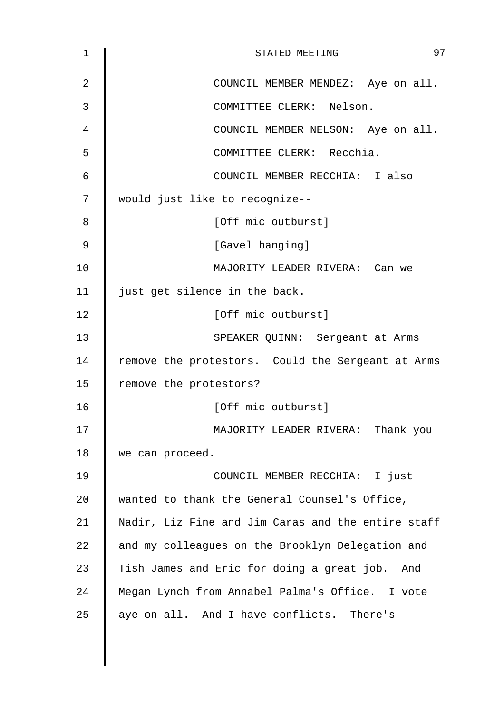| 1              | 97<br>STATED MEETING                               |
|----------------|----------------------------------------------------|
| $\overline{2}$ | COUNCIL MEMBER MENDEZ: Aye on all.                 |
| 3              | COMMITTEE CLERK: Nelson.                           |
| 4              | COUNCIL MEMBER NELSON: Aye on all.                 |
| 5              | COMMITTEE CLERK: Recchia.                          |
| 6              | COUNCIL MEMBER RECCHIA: I also                     |
| 7              | would just like to recognize--                     |
| 8              | [Off mic outburst]                                 |
| 9              | [Gavel banging]                                    |
| 10             | MAJORITY LEADER RIVERA: Can we                     |
| 11             | just get silence in the back.                      |
| 12             | [Off mic outburst]                                 |
| 13             | SPEAKER QUINN: Sergeant at Arms                    |
| 14             | remove the protestors. Could the Sergeant at Arms  |
| 15             | remove the protestors?                             |
| 16             | [Off mic outburst]                                 |
| 17             | MAJORITY LEADER RIVERA: Thank you                  |
| 18             | we can proceed.                                    |
| 19             | COUNCIL MEMBER RECCHIA: I just                     |
| 20             | wanted to thank the General Counsel's Office,      |
| 21             | Nadir, Liz Fine and Jim Caras and the entire staff |
| 22             | and my colleagues on the Brooklyn Delegation and   |
| 23             | Tish James and Eric for doing a great job. And     |
| 24             | Megan Lynch from Annabel Palma's Office. I vote    |
| 25             | aye on all. And I have conflicts. There's          |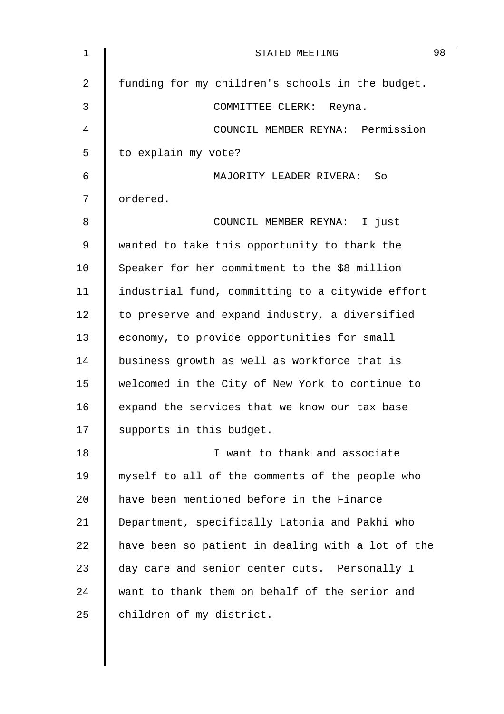| 1           | STATED MEETING                                    | 98 |
|-------------|---------------------------------------------------|----|
| 2           | funding for my children's schools in the budget.  |    |
| 3           | COMMITTEE CLERK: Reyna.                           |    |
| 4           | COUNCIL MEMBER REYNA: Permission                  |    |
| 5           | to explain my vote?                               |    |
| 6           | MAJORITY LEADER RIVERA: So                        |    |
| 7           | ordered.                                          |    |
| 8           | COUNCIL MEMBER REYNA: I just                      |    |
| $\mathsf 9$ | wanted to take this opportunity to thank the      |    |
| 10          | Speaker for her commitment to the \$8 million     |    |
| 11          | industrial fund, committing to a citywide effort  |    |
| 12          | to preserve and expand industry, a diversified    |    |
| 13          | economy, to provide opportunities for small       |    |
| 14          | business growth as well as workforce that is      |    |
| 15          | welcomed in the City of New York to continue to   |    |
| 16          | expand the services that we know our tax base     |    |
| 17          | supports in this budget.                          |    |
| 18          | I want to thank and associate                     |    |
| 19          | myself to all of the comments of the people who   |    |
| 20          | have been mentioned before in the Finance         |    |
| 21          | Department, specifically Latonia and Pakhi who    |    |
| 22          | have been so patient in dealing with a lot of the |    |
| 23          | day care and senior center cuts. Personally I     |    |
| 24          | want to thank them on behalf of the senior and    |    |
| 25          | children of my district.                          |    |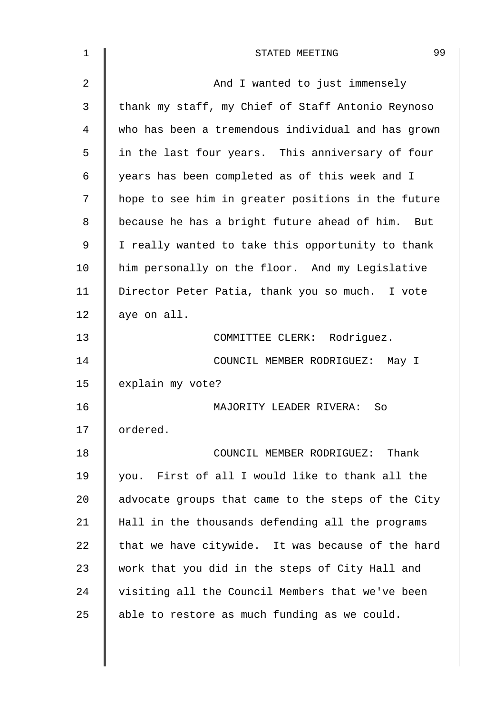| $\mathbf 1$ | 99<br>STATED MEETING                               |
|-------------|----------------------------------------------------|
| 2           | And I wanted to just immensely                     |
| 3           | thank my staff, my Chief of Staff Antonio Reynoso  |
| 4           | who has been a tremendous individual and has grown |
| 5           | in the last four years. This anniversary of four   |
| 6           | years has been completed as of this week and I     |
| 7           | hope to see him in greater positions in the future |
| 8           | because he has a bright future ahead of him. But   |
| 9           | I really wanted to take this opportunity to thank  |
| 10          | him personally on the floor. And my Legislative    |
| 11          | Director Peter Patia, thank you so much. I vote    |
| 12          | aye on all.                                        |
| 13          | COMMITTEE CLERK: Rodriguez.                        |
| 14          | COUNCIL MEMBER RODRIGUEZ: May I                    |
| 15          | explain my vote?                                   |
| 16          | MAJORITY LEADER RIVERA:<br>So                      |
| 17          | ordered.                                           |
| 18          | COUNCIL MEMBER RODRIGUEZ: Thank                    |
| 19          | you. First of all I would like to thank all the    |
| 20          | advocate groups that came to the steps of the City |
| 21          | Hall in the thousands defending all the programs   |
| 22          | that we have citywide. It was because of the hard  |
| 23          | work that you did in the steps of City Hall and    |
| 24          | visiting all the Council Members that we've been   |
| 25          | able to restore as much funding as we could.       |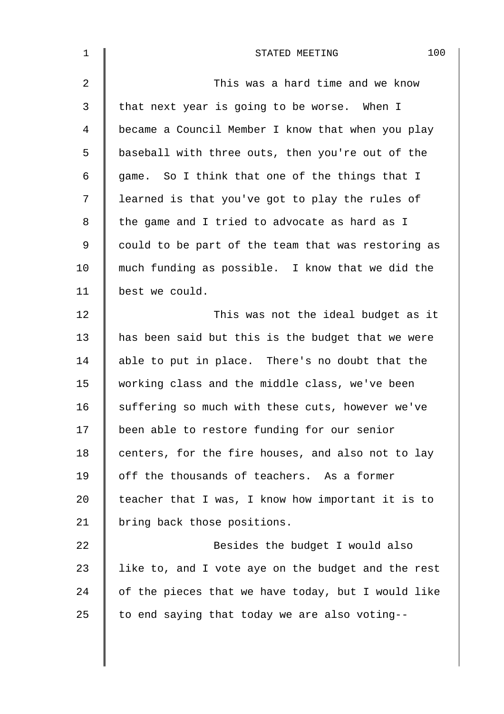| $\mathbf 1$    | 100<br>STATED MEETING                              |
|----------------|----------------------------------------------------|
| $\overline{2}$ | This was a hard time and we know                   |
| 3              | that next year is going to be worse. When I        |
| $\overline{4}$ | became a Council Member I know that when you play  |
| 5              | baseball with three outs, then you're out of the   |
| 6              | game. So I think that one of the things that I     |
| 7              | learned is that you've got to play the rules of    |
| 8              | the game and I tried to advocate as hard as I      |
| 9              | could to be part of the team that was restoring as |
| 10             | much funding as possible. I know that we did the   |
| 11             | best we could.                                     |
| 12             | This was not the ideal budget as it                |
| 13             | has been said but this is the budget that we were  |
| 14             | able to put in place. There's no doubt that the    |
| 15             | working class and the middle class, we've been     |
| 16             | suffering so much with these cuts, however we've   |
| 17             | been able to restore funding for our senior        |
| 18             | centers, for the fire houses, and also not to lay  |
| 19             | off the thousands of teachers. As a former         |
| 20             | teacher that I was, I know how important it is to  |
| 21             | bring back those positions.                        |
| 22             | Besides the budget I would also                    |
| 23             | like to, and I vote aye on the budget and the rest |
| 24             | of the pieces that we have today, but I would like |
| 25             | to end saying that today we are also voting--      |
|                |                                                    |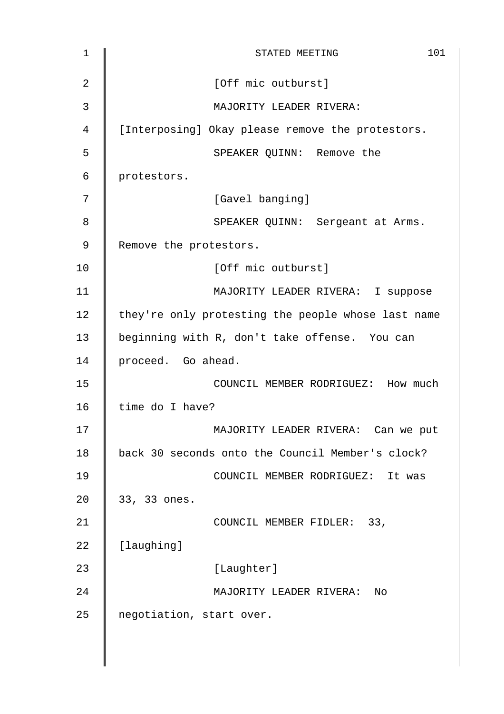| 1  | 101<br>STATED MEETING                              |
|----|----------------------------------------------------|
| 2  | [Off mic outburst]                                 |
| 3  | MAJORITY LEADER RIVERA:                            |
| 4  | [Interposing] Okay please remove the protestors.   |
| 5  | SPEAKER QUINN: Remove the                          |
| 6  | protestors.                                        |
| 7  | [Gavel banging]                                    |
| 8  | SPEAKER QUINN: Sergeant at Arms.                   |
| 9  | Remove the protestors.                             |
| 10 | [Off mic outburst]                                 |
| 11 | MAJORITY LEADER RIVERA: I suppose                  |
| 12 | they're only protesting the people whose last name |
| 13 | beginning with R, don't take offense. You can      |
| 14 | proceed. Go ahead.                                 |
| 15 | COUNCIL MEMBER RODRIGUEZ: How much                 |
| 16 | time do I have?                                    |
| 17 | MAJORITY LEADER RIVERA: Can we put                 |
| 18 | back 30 seconds onto the Council Member's clock?   |
| 19 | COUNCIL MEMBER RODRIGUEZ: It was                   |
| 20 | 33, 33 ones.                                       |
| 21 | COUNCIL MEMBER FIDLER: 33,                         |
| 22 | [laughing]                                         |
| 23 | [Laughter]                                         |
| 24 | MAJORITY LEADER RIVERA:<br>Nο                      |
| 25 | negotiation, start over.                           |
|    |                                                    |
|    |                                                    |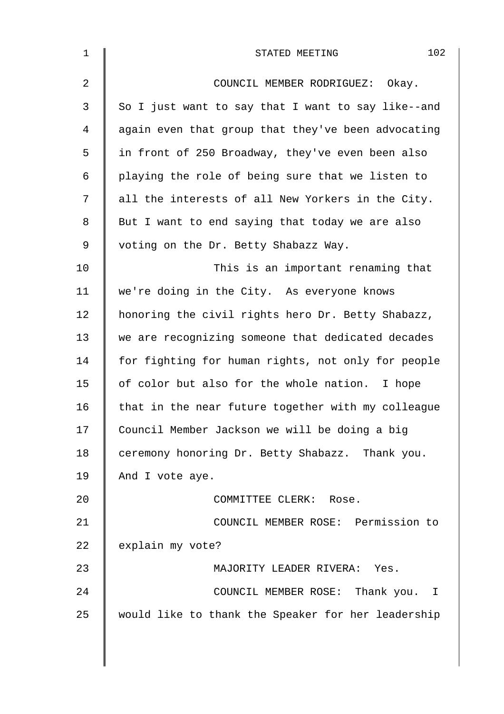| $\mathbf 1$    | 102<br>STATED MEETING                              |
|----------------|----------------------------------------------------|
| $\overline{2}$ | COUNCIL MEMBER RODRIGUEZ:<br>Okay.                 |
| $\mathbf{3}$   | So I just want to say that I want to say like--and |
| 4              | again even that group that they've been advocating |
| 5              | in front of 250 Broadway, they've even been also   |
| 6              | playing the role of being sure that we listen to   |
| 7              | all the interests of all New Yorkers in the City.  |
| 8              | But I want to end saying that today we are also    |
| 9              | voting on the Dr. Betty Shabazz Way.               |
| 10             | This is an important renaming that                 |
| 11             | we're doing in the City. As everyone knows         |
| 12             | honoring the civil rights hero Dr. Betty Shabazz,  |
| 13             | we are recognizing someone that dedicated decades  |
| 14             | for fighting for human rights, not only for people |
| 15             | of color but also for the whole nation. I hope     |
| 16             | that in the near future together with my colleague |
| 17             | Council Member Jackson we will be doing a big      |
| 18             | ceremony honoring Dr. Betty Shabazz. Thank you.    |
| 19             | And I vote aye.                                    |
| 20             | COMMITTEE CLERK: Rose.                             |
| 21             | COUNCIL MEMBER ROSE: Permission to                 |
| 22             | explain my vote?                                   |
| 23             | MAJORITY LEADER RIVERA: Yes.                       |
| 24             | COUNCIL MEMBER ROSE: Thank you. I                  |
| 25             | would like to thank the Speaker for her leadership |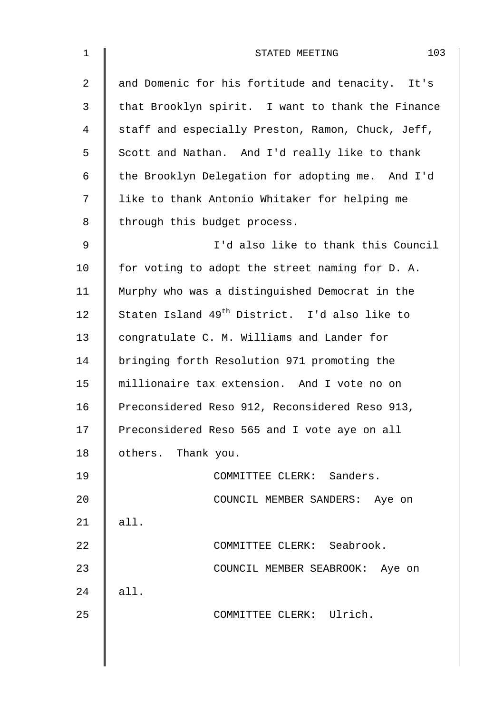| $\mathbf 1$    | 103<br>STATED MEETING                                     |
|----------------|-----------------------------------------------------------|
| $\overline{2}$ | and Domenic for his fortitude and tenacity. It's          |
| 3              | that Brooklyn spirit. I want to thank the Finance         |
| 4              | staff and especially Preston, Ramon, Chuck, Jeff,         |
| 5              | Scott and Nathan. And I'd really like to thank            |
| 6              | the Brooklyn Delegation for adopting me. And I'd          |
| 7              | like to thank Antonio Whitaker for helping me             |
| 8              | through this budget process.                              |
| $\mathsf 9$    | I'd also like to thank this Council                       |
| 10             | for voting to adopt the street naming for D. A.           |
| 11             | Murphy who was a distinguished Democrat in the            |
| 12             | Staten Island 49 <sup>th</sup> District. I'd also like to |
| 13             | congratulate C. M. Williams and Lander for                |
| 14             | bringing forth Resolution 971 promoting the               |
| 15             | millionaire tax extension. And I vote no on               |
| 16             | Preconsidered Reso 912, Reconsidered Reso 913,            |
| 17             | Preconsidered Reso 565 and I vote aye on all              |
| 18             | others. Thank you.                                        |
| 19             | COMMITTEE CLERK: Sanders.                                 |
| 20             | COUNCIL MEMBER SANDERS: Aye on                            |
| 21             | all.                                                      |
| 22             | COMMITTEE CLERK: Seabrook.                                |
| 23             | COUNCIL MEMBER SEABROOK: Aye on                           |
| 24             | all.                                                      |
| 25             | COMMITTEE CLERK: Ulrich.                                  |
|                |                                                           |
|                |                                                           |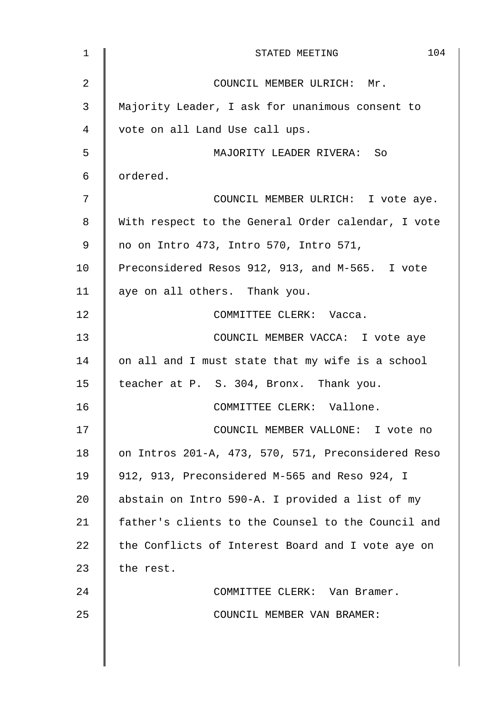| $\mathbf 1$ | 104<br>STATED MEETING                              |
|-------------|----------------------------------------------------|
| 2           | COUNCIL MEMBER ULRICH: Mr.                         |
| 3           | Majority Leader, I ask for unanimous consent to    |
| 4           | vote on all Land Use call ups.                     |
| 5           | MAJORITY LEADER RIVERA: So                         |
| 6           | ordered.                                           |
| 7           | COUNCIL MEMBER ULRICH: I vote aye.                 |
| 8           | With respect to the General Order calendar, I vote |
| 9           | no on Intro 473, Intro 570, Intro 571,             |
| 10          | Preconsidered Resos 912, 913, and M-565. I vote    |
| 11          | aye on all others. Thank you.                      |
| 12          | COMMITTEE CLERK: Vacca.                            |
| 13          | COUNCIL MEMBER VACCA: I vote aye                   |
| 14          | on all and I must state that my wife is a school   |
| 15          | teacher at P. S. 304, Bronx. Thank you.            |
| 16          | COMMITTEE CLERK: Vallone.                          |
| 17          | COUNCIL MEMBER VALLONE: I vote no                  |
| 18          | on Intros 201-A, 473, 570, 571, Preconsidered Reso |
| 19          | 912, 913, Preconsidered M-565 and Reso 924, I      |
| 20          | abstain on Intro 590-A. I provided a list of my    |
| 21          | father's clients to the Counsel to the Council and |
| 22          | the Conflicts of Interest Board and I vote aye on  |
| 23          | the rest.                                          |
| 24          | COMMITTEE CLERK: Van Bramer.                       |
| 25          | COUNCIL MEMBER VAN BRAMER:                         |
|             |                                                    |
|             |                                                    |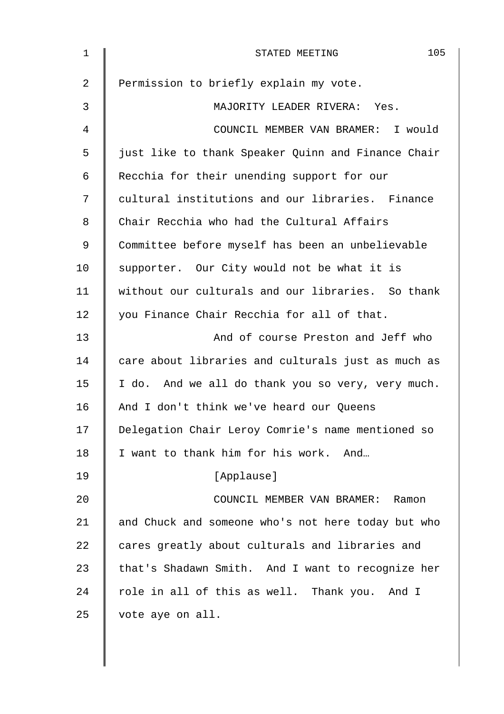| $\mathbf 1$    | 105<br>STATED MEETING                              |
|----------------|----------------------------------------------------|
| $\overline{2}$ | Permission to briefly explain my vote.             |
| 3              | MAJORITY LEADER RIVERA: Yes.                       |
| 4              | COUNCIL MEMBER VAN BRAMER: I would                 |
| 5              | just like to thank Speaker Quinn and Finance Chair |
| 6              | Recchia for their unending support for our         |
| 7              | cultural institutions and our libraries. Finance   |
| 8              | Chair Recchia who had the Cultural Affairs         |
| 9              | Committee before myself has been an unbelievable   |
| 10             | supporter. Our City would not be what it is        |
| 11             | without our culturals and our libraries. So thank  |
| 12             | you Finance Chair Recchia for all of that.         |
| 13             | And of course Preston and Jeff who                 |
| 14             | care about libraries and culturals just as much as |
| 15             | I do. And we all do thank you so very, very much.  |
| 16             | And I don't think we've heard our Queens           |
| 17             | Delegation Chair Leroy Comrie's name mentioned so  |
| 18             | I want to thank him for his work. And              |
| 19             | [Applause]                                         |
| 20             | COUNCIL MEMBER VAN BRAMER:<br>Ramon                |
| 21             | and Chuck and someone who's not here today but who |
| 22             | cares greatly about culturals and libraries and    |
| 23             | that's Shadawn Smith. And I want to recognize her  |
| 24             | role in all of this as well. Thank you. And I      |
| 25             | vote aye on all.                                   |
|                |                                                    |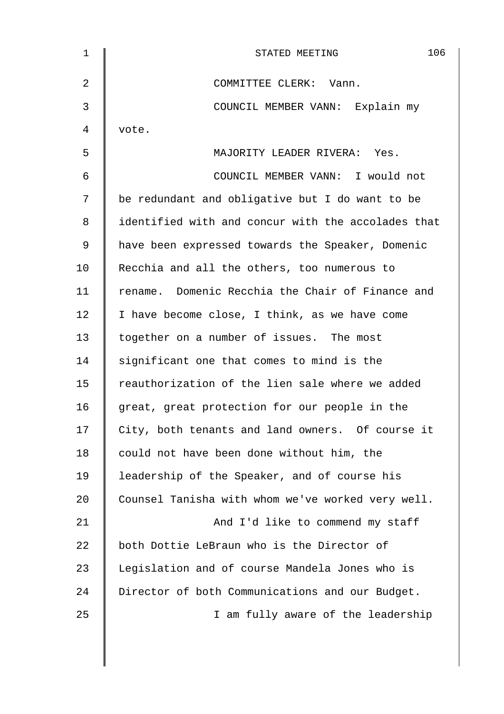| 1  | 106<br>STATED MEETING                              |
|----|----------------------------------------------------|
| 2  | COMMITTEE CLERK: Vann.                             |
| 3  | COUNCIL MEMBER VANN: Explain my                    |
| 4  | vote.                                              |
| 5  | MAJORITY LEADER RIVERA: Yes.                       |
| 6  | COUNCIL MEMBER VANN: I would not                   |
| 7  | be redundant and obligative but I do want to be    |
| 8  | identified with and concur with the accolades that |
| 9  | have been expressed towards the Speaker, Domenic   |
| 10 | Recchia and all the others, too numerous to        |
| 11 | rename. Domenic Recchia the Chair of Finance and   |
| 12 | I have become close, I think, as we have come      |
| 13 | together on a number of issues. The most           |
| 14 | significant one that comes to mind is the          |
| 15 | reauthorization of the lien sale where we added    |
| 16 | great, great protection for our people in the      |
| 17 | City, both tenants and land owners. Of course it   |
| 18 | could not have been done without him, the          |
| 19 | leadership of the Speaker, and of course his       |
| 20 | Counsel Tanisha with whom we've worked very well.  |
| 21 | And I'd like to commend my staff                   |
| 22 | both Dottie LeBraun who is the Director of         |
| 23 | Legislation and of course Mandela Jones who is     |
| 24 | Director of both Communications and our Budget.    |
| 25 | I am fully aware of the leadership                 |
|    |                                                    |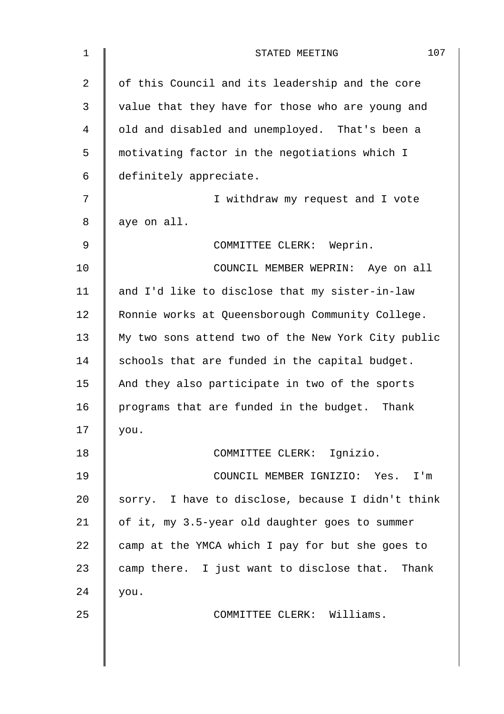| $\mathbf 1$    | 107<br>STATED MEETING                              |
|----------------|----------------------------------------------------|
| $\overline{2}$ | of this Council and its leadership and the core    |
| 3              | value that they have for those who are young and   |
| 4              | old and disabled and unemployed. That's been a     |
| 5              | motivating factor in the negotiations which I      |
| 6              | definitely appreciate.                             |
| 7              | I withdraw my request and I vote                   |
| 8              | aye on all.                                        |
| 9              | COMMITTEE CLERK: Weprin.                           |
| 10             | COUNCIL MEMBER WEPRIN: Aye on all                  |
| 11             | and I'd like to disclose that my sister-in-law     |
| 12             | Ronnie works at Queensborough Community College.   |
| 13             | My two sons attend two of the New York City public |
| 14             | schools that are funded in the capital budget.     |
| 15             | And they also participate in two of the sports     |
| 16             | programs that are funded in the budget. Thank      |
| 17             | you.                                               |
| 18             | COMMITTEE CLERK: Ignizio.                          |
| 19             | COUNCIL MEMBER IGNIZIO: Yes. I'm                   |
| 20             | sorry. I have to disclose, because I didn't think  |
| 21             | of it, my 3.5-year old daughter goes to summer     |
| 22             | camp at the YMCA which I pay for but she goes to   |
| 23             | camp there. I just want to disclose that. Thank    |
| 24             | you.                                               |
| 25             | COMMITTEE CLERK: Williams.                         |
|                |                                                    |
|                |                                                    |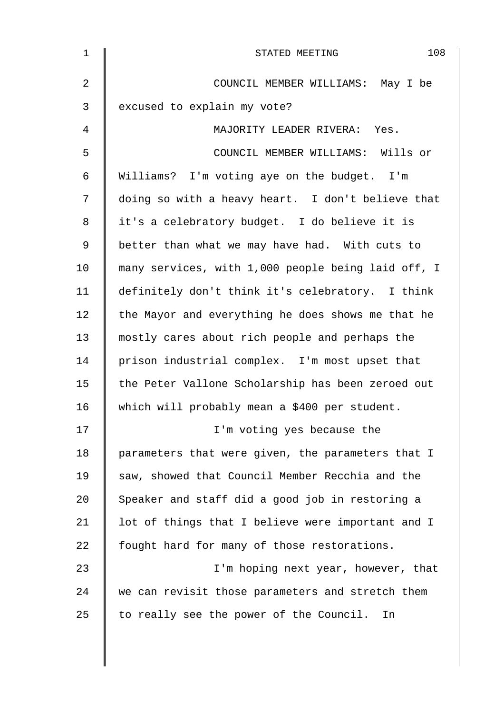| $\mathbf 1$ | 108<br>STATED MEETING                              |
|-------------|----------------------------------------------------|
| 2           | COUNCIL MEMBER WILLIAMS: May I be                  |
| 3           | excused to explain my vote?                        |
| 4           | MAJORITY LEADER RIVERA: Yes.                       |
| 5           | COUNCIL MEMBER WILLIAMS: Wills or                  |
| 6           | Williams? I'm voting aye on the budget. I'm        |
| 7           | doing so with a heavy heart. I don't believe that  |
| 8           | it's a celebratory budget. I do believe it is      |
| $\mathsf 9$ | better than what we may have had. With cuts to     |
| 10          | many services, with 1,000 people being laid off, I |
| 11          | definitely don't think it's celebratory. I think   |
| 12          | the Mayor and everything he does shows me that he  |
| 13          | mostly cares about rich people and perhaps the     |
| 14          | prison industrial complex. I'm most upset that     |
| 15          | the Peter Vallone Scholarship has been zeroed out  |
| 16          | which will probably mean a \$400 per student.      |
| 17          | I'm voting yes because the                         |
| 18          | parameters that were given, the parameters that I  |
| 19          | saw, showed that Council Member Recchia and the    |
| 20          | Speaker and staff did a good job in restoring a    |
| 21          | lot of things that I believe were important and I  |
| 22          | fought hard for many of those restorations.        |
| 23          | I'm hoping next year, however, that                |
| 24          | we can revisit those parameters and stretch them   |
| 25          | to really see the power of the Council.<br>In      |
|             |                                                    |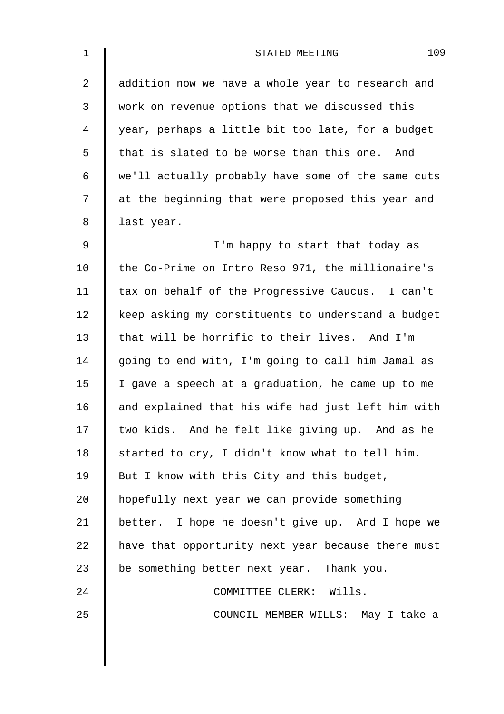| $\mathbf 1$ | 109<br>STATED MEETING                              |
|-------------|----------------------------------------------------|
| 2           | addition now we have a whole year to research and  |
| 3           | work on revenue options that we discussed this     |
| 4           | year, perhaps a little bit too late, for a budget  |
| 5           | that is slated to be worse than this one. And      |
| 6           | we'll actually probably have some of the same cuts |
| 7           | at the beginning that were proposed this year and  |
| 8           | last year.                                         |
| $\mathsf 9$ | I'm happy to start that today as                   |
| 10          | the Co-Prime on Intro Reso 971, the millionaire's  |
| 11          | tax on behalf of the Progressive Caucus. I can't   |
| 12          | keep asking my constituents to understand a budget |
| 13          | that will be horrific to their lives. And I'm      |
| 14          | going to end with, I'm going to call him Jamal as  |
| 15          | I gave a speech at a graduation, he came up to me  |
| 16          | and explained that his wife had just left him with |
| 17          | two kids. And he felt like giving up. And as he    |
| 18          | started to cry, I didn't know what to tell him.    |
| 19          | But I know with this City and this budget,         |
| 20          | hopefully next year we can provide something       |
| 21          | better. I hope he doesn't give up. And I hope we   |
| 22          | have that opportunity next year because there must |
| 23          | be something better next year. Thank you.          |
| 24          | COMMITTEE CLERK: Wills.                            |
| 25          | COUNCIL MEMBER WILLS: May I take a                 |
|             |                                                    |
|             |                                                    |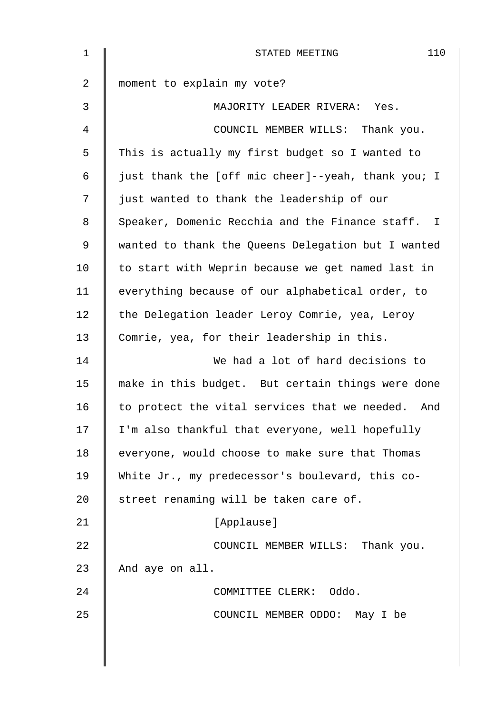| 1  | 110<br>STATED MEETING                              |
|----|----------------------------------------------------|
| 2  | moment to explain my vote?                         |
| 3  | MAJORITY LEADER RIVERA: Yes.                       |
| 4  | COUNCIL MEMBER WILLS: Thank you.                   |
| 5  | This is actually my first budget so I wanted to    |
| 6  | just thank the [off mic cheer]--yeah, thank you; I |
| 7  | just wanted to thank the leadership of our         |
| 8  | Speaker, Domenic Recchia and the Finance staff. I  |
| 9  | wanted to thank the Queens Delegation but I wanted |
| 10 | to start with Weprin because we get named last in  |
| 11 | everything because of our alphabetical order, to   |
| 12 | the Delegation leader Leroy Comrie, yea, Leroy     |
| 13 | Comrie, yea, for their leadership in this.         |
| 14 | We had a lot of hard decisions to                  |
| 15 | make in this budget. But certain things were done  |
| 16 | to protect the vital services that we needed. And  |
| 17 | I'm also thankful that everyone, well hopefully    |
| 18 | everyone, would choose to make sure that Thomas    |
| 19 | White Jr., my predecessor's boulevard, this co-    |
| 20 | street renaming will be taken care of.             |
| 21 | [Applause]                                         |
| 22 | COUNCIL MEMBER WILLS: Thank you.                   |
| 23 | And aye on all.                                    |
| 24 | COMMITTEE CLERK: Oddo.                             |
| 25 | COUNCIL MEMBER ODDO: May I be                      |
|    |                                                    |
|    |                                                    |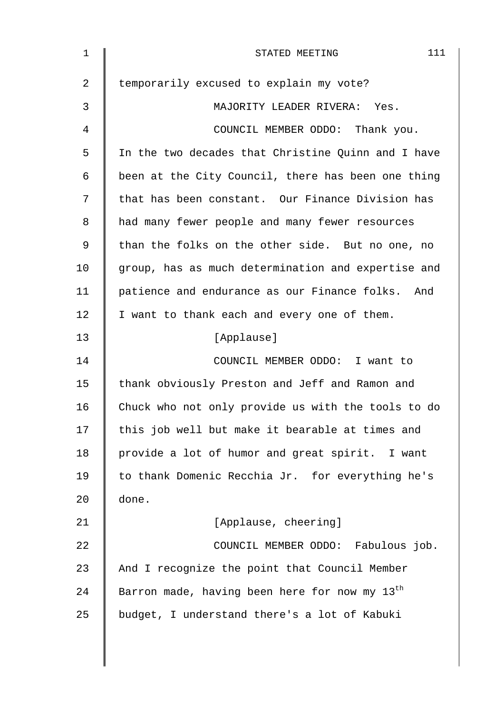| 1  | 111<br>STATED MEETING                                     |
|----|-----------------------------------------------------------|
| 2  | temporarily excused to explain my vote?                   |
| 3  | MAJORITY LEADER RIVERA: Yes.                              |
| 4  | COUNCIL MEMBER ODDO: Thank you.                           |
| 5  | In the two decades that Christine Quinn and I have        |
| 6  | been at the City Council, there has been one thing        |
| 7  | that has been constant. Our Finance Division has          |
| 8  | had many fewer people and many fewer resources            |
| 9  | than the folks on the other side. But no one, no          |
| 10 | group, has as much determination and expertise and        |
| 11 | patience and endurance as our Finance folks. And          |
| 12 | I want to thank each and every one of them.               |
| 13 | [Applause]                                                |
| 14 | COUNCIL MEMBER ODDO: I want to                            |
| 15 | thank obviously Preston and Jeff and Ramon and            |
| 16 | Chuck who not only provide us with the tools to do        |
| 17 | this job well but make it bearable at times and           |
| 18 | provide a lot of humor and great spirit. I want           |
| 19 | to thank Domenic Recchia Jr. for everything he's          |
| 20 | done.                                                     |
| 21 | [Applause, cheering]                                      |
| 22 | COUNCIL MEMBER ODDO: Fabulous job.                        |
| 23 | And I recognize the point that Council Member             |
| 24 | Barron made, having been here for now my 13 <sup>th</sup> |
| 25 | budget, I understand there's a lot of Kabuki              |
|    |                                                           |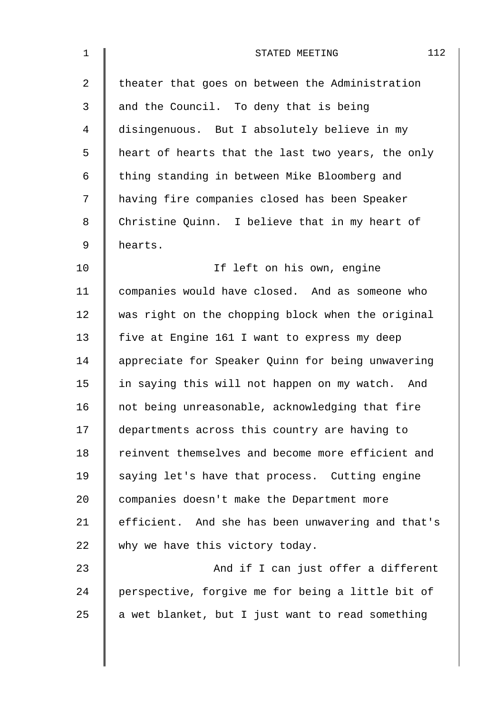| $\mathbf 1$ | 112<br>STATED MEETING                             |
|-------------|---------------------------------------------------|
| 2           | theater that goes on between the Administration   |
| 3           | and the Council. To deny that is being            |
| 4           | disingenuous. But I absolutely believe in my      |
| 5           | heart of hearts that the last two years, the only |
| 6           | thing standing in between Mike Bloomberg and      |
| 7           | having fire companies closed has been Speaker     |
| 8           | Christine Quinn. I believe that in my heart of    |
| 9           | hearts.                                           |
| 10          | If left on his own, engine                        |
| 11          | companies would have closed. And as someone who   |
| 12          | was right on the chopping block when the original |
| 13          | five at Engine 161 I want to express my deep      |
| 14          | appreciate for Speaker Quinn for being unwavering |
| 15          | in saying this will not happen on my watch. And   |
| 16          | not being unreasonable, acknowledging that fire   |
| 17          | departments across this country are having to     |
| 18          | reinvent themselves and become more efficient and |
| 19          | saying let's have that process. Cutting engine    |
| 20          | companies doesn't make the Department more        |
| 21          | efficient. And she has been unwavering and that's |
| 22          | why we have this victory today.                   |
| 23          | And if I can just offer a different               |
| 24          | perspective, forgive me for being a little bit of |
| 25          | a wet blanket, but I just want to read something  |
|             |                                                   |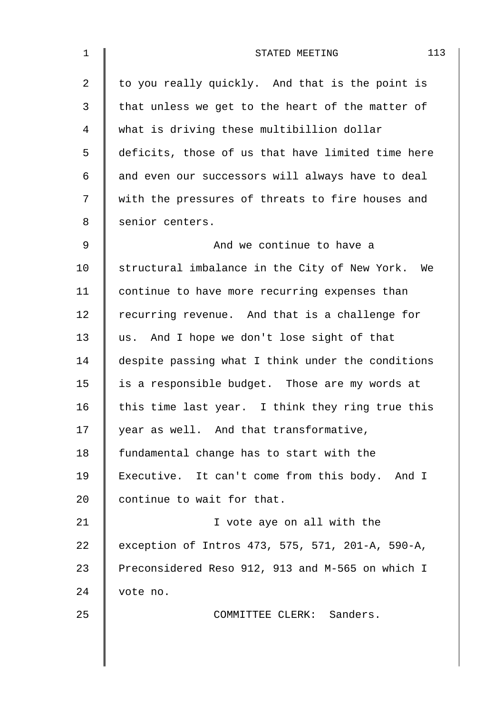| $\mathbf 1$    | 113<br>STATED MEETING                             |
|----------------|---------------------------------------------------|
| $\overline{2}$ | to you really quickly. And that is the point is   |
| $\mathfrak{Z}$ | that unless we get to the heart of the matter of  |
| 4              | what is driving these multibillion dollar         |
| 5              | deficits, those of us that have limited time here |
| 6              | and even our successors will always have to deal  |
| 7              | with the pressures of threats to fire houses and  |
| 8              | senior centers.                                   |
| $\mathsf 9$    | And we continue to have a                         |
| 10             | structural imbalance in the City of New York. We  |
| 11             | continue to have more recurring expenses than     |
| 12             | recurring revenue. And that is a challenge for    |
| 13             | us. And I hope we don't lose sight of that        |
| 14             | despite passing what I think under the conditions |
| 15             | is a responsible budget. Those are my words at    |
| 16             | this time last year. I think they ring true this  |
| 17             | year as well. And that transformative,            |
| 18             | fundamental change has to start with the          |
| 19             | Executive. It can't come from this body. And I    |
| 20             | continue to wait for that.                        |
| 21             | I vote aye on all with the                        |
| 22             | exception of Intros 473, 575, 571, 201-A, 590-A,  |
| 23             | Preconsidered Reso 912, 913 and M-565 on which I  |
| 24             | vote no.                                          |
| 25             | COMMITTEE CLERK: Sanders.                         |
|                |                                                   |
|                |                                                   |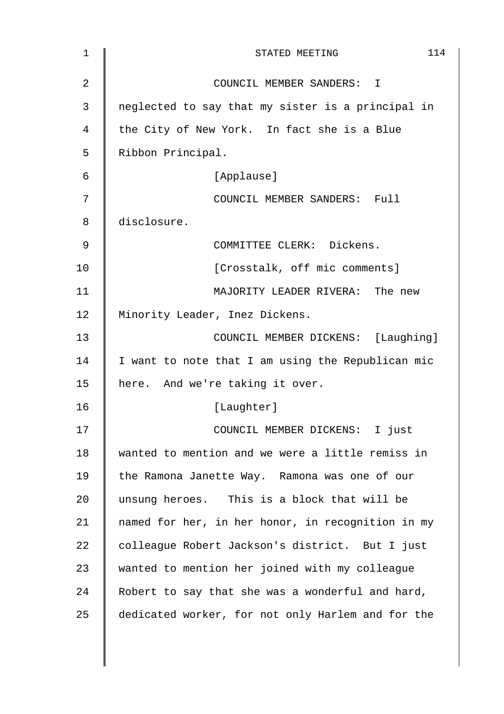| 1  | 114<br>STATED MEETING                             |
|----|---------------------------------------------------|
| 2  | COUNCIL MEMBER SANDERS: I                         |
| 3  | neglected to say that my sister is a principal in |
| 4  | the City of New York. In fact she is a Blue       |
| 5  | Ribbon Principal.                                 |
| 6  | [Applause]                                        |
| 7  | COUNCIL MEMBER SANDERS: Full                      |
| 8  | disclosure.                                       |
| 9  | COMMITTEE CLERK: Dickens.                         |
| 10 | [Crosstalk, off mic comments]                     |
| 11 | MAJORITY LEADER RIVERA: The new                   |
| 12 | Minority Leader, Inez Dickens.                    |
| 13 | COUNCIL MEMBER DICKENS: [Laughing]                |
| 14 | I want to note that I am using the Republican mic |
| 15 | here. And we're taking it over.                   |
| 16 | [Laughter]                                        |
| 17 | COUNCIL MEMBER DICKENS: I just                    |
| 18 | wanted to mention and we were a little remiss in  |
| 19 | the Ramona Janette Way. Ramona was one of our     |
| 20 | unsung heroes. This is a block that will be       |
| 21 | named for her, in her honor, in recognition in my |
| 22 | colleague Robert Jackson's district. But I just   |
| 23 | wanted to mention her joined with my colleague    |
| 24 | Robert to say that she was a wonderful and hard,  |
| 25 | dedicated worker, for not only Harlem and for the |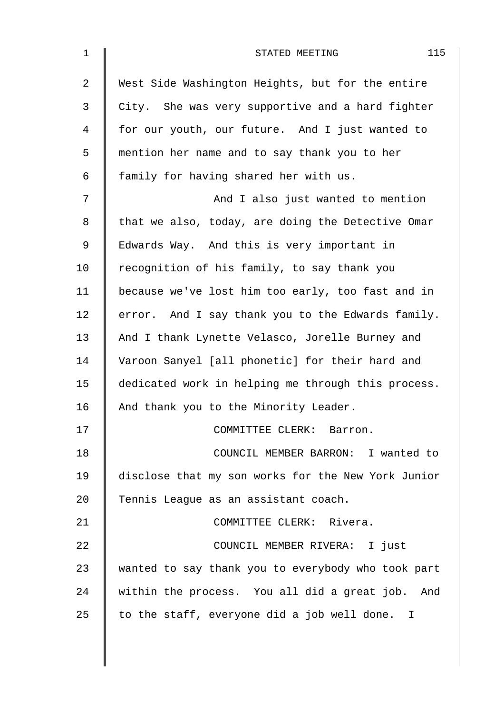| $\mathbf 1$    | 115<br>STATED MEETING                              |
|----------------|----------------------------------------------------|
| $\overline{2}$ | West Side Washington Heights, but for the entire   |
| 3              | City. She was very supportive and a hard fighter   |
| $\overline{4}$ | for our youth, our future. And I just wanted to    |
| 5              | mention her name and to say thank you to her       |
| 6              | family for having shared her with us.              |
| 7              | And I also just wanted to mention                  |
| $\,8\,$        | that we also, today, are doing the Detective Omar  |
| $\mathsf 9$    | Edwards Way. And this is very important in         |
| 10             | recognition of his family, to say thank you        |
| 11             | because we've lost him too early, too fast and in  |
| 12             | error. And I say thank you to the Edwards family.  |
| 13             | And I thank Lynette Velasco, Jorelle Burney and    |
| 14             | Varoon Sanyel [all phonetic] for their hard and    |
| 15             | dedicated work in helping me through this process. |
| 16             | And thank you to the Minority Leader.              |
| 17             | COMMITTEE CLERK: Barron.                           |
| 18             | COUNCIL MEMBER BARRON: I wanted to                 |
| 19             | disclose that my son works for the New York Junior |
| 20             | Tennis League as an assistant coach.               |
| 21             | COMMITTEE CLERK: Rivera.                           |
| 22             | COUNCIL MEMBER RIVERA: I just                      |
| 23             | wanted to say thank you to everybody who took part |
| 24             | within the process. You all did a great job. And   |
| 25             | to the staff, everyone did a job well done. I      |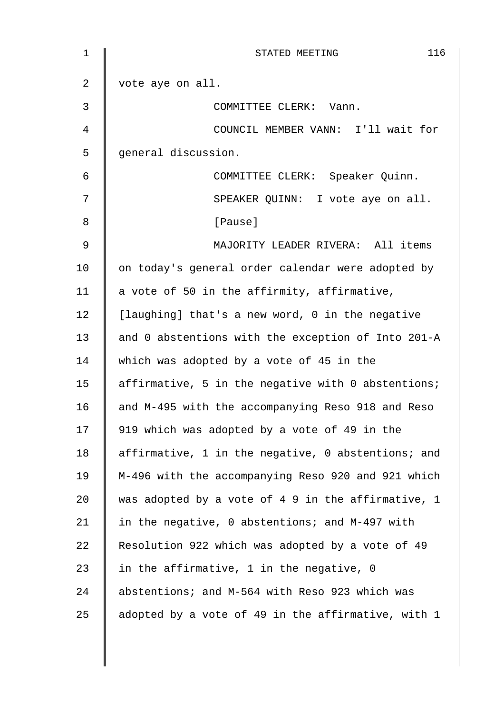| 1           | 116<br>STATED MEETING                              |
|-------------|----------------------------------------------------|
| 2           | vote aye on all.                                   |
| 3           | COMMITTEE CLERK: Vann.                             |
| 4           | COUNCIL MEMBER VANN: I'll wait for                 |
| 5           | general discussion.                                |
| 6           | COMMITTEE CLERK: Speaker Quinn.                    |
| 7           | SPEAKER QUINN: I vote aye on all.                  |
| 8           | [Pause]                                            |
| $\mathsf 9$ | MAJORITY LEADER RIVERA: All items                  |
| 10          | on today's general order calendar were adopted by  |
| 11          | a vote of 50 in the affirmity, affirmative,        |
| 12          | [laughing] that's a new word, 0 in the negative    |
| 13          | and 0 abstentions with the exception of Into 201-A |
| 14          | which was adopted by a vote of 45 in the           |
| 15          | affirmative, 5 in the negative with 0 abstentions; |
| 16          | and M-495 with the accompanying Reso 918 and Reso  |
| 17          | 919 which was adopted by a vote of 49 in the       |
| 18          | affirmative, 1 in the negative, 0 abstentions; and |
| 19          | M-496 with the accompanying Reso 920 and 921 which |
| 20          | was adopted by a vote of 4 9 in the affirmative, 1 |
| 21          | in the negative, 0 abstentions; and M-497 with     |
| 22          | Resolution 922 which was adopted by a vote of 49   |
| 23          | in the affirmative, 1 in the negative, 0           |
| 24          | abstentions; and M-564 with Reso 923 which was     |
| 25          | adopted by a vote of 49 in the affirmative, with 1 |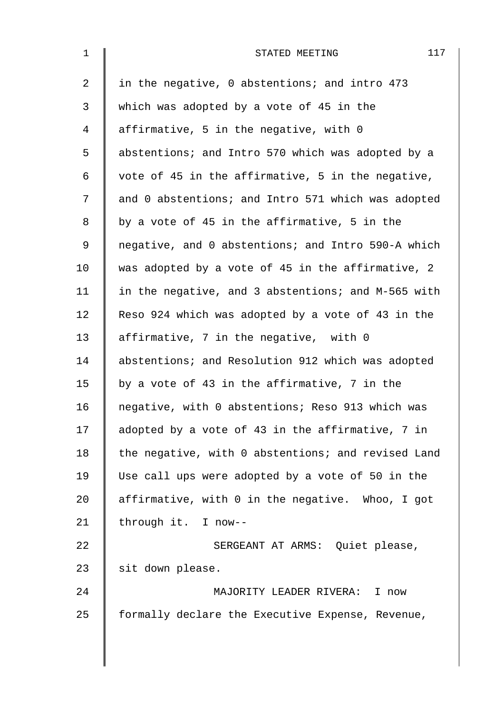| $\mathbf{1}$ | 117<br>STATED MEETING                              |
|--------------|----------------------------------------------------|
| 2            | in the negative, 0 abstentions; and intro 473      |
| 3            | which was adopted by a vote of 45 in the           |
| 4            | affirmative, 5 in the negative, with 0             |
| 5            | abstentions; and Intro 570 which was adopted by a  |
| 6            | vote of 45 in the affirmative, 5 in the negative,  |
| 7            | and 0 abstentions; and Intro 571 which was adopted |
| 8            | by a vote of 45 in the affirmative, 5 in the       |
| 9            | negative, and 0 abstentions; and Intro 590-A which |
| 10           | was adopted by a vote of 45 in the affirmative, 2  |
| 11           | in the negative, and 3 abstentions; and M-565 with |
| 12           | Reso 924 which was adopted by a vote of 43 in the  |
| 13           | affirmative, 7 in the negative, with 0             |
| 14           | abstentions; and Resolution 912 which was adopted  |
| 15           | by a vote of 43 in the affirmative, 7 in the       |
| 16           | negative, with 0 abstentions; Reso 913 which was   |
| 17           | adopted by a vote of 43 in the affirmative, 7 in   |
| 18           | the negative, with 0 abstentions; and revised Land |
| 19           | Use call ups were adopted by a vote of 50 in the   |
| 20           | affirmative, with 0 in the negative. Whoo, I got   |
| 21           | through it. I now--                                |
| 22           | SERGEANT AT ARMS: Quiet please,                    |
| 23           | sit down please.                                   |
| 24           | MAJORITY LEADER RIVERA:<br>I now                   |
| 25           | formally declare the Executive Expense, Revenue,   |
|              |                                                    |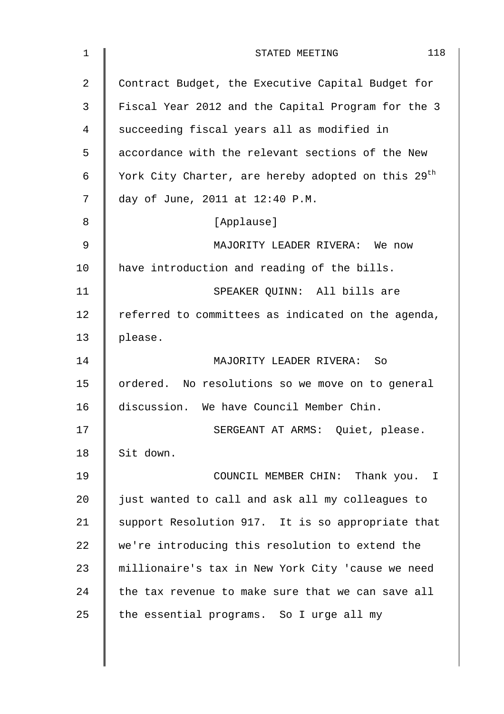| 1  | 118<br>STATED MEETING                                          |
|----|----------------------------------------------------------------|
| 2  | Contract Budget, the Executive Capital Budget for              |
| 3  | Fiscal Year 2012 and the Capital Program for the 3             |
| 4  | succeeding fiscal years all as modified in                     |
| 5  | accordance with the relevant sections of the New               |
| 6  | York City Charter, are hereby adopted on this 29 <sup>th</sup> |
| 7  | day of June, 2011 at 12:40 P.M.                                |
| 8  | [Applause]                                                     |
| 9  | MAJORITY LEADER RIVERA: We now                                 |
| 10 | have introduction and reading of the bills.                    |
| 11 | SPEAKER QUINN: All bills are                                   |
| 12 | referred to committees as indicated on the agenda,             |
| 13 | please.                                                        |
| 14 | MAJORITY LEADER RIVERA: So                                     |
| 15 | ordered. No resolutions so we move on to general               |
| 16 | discussion. We have Council Member Chin.                       |
| 17 | SERGEANT AT ARMS: Quiet, please.                               |
| 18 | Sit down.                                                      |
| 19 | COUNCIL MEMBER CHIN: Thank you. I                              |
| 20 | just wanted to call and ask all my colleagues to               |
| 21 | support Resolution 917. It is so appropriate that              |
| 22 | we're introducing this resolution to extend the                |
| 23 | millionaire's tax in New York City 'cause we need              |
| 24 | the tax revenue to make sure that we can save all              |
| 25 | the essential programs. So I urge all my                       |
|    |                                                                |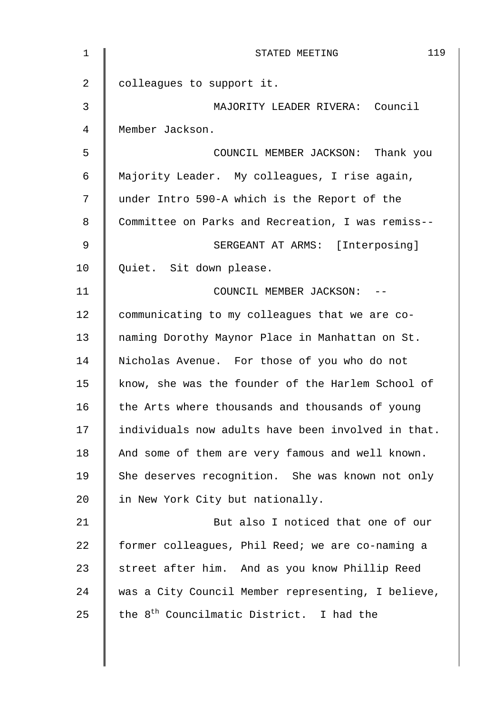| $\mathbf 1$    | 119<br>STATED MEETING                                |
|----------------|------------------------------------------------------|
| $\overline{2}$ | colleagues to support it.                            |
| 3              | MAJORITY LEADER RIVERA: Council                      |
| $\overline{4}$ | Member Jackson.                                      |
| 5              | COUNCIL MEMBER JACKSON: Thank you                    |
| 6              | Majority Leader. My colleagues, I rise again,        |
| 7              | under Intro 590-A which is the Report of the         |
| 8              | Committee on Parks and Recreation, I was remiss--    |
| 9              | SERGEANT AT ARMS: [Interposing]                      |
| 10             | Quiet. Sit down please.                              |
| 11             | COUNCIL MEMBER JACKSON: --                           |
| 12             | communicating to my colleagues that we are co-       |
| 13             | naming Dorothy Maynor Place in Manhattan on St.      |
| 14             | Nicholas Avenue. For those of you who do not         |
| 15             | know, she was the founder of the Harlem School of    |
| 16             | the Arts where thousands and thousands of young      |
| 17             | individuals now adults have been involved in that.   |
| 18             | And some of them are very famous and well known.     |
| 19             | She deserves recognition. She was known not only     |
| 20             | in New York City but nationally.                     |
| 21             | But also I noticed that one of our                   |
| 22             | former colleagues, Phil Reed; we are co-naming a     |
| 23             | street after him. And as you know Phillip Reed       |
| 24             | was a City Council Member representing, I believe,   |
| 25             | the 8 <sup>th</sup> Councilmatic District. I had the |
|                |                                                      |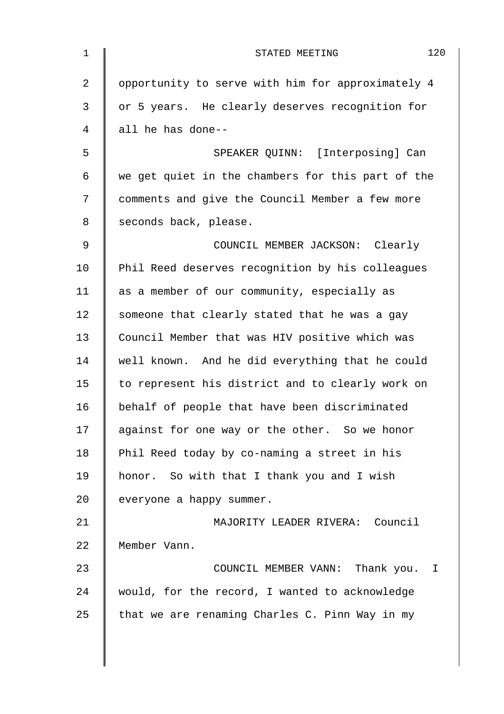| $\mathbf 1$    | 120<br>STATED MEETING                             |
|----------------|---------------------------------------------------|
| $\overline{2}$ | opportunity to serve with him for approximately 4 |
| 3              | or 5 years. He clearly deserves recognition for   |
| $\overline{4}$ | all he has done--                                 |
| 5              | SPEAKER QUINN: [Interposing] Can                  |
| 6              | we get quiet in the chambers for this part of the |
| 7              | comments and give the Council Member a few more   |
| 8              | seconds back, please.                             |
| $\overline{9}$ | COUNCIL MEMBER JACKSON: Clearly                   |
| 10             | Phil Reed deserves recognition by his colleagues  |
| 11             | as a member of our community, especially as       |
| 12             | someone that clearly stated that he was a gay     |
| 13             | Council Member that was HIV positive which was    |
| 14             | well known. And he did everything that he could   |
| 15             | to represent his district and to clearly work on  |
| 16             | behalf of people that have been discriminated     |
| 17             | against for one way or the other. So we honor     |
| 18             | Phil Reed today by co-naming a street in his      |
| 19             | honor. So with that I thank you and I wish        |
| 20             | everyone a happy summer.                          |
| 21             | MAJORITY LEADER RIVERA: Council                   |
| 22             | Member Vann.                                      |
| 23             | COUNCIL MEMBER VANN: Thank you.<br>$\mathbb{I}$   |
| 24             | would, for the record, I wanted to acknowledge    |
| 25             | that we are renaming Charles C. Pinn Way in my    |
|                |                                                   |
|                |                                                   |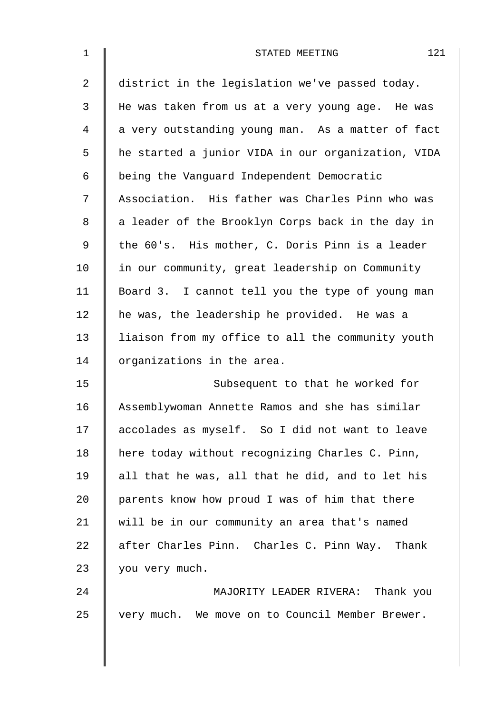| $\mathbf 1$    | 121<br>STATED MEETING                              |
|----------------|----------------------------------------------------|
| $\overline{2}$ | district in the legislation we've passed today.    |
| 3              | He was taken from us at a very young age. He was   |
| 4              | a very outstanding young man. As a matter of fact  |
| 5              | he started a junior VIDA in our organization, VIDA |
| 6              | being the Vanguard Independent Democratic          |
| 7              | Association. His father was Charles Pinn who was   |
| 8              | a leader of the Brooklyn Corps back in the day in  |
| 9              | the 60's. His mother, C. Doris Pinn is a leader    |
| 10             | in our community, great leadership on Community    |
| 11             | Board 3. I cannot tell you the type of young man   |
| 12             | he was, the leadership he provided. He was a       |
| 13             | liaison from my office to all the community youth  |
| 14             | organizations in the area.                         |
| 15             | Subsequent to that he worked for                   |
| 16             | Assemblywoman Annette Ramos and she has similar    |
| 17             | accolades as myself. So I did not want to leave    |
| 18             | here today without recognizing Charles C. Pinn,    |
| 19             | all that he was, all that he did, and to let his   |
| 20             | parents know how proud I was of him that there     |
| 21             | will be in our community an area that's named      |
| 22             | after Charles Pinn. Charles C. Pinn Way. Thank     |
| 23             | you very much.                                     |
| 24             | MAJORITY LEADER RIVERA: Thank you                  |
| 25             | very much. We move on to Council Member Brewer.    |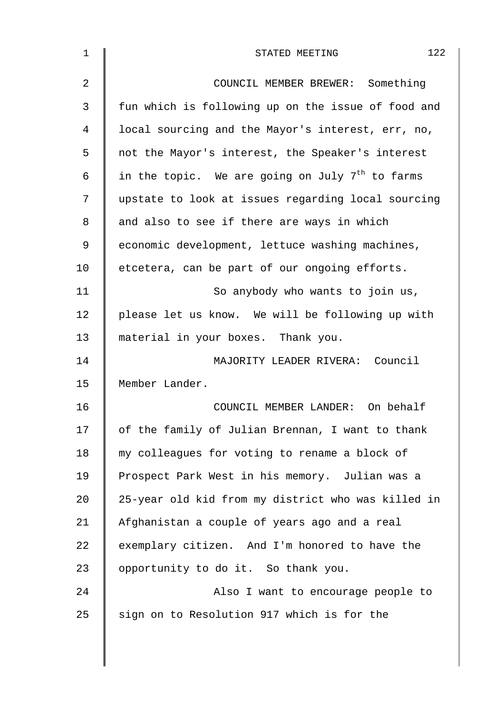| 1  | 122<br>STATED MEETING                                       |
|----|-------------------------------------------------------------|
| 2  | COUNCIL MEMBER BREWER: Something                            |
| 3  | fun which is following up on the issue of food and          |
| 4  | local sourcing and the Mayor's interest, err, no,           |
| 5  | not the Mayor's interest, the Speaker's interest            |
| 6  | in the topic. We are going on July 7 <sup>th</sup> to farms |
| 7  | upstate to look at issues regarding local sourcing          |
| 8  | and also to see if there are ways in which                  |
| 9  | economic development, lettuce washing machines,             |
| 10 | etcetera, can be part of our ongoing efforts.               |
| 11 | So anybody who wants to join us,                            |
| 12 | please let us know. We will be following up with            |
| 13 | material in your boxes. Thank you.                          |
| 14 | MAJORITY LEADER RIVERA: Council                             |
| 15 | Member Lander.                                              |
| 16 | COUNCIL MEMBER LANDER: On behalf                            |
| 17 | of the family of Julian Brennan, I want to thank            |
| 18 | my colleagues for voting to rename a block of               |
| 19 | Prospect Park West in his memory. Julian was a              |
| 20 | 25-year old kid from my district who was killed in          |
| 21 | Afghanistan a couple of years ago and a real                |
| 22 | exemplary citizen. And I'm honored to have the              |
| 23 | opportunity to do it. So thank you.                         |
| 24 | Also I want to encourage people to                          |
| 25 | sign on to Resolution 917 which is for the                  |
|    |                                                             |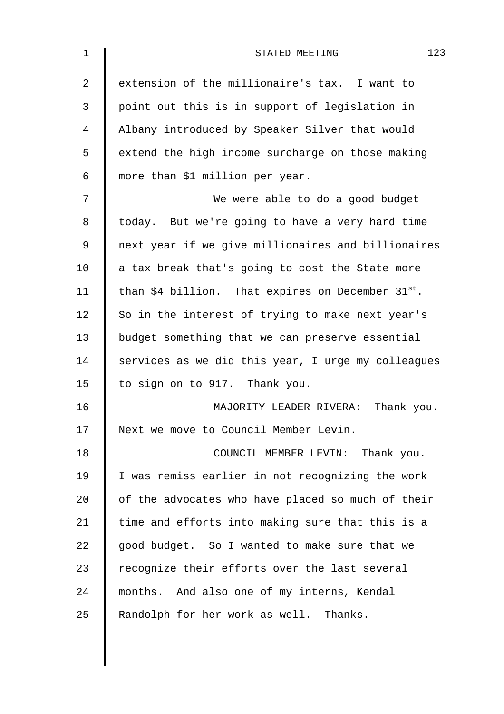| $\mathbf 1$    | 123<br>STATED MEETING                                  |
|----------------|--------------------------------------------------------|
| $\overline{2}$ | extension of the millionaire's tax. I want to          |
| 3              | point out this is in support of legislation in         |
| 4              | Albany introduced by Speaker Silver that would         |
| 5              | extend the high income surcharge on those making       |
| 6              | more than \$1 million per year.                        |
| 7              | We were able to do a good budget                       |
| 8              | today. But we're going to have a very hard time        |
| 9              | next year if we give millionaires and billionaires     |
| 10             | a tax break that's going to cost the State more        |
| 11             | than \$4 billion. That expires on December $31^{st}$ . |
| 12             | So in the interest of trying to make next year's       |
| 13             | budget something that we can preserve essential        |
| 14             | services as we did this year, I urge my colleagues     |
| 15             | to sign on to 917. Thank you.                          |
| 16             | MAJORITY LEADER RIVERA: Thank you.                     |
| 17             | Next we move to Council Member Levin.                  |
| 18             | COUNCIL MEMBER LEVIN: Thank you.                       |
| 19             | I was remiss earlier in not recognizing the work       |
| 20             | of the advocates who have placed so much of their      |
| 21             | time and efforts into making sure that this is a       |
| 22             | good budget. So I wanted to make sure that we          |
| 23             | recognize their efforts over the last several          |
| 24             | months. And also one of my interns, Kendal             |
| 25             | Randolph for her work as well. Thanks.                 |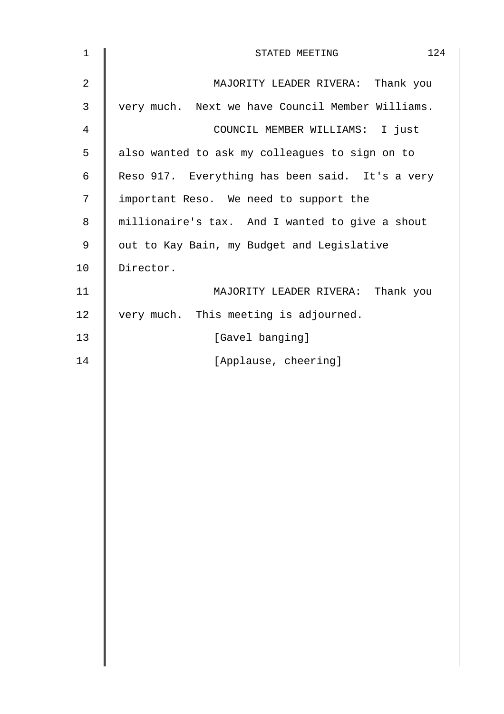| $\mathbf 1$    | 124<br>STATED MEETING                            |
|----------------|--------------------------------------------------|
| $\overline{2}$ | MAJORITY LEADER RIVERA: Thank you                |
| $\mathfrak{Z}$ | very much. Next we have Council Member Williams. |
| $\overline{4}$ | COUNCIL MEMBER WILLIAMS: I just                  |
| 5              | also wanted to ask my colleagues to sign on to   |
| 6              | Reso 917. Everything has been said. It's a very  |
| $\overline{7}$ | important Reso. We need to support the           |
| 8              | millionaire's tax. And I wanted to give a shout  |
| 9              | out to Kay Bain, my Budget and Legislative       |
| 10             | Director.                                        |
| 11             | MAJORITY LEADER RIVERA: Thank you                |
| 12             | very much. This meeting is adjourned.            |
| 13             | [Gavel banging]                                  |
| 14             | [Applause, cheering]                             |
|                |                                                  |
|                |                                                  |
|                |                                                  |
|                |                                                  |
|                |                                                  |
|                |                                                  |
|                |                                                  |
|                |                                                  |
|                |                                                  |
|                |                                                  |
|                |                                                  |
|                |                                                  |
|                |                                                  |